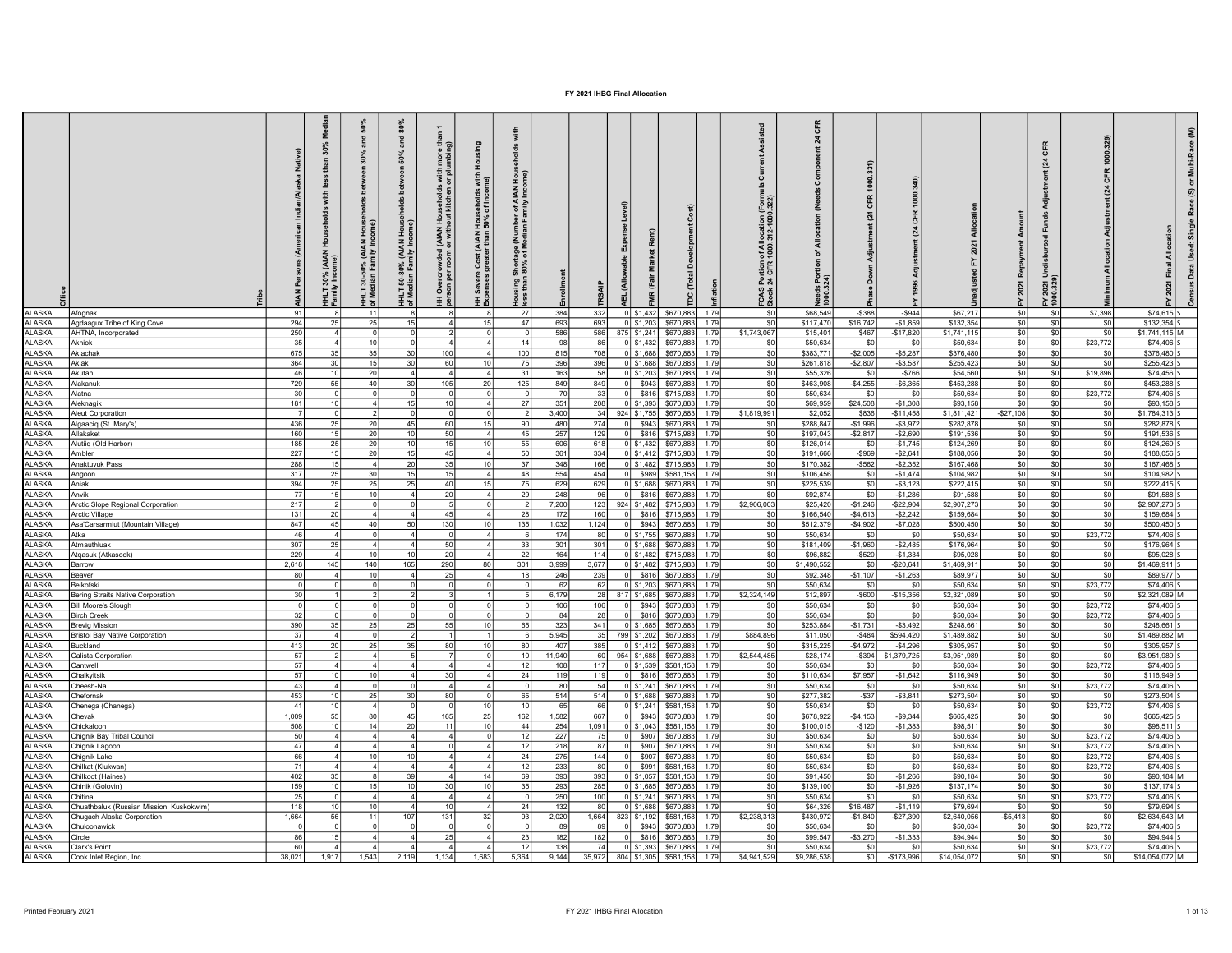|                        |                                                   | ž<br>Native)<br>$\tilde{A}$ | 30%                        | 50%<br>30%<br>(AIAN<br>$30 - 50%$<br>E, | 80%<br>and<br>»n 50%<br><b>b</b> at<br>÷<br>(AIAN<br>$-80%$<br>ន់<br>ミ | $\overline{\phantom{0}}$<br>i with<br>or plu<br>(AIAN Households<br>or without kitchen<br>ó | 로<br>Severe Cost (AIAN Households with<br>enses greater than 50% of Income) | Shortage (Number of AIAN<br>80% of Median Family Inco<br>ing<br>then |                 | Level)<br>inse               |             | ó<br>È                                                       | of Allocation (Fori<br>1000.312-1000.322<br>FCAS Portion | ㅎ<br>য়<br>- এ খ্র    |                      | $\tilde{\bm{\kappa}}$  |                          |                        | CFR<br>(24)<br>Ξ<br>2021<br>10.320 |                   | ε                            |
|------------------------|---------------------------------------------------|-----------------------------|----------------------------|-----------------------------------------|------------------------------------------------------------------------|---------------------------------------------------------------------------------------------|-----------------------------------------------------------------------------|----------------------------------------------------------------------|-----------------|------------------------------|-------------|--------------------------------------------------------------|----------------------------------------------------------|-----------------------|----------------------|------------------------|--------------------------|------------------------|------------------------------------|-------------------|------------------------------|
| <b>II ASKA</b>         | Afognak                                           | -91                         |                            |                                         |                                                                        |                                                                                             |                                                                             | 27                                                                   | 384             | 332                          | 0 \$1,432   | \$670,883<br>1.79                                            | -SO                                                      | \$68,549              | $-$ \$388            | $-$ \$944              | \$67,217                 | \$0                    | \$0                                | \$7,398           | \$74,615                     |
| <b>LASKA</b>           | Agdaagux Tribe of King Cove                       | 294                         | 25                         | 25                                      | 151                                                                    |                                                                                             |                                                                             | 47                                                                   | 693             | 693                          | $0$ \$1,203 | \$670,883<br>1.79                                            | -SO                                                      | \$117,470             | \$16,742             | $-$1.859$              | \$132,354                | \$01                   | \$0                                | - \$0             | $$132.354$ S                 |
| <b>ALASKA</b><br>LASKA | AHTNA Incorporated<br>Akhiok                      | 250<br>35                   | $\overline{4}$<br>$\Delta$ |                                         |                                                                        |                                                                                             |                                                                             | 14                                                                   | 586<br>۹۶       | 586<br>86                    |             | 875 \$1,241 \$670,883<br>1.79<br>0 \$1,432 \$670,883<br>1.79 | \$1,743,067<br>.sn                                       | \$15,401<br>\$50,634  | \$467<br>- SC        | $-$17.820$<br>.SO      | \$1,741.115<br>\$50,634  | sol<br>$ $ so          | \$0                                | \$0               | $$1.741.115$ M<br>\$74,406   |
| LASKA                  | Akiachak                                          | 675                         | 35                         |                                         | 30                                                                     | 100                                                                                         |                                                                             | 100                                                                  | 81              | 708                          | $0$ \$1,688 | \$670,883<br>1.79                                            | -SO                                                      | \$383,771             | $-$2,005$            | $-$5,287$              | \$376,480                | so                     | \$0<br>\$0                         | \$23,772<br>- \$0 | \$376,480                    |
| LASKA                  | Akiak                                             | 364                         | 30                         |                                         | 30                                                                     | 60                                                                                          |                                                                             | 75                                                                   | 396             | 396                          | $0$ \$1,688 | \$670,883<br>1.79                                            | S <sub>0</sub>                                           | \$261,818             | $-$2,807$            | $-$3,587$              | \$255,423                | $s$ <sub>0</sub>       | \$0                                | \$0               | \$255,423                    |
| LASKA                  | Akutan                                            | 46                          | 10 <sup>1</sup>            | 20                                      |                                                                        |                                                                                             |                                                                             | 31                                                                   | 163             | 58                           | $0$ \$1,203 | \$670,883<br>1.79                                            | <b>SO</b>                                                | \$55,326              | \$0                  | $-5766$                | \$54,560                 | $s$ <sub>0</sub>       | \$0                                | \$19,896          | \$74.456 S                   |
| <b>JASKA</b>           | Alakanuk                                          | 729                         | 55                         | 40                                      | 30 <sup>1</sup>                                                        | 105                                                                                         |                                                                             | 125                                                                  | 849             | 849<br>$\Omega$              |             | \$943 \$670,883<br>1.79                                      | S <sub>0</sub>                                           | \$463,908             | $-$4,255$            | $-$ \$6,365            | \$453.288                | $\overline{\$0}$       | \$0                                | - \$0             | \$453,288                    |
| LASKA                  | Alatna                                            | 30                          | 0                          |                                         |                                                                        |                                                                                             |                                                                             |                                                                      | 7 <sup>1</sup>  | 33<br>- 0 I                  |             | \$816 \$715,983<br>1.79                                      | - SO                                                     | \$50,634              | - SO                 | - \$0                  | \$50,634                 | \$0                    | sol                                | \$23,772          | \$74,406                     |
| <b>LASKA</b>           | Aleknagik                                         | 181                         | 10                         |                                         | 15 <sup>1</sup>                                                        | 10                                                                                          |                                                                             | 27                                                                   | 351             | 208                          | $0$ \$1,393 | \$670,883<br>1.79                                            | -SO                                                      | \$69,959              | \$24,508             | $-$1.308$              | \$93,158                 | $\overline{\text{SO}}$ | \$0                                | - \$0             | \$93,158                     |
| LASKA                  | Aleut Corporation                                 |                             | $\Omega$                   |                                         |                                                                        |                                                                                             |                                                                             |                                                                      | 3,400           | 34                           |             | 924 \$1,755 \$670,883<br>1.79                                | \$1,819,991                                              | \$2,052               | \$836                | $-$11,458$             | \$1,811,421              | $-$27,108$             | \$0                                | \$0               | \$1,784,313                  |
| LASKA                  | Algaaciq (St. Mary's)                             | 436                         | 25                         | 20                                      | 45                                                                     | -601                                                                                        |                                                                             | 90                                                                   | 480             | 274<br>- O I                 |             | \$943 \$670,883<br>1.79                                      | - SO                                                     | \$288,847             | $-$1,996$            | $-$3,972$              | \$282,878                | \$0                    | \$0                                | - \$0             | \$282.878                    |
| AI ASKA                | Allakaket                                         | 160                         | 15 <sup>1</sup>            | 20                                      | 10 <sup>1</sup>                                                        | -50 l                                                                                       |                                                                             | 45                                                                   | 257             | 129<br>$\circ$               |             | \$816 \$715,983<br>1.79                                      | ടറ                                                       | \$197,043             | $-$ \$2,817          | $-$2,690$              | \$191.536                | SO                     | SO I                               | \$0               | \$191.536                    |
| <b>ALASKA</b>          | Alutiiq (Old Harbor)                              | 185                         | 25                         | 20                                      | 10 <sup>1</sup>                                                        | 15 <sup>1</sup>                                                                             |                                                                             | 55                                                                   | 606             | 618                          | $0$ \$1,432 | \$670,883<br>1.79                                            | - \$0                                                    | \$126,014             | - SO                 | $-$1.745$              | \$124,269                | SO                     | \$0                                | \$0               | \$124,269                    |
| <b>II ASKA</b>         | Ambler                                            | 227                         | 15                         | 20                                      | 15 <sup>1</sup>                                                        | 45                                                                                          |                                                                             | 50                                                                   | 361             | 334                          |             | 0 \$1,412 \$715,983<br>1.79                                  | SO                                                       | \$191,666             | $-$ \$969            | $-$2.641$              | \$188,056                | $ $ so                 | \$0                                | \$0               | \$188,056                    |
| <b>II ASKA</b>         | Anaktuvuk Pass                                    | 288                         | 15 <sup>1</sup>            |                                         | 20                                                                     | 35 l                                                                                        |                                                                             | 37                                                                   | 348             | 166                          |             | 0 \$1,482 \$715,983<br>1.79                                  | \$0                                                      | \$170,382             | $-$562$              | $-$2,352$              | \$167,468                | so                     | \$0                                | \$0               | \$167,468                    |
| <b>II ASKA</b>         | Angoon                                            | 317                         | 25                         | 30                                      | 15 <sup>1</sup>                                                        | 15 <sup>1</sup>                                                                             |                                                                             | 48                                                                   | 554             | 454<br>$\circ$               | \$989       | \$581,158<br>1.79                                            | \$0                                                      | \$106,456             | SO.                  | $-$1.474$              | \$104,982                | SO                     | SO I                               | \$0               | \$104,982                    |
| ALASKA                 | Aniak                                             | 394                         | 25                         | 25                                      | 25                                                                     | 40                                                                                          | 15                                                                          | 75                                                                   | 629             | 629                          |             | 0 \$1,688 \$670,883<br>1.79                                  | - \$0                                                    | \$225,539             | SO                   | $- $3,123$             | \$222,415                | SO                     | \$0                                | \$0               | \$222,415                    |
| <b>ALASKA</b>          | Anvik                                             | 77                          | 15                         | 10                                      | $\overline{4}$                                                         | <b>20</b>                                                                                   |                                                                             | 29                                                                   | 248             | 96                           |             | 0 \$816 \$670,883<br>1.79                                    | SO                                                       | \$92,874              | SO                   | $-$1,286$              | \$91,588                 | SO                     | \$0                                | \$0               | \$91.588                     |
| <b>LASKA</b>           | Arctic Slope Regional Corporation                 | 217                         |                            |                                         |                                                                        |                                                                                             |                                                                             |                                                                      | 7,200           |                              |             | 123 924 \$1,482 \$715,983<br>1.79                            | \$2,906,003                                              | \$25,420              | $-$1,246$            | $-$ \$22,904           | \$2,907,273              | SO                     | \$0                                | \$0               | \$2,907,273                  |
| <b>LASKA</b>           | Arctic Village                                    | 131                         | 20                         |                                         | $\overline{4}$                                                         | 45                                                                                          |                                                                             | 28                                                                   | 172             | 160<br> 0                    |             | \$816 \$715,983<br>1.79                                      | SO                                                       | \$166,540             | $-$4,613$            | $-$2,242$              | \$159,684                | SO                     | \$0                                | \$0               | \$159,684                    |
| ALASKA                 | Asa'Carsarmiut (Mountain Village)                 | 847                         | 45                         | 40 <sub>1</sub>                         | 50                                                                     | 130                                                                                         | 10                                                                          | 135                                                                  | 1,032           | 1,124<br>ol                  |             | \$943 \$670,883<br>1.79                                      | SO I                                                     | \$512,379             | $-$4,902$            | $-$7,028$              | \$500,450                | sol                    | \$0                                | \$0               | \$500,450                    |
| AI ASKA                | Atka                                              | 46                          | $\vert$ 4                  |                                         | $\overline{4}$                                                         |                                                                                             |                                                                             | $\kappa$                                                             | 174             | 80                           |             | 0 \$1,755 \$670,883<br>1.79                                  | \$0                                                      | \$50,634              | <b>SO</b>            | \$0                    | \$50,634                 | SO                     | \$0                                | \$23,772          | \$74,406                     |
| LASKA                  | Atmauthluak                                       | 307                         | 25                         |                                         | $\overline{4}$                                                         | 50                                                                                          |                                                                             | 33                                                                   | 301             | 301                          | $0$ \$1,688 | \$670,883<br>1.79                                            | \$0                                                      | \$181,409             | $-$1,960$            | $-$2,485$              | \$176,964                | SO                     | \$0                                | \$0               | \$176,964                    |
| LASKA                  | Atqasuk (Atkasook)                                | 229                         | $\vert$ 4                  | 10                                      | 10 <sup>1</sup>                                                        | 20                                                                                          |                                                                             | 22                                                                   | 164             | 114                          |             | 0 \$1,482 \$715,983<br>1.79                                  | \$0                                                      | \$96,882              | $-$520$              | $-$1,334$              | \$95,028                 | sol                    | \$0                                | \$0               | \$95,028                     |
| LASKA                  | Barrow                                            | 2,618                       | 145                        | 140                                     | 165                                                                    | 290                                                                                         | 80                                                                          | 301                                                                  | 3,999           | 3,677                        |             | 0 \$1,482 \$715,983<br>1.79                                  | \$0                                                      | \$1,490,552           | \$0                  | $-$20,641$             | \$1,469,911              | SO                     | \$0                                | \$0               | \$1,469,911                  |
| LASKA                  | Beaver                                            | 80                          | $\overline{4}$             | 10                                      | $\overline{4}$                                                         | 25                                                                                          | $\Lambda$                                                                   | 18                                                                   | 246             | 239<br>0 I                   |             | \$816 \$670,883<br>1.79                                      | \$0                                                      | \$92,348              | $-$1,107$            | $-$1,263$              | \$89,977                 | SO I                   | \$0                                | \$0               | \$89,977                     |
| LASKA                  | <b>Belkofski</b>                                  |                             |                            |                                         |                                                                        |                                                                                             |                                                                             |                                                                      | -62             | 62                           | $0$ \$1,203 | \$670,883<br>1.79                                            | \$0                                                      | \$50,634              | \$0                  | \$0                    | \$50,634                 | SO                     | \$0                                | \$23,772          | \$74,406                     |
| LASKA                  | Bering Straits Native Corporation                 | 30                          |                            |                                         |                                                                        |                                                                                             |                                                                             |                                                                      | 6,179           |                              |             | 28 817 \$1,685 \$670,883<br>1.79                             | \$2,324,149                                              | \$12,897              | $-$ \$600            | $-$15,356$             | \$2,321,089              | sol                    | \$0                                | \$0               | \$2,321,089 M                |
| LASKA                  | <b>Bill Moore's Slough</b>                        |                             | $\Omega$                   |                                         |                                                                        |                                                                                             |                                                                             |                                                                      | 106<br>R        | 106<br>- o l                 |             | \$943 \$670,883<br>1.79                                      | \$0                                                      | \$50,634              | SO                   | \$0                    | \$50,634                 | sol                    | \$0                                | \$23,772          | $$74,406$ S                  |
| LASKA                  | <b>Birch Creek</b>                                | 32                          |                            |                                         |                                                                        |                                                                                             | 10                                                                          |                                                                      |                 | 28<br>- o l                  |             | \$816 \$670,883<br>1.79<br>1.79                              | \$0                                                      | \$50,634              | SO                   | \$0                    | \$50,634                 | so                     | \$0                                | \$23,772          | \$74,406 S                   |
| LASKA                  | <b>Brevig Mission</b>                             | 390                         | 35<br>$\Delta$             | 25                                      | 25                                                                     | 55                                                                                          |                                                                             | 65<br>6                                                              | 323             | 341                          | $0$ \$1,685 | \$670,883                                                    | \$0                                                      | \$253,884             | $-$1,731$            | $-$3,492$              | \$248,661                | SO                     | \$0                                | - \$0             | \$248,661  !                 |
| LASKA<br>LASKA         | <b>Bristol Bay Native Corporation</b><br>Buckland | 37<br>413                   | 20                         | 25                                      | 35                                                                     | 80                                                                                          | 10                                                                          | 80                                                                   | 5,945<br>407    | 35 799 \$1,202<br>385        |             | \$670,883<br>1.79<br>0 \$1,412 \$670,883<br>1.79             | \$884,896<br>\$0                                         | \$11,050<br>\$315,225 | $-$484$<br>$-$4,972$ | \$594,420<br>$-$4,296$ | \$1,489,882<br>\$305,957 | sol<br>sol             | \$0<br>\$0                         | \$0<br>\$0        | \$1,489,882 M<br>\$305,957 S |
| LASKA                  | Calista Corporation                               | 57                          |                            |                                         |                                                                        |                                                                                             |                                                                             | 10                                                                   | 11,940          |                              |             | 60 954 \$1,688 \$670,883<br>1.79                             | \$2,544,485                                              | \$28,174              | $-$ \$394            | \$1,379,725            | \$3,951,989              | $ $ so                 | \$0                                | \$0               | \$3,951,989 S                |
| LASKA                  | Cantwell                                          | 57                          |                            |                                         |                                                                        |                                                                                             |                                                                             | 12                                                                   | 10 <sub>5</sub> | 117                          |             | 0 \$1,539 \$581,158<br>1.79                                  | SO                                                       | \$50,634              | \$0                  | \$0                    | \$50,634                 | SO <sub>2</sub>        | so                                 | \$23,772          | \$74,406 S                   |
| LASKA                  | Chalkyitsik                                       | 57                          | 10 <sup>1</sup>            | 10                                      |                                                                        | 30 <sup>1</sup>                                                                             |                                                                             | 24                                                                   | 119             | 119 <sup>1</sup><br>$\Omega$ |             | \$816 \$670,883<br>1.79                                      | \$0                                                      | \$110,634             | \$7,957              | $-$1,642$              | \$116,949                | sol                    | SO <sub>1</sub>                    | \$0               | $$116,949$ S                 |
| LASKA                  | Cheesh-Na                                         | 43                          | $\Delta$                   |                                         |                                                                        | ΔI                                                                                          |                                                                             |                                                                      | 8ſ              | 54                           |             | 0 \$1,241 \$670,883<br>1.79                                  | \$0                                                      | \$50,634              | \$0                  | \$0                    | \$50,634                 | SO <sub>2</sub>        | \$0                                | \$23,772          | \$74,406 S                   |
| LASKA                  | Chefornak                                         | 453                         | 10 <sup>1</sup>            | 25                                      | 30                                                                     | 80                                                                                          |                                                                             | 65                                                                   | 514             | 514                          |             | 0 \$1,688 \$670,883<br>1.79                                  | \$0                                                      | \$277,382             | $-$ \$37             | $-$3,841$              | \$273,504                | \$0                    | SO <sub>2</sub>                    | \$0               | \$273,504 S                  |
| LASKA                  | Chenega (Chanega)                                 | 41                          | 10                         |                                         |                                                                        |                                                                                             |                                                                             | 10                                                                   | 65              | 66                           | $0$ \$1,241 | \$581,158<br>1.79                                            | \$0                                                      | \$50,634              | SO                   | \$0                    | \$50,634                 | SO <sub>0</sub>        | SO <sub>1</sub>                    | \$23,772          | \$74,406 S                   |
| LASKA                  | Chevak                                            | 1,009                       | 55                         | 80                                      | 45                                                                     | 165                                                                                         | 25                                                                          | 162                                                                  | 1,582           | 667                          | \$943       | \$670,883<br>1.79                                            | \$0                                                      | \$678,922             | $-$4,153$            | $-$9,344$              | \$665,425                | SO <sub>0</sub>        | \$0                                | \$0               | \$665,425 S                  |
| LASKA                  | Chickaloon                                        | 508                         | 10 <sup>1</sup>            | 14                                      | 20 <sup>1</sup>                                                        | 11 <sup>1</sup>                                                                             | 10                                                                          | 44                                                                   | 254             | 1,091                        |             | 0 \$1,043 \$581,158<br>1.79                                  | \$0                                                      | \$100,015             | $-$120$              | $-$1,383$              | \$98,511                 | SO <sub>2</sub>        | \$0                                | \$0               | \$98,511 5                   |
| ASKA                   | hignik Bay Tribal Council                         | 50                          |                            |                                         |                                                                        |                                                                                             |                                                                             |                                                                      | 227             | 75                           | \$907       | \$670,883<br>1.79                                            | \$0                                                      | \$50,634              | \$0                  | \$0                    | \$50,634                 | SO <sub>2</sub>        | \$0                                | \$23,772          | \$74,406 5                   |
| LASKA                  | Chignik Lagoon                                    | 47                          |                            |                                         |                                                                        |                                                                                             |                                                                             | 12                                                                   | 218             | 87                           | \$907       | \$670,883<br>1.79                                            | \$0                                                      | \$50,634              | \$0                  | \$0                    | \$50,634                 | SO                     | \$0                                | \$23,772          | \$74,406 S                   |
| LASKA                  | Chignik Lake                                      | 66                          |                            |                                         | 10 <sup>1</sup>                                                        |                                                                                             |                                                                             | 24                                                                   | 275             | 144                          | \$907       | \$670,883<br>1.79                                            | \$0                                                      | \$50,634              | \$0                  | \$0                    | \$50,634                 | $ $ so                 | \$0                                | \$23,772          | \$74,406 S                   |
| LASKA                  | Chilkat (Klukwan)                                 | 71                          |                            |                                         |                                                                        |                                                                                             |                                                                             | 12                                                                   | 233             | 80                           | \$991       | \$581,158<br>1.79                                            | \$0                                                      | \$50,634              | $\overline{50}$      | \$0                    | \$50,634                 | $ $ so                 | \$0                                | \$23,772          | \$74,406 S                   |
| LASKA                  | Chilkoot (Haines)                                 | 402                         | 35                         |                                         | 30                                                                     |                                                                                             |                                                                             | 69                                                                   | 393             | 393                          | 0 \$1,057   | \$581.158<br>179                                             | \$0                                                      | \$91.450              | sol                  | $-$1,266$              | \$90.184                 | sol                    | \$0                                | \$0               | \$90,184 M                   |
| LASKA                  | Chinik (Golovin)                                  | 159                         | 10 <sup>1</sup>            |                                         | 10 <sup>1</sup>                                                        | 30 l                                                                                        | 10                                                                          | 35 <sub>1</sub>                                                      | 293             | 285                          |             | 0 \$1,685 \$670,883<br>1.79                                  | \$0                                                      | \$139,100             | \$0                  | $-$1,926$              | \$137,174                | SO                     | \$0                                | \$0               | \$137,174 S                  |
| LASKA                  | Chitina                                           | 25                          |                            |                                         |                                                                        |                                                                                             |                                                                             |                                                                      | 250             | 100                          |             | 0 \$1,241 \$670,883<br>1.79                                  | \$0                                                      | \$50,634              | $\overline{50}$      | \$0                    | \$50,634                 | $ $ so                 | SO                                 | \$23,772          | \$74,406 S                   |
| LASKA                  | Chuathbaluk (Russian Mission, Kuskokwim)          | 118                         |                            |                                         |                                                                        | 10                                                                                          |                                                                             |                                                                      | 132             | 80                           | $0$ \$1,688 | \$670,883<br>1.79                                            |                                                          | \$64,326              | \$16,487             | $-$1,119$              | \$79,694                 | \$0                    | \$0                                |                   | \$79,694  !                  |
| LASKA                  | Chugach Alaska Corporation                        | 1.664                       | 56                         |                                         | 107                                                                    | 131                                                                                         |                                                                             | 93                                                                   | 2,020           | 1.664                        | 823 \$1,192 | \$581.158<br>1.79                                            | \$2,238,313                                              | \$430,972             | $-$1,840$            | $-$27,390$             | \$2,640,056              | $-$5.413$              | sol                                | \$0               | \$2.634.643 M                |
| LASKA                  | Chuloonawick                                      |                             |                            |                                         |                                                                        |                                                                                             |                                                                             |                                                                      | <b>RC</b>       | 89                           |             | \$943 \$670,883<br>1.79                                      | s0                                                       | \$50.634              | S <sub>0</sub>       | \$0                    | \$50.634                 | sol                    | so l                               | \$23.772          | \$74,406 S                   |
| LASKA                  | Circle                                            | 86                          | 15                         |                                         |                                                                        | 25                                                                                          |                                                                             | 23                                                                   | 182             | 182                          |             | \$816 \$670,883<br>1.79                                      | \$0                                                      | \$99,547              | $-$3,270$            | $-$1,333$              | \$94,944                 | $ $ so                 | \$0                                | \$0               | $$94,944$ s                  |
| LASKA                  | Clark's Point                                     | 60                          |                            |                                         |                                                                        |                                                                                             |                                                                             |                                                                      | 138             | 74                           | $0$ \$1,393 | \$670,883<br>1.79                                            |                                                          | \$50,634              |                      | \$0                    | \$50,634                 | \$0                    | \$0                                | \$23,772          | \$74,406  !                  |
| <b>ALASKA</b>          | Cook Inlet Region, Inc.                           | 38.021                      | 1917                       | 1.543                                   | 2.119                                                                  | 1.134                                                                                       | 683                                                                         | 5.364                                                                | 9.144           |                              |             | 35.972 804 \$1.305 \$581.158 1.79                            | \$4.941.529                                              | \$9,286,538           | SO <sub>2</sub>      | \$173,996              | \$14.054.072             | sn                     | $\sin$                             | \$0               | \$14.054.072 M               |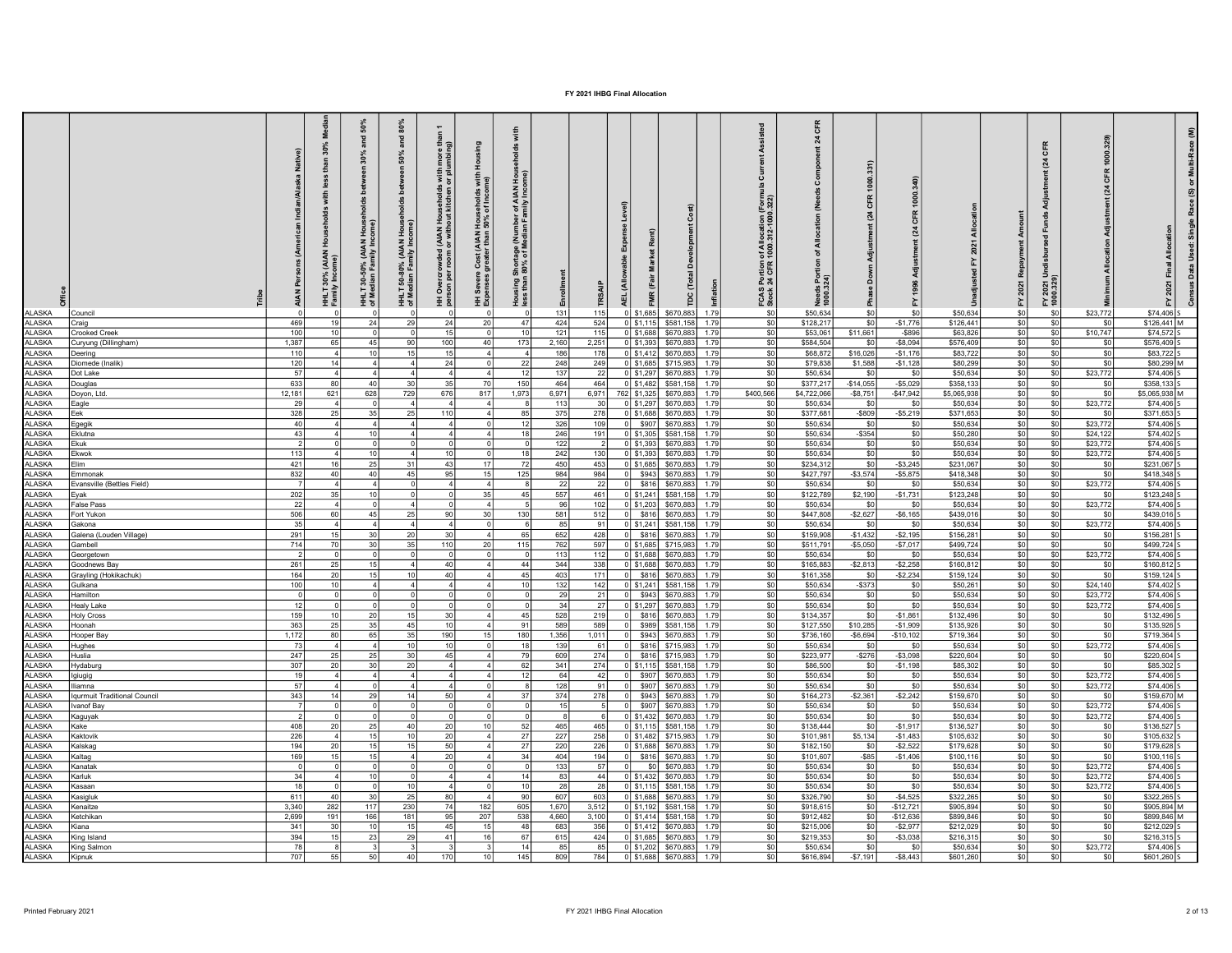| ALASKA                         | Council                                           | Native)<br>ska<br>ANP <sub>I</sub> | ă<br>30%<br>than<br>less<br>with<br>운<br>30% (AIAN<br>v Income)<br>ÌН | 50%<br>and<br>in 30%<br><b>Det</b><br>30-50% (AIAN Hous<br>dian Family Income)<br>HHLT<br>of Med | and $80\%$<br>olds between 50%<br>HHLT 50-80% (AIAN Housel<br>of Median Family Income) | more than<br>Imbing)<br>HH Overcrowded (AIAN Households with<br>person per room or without kitchen or plu | Severe Cost (AIAN Households with<br>enses greater than 50% of Income)<br>∄ ≗ | with<br>Housing Shortage (Number of AIAN Hou<br>less than 80% of Median Family Income) | 131          | 115          |                | (Total<br>(Fair<br>rpc<br>$0$ \$1,685<br>\$670,883   | Inflation<br>1.79 | FCAS Portion of Allocation (Form<br>Stock 24 CFR 1000.312-1000.322)<br>\$0 | 풍<br>শ্ল<br>ঁఠ<br>Needs Po<br>1000.324)<br>\$50,634 | nt (24 CFR 1000<br>\$0 | CFR<br>$\mathbb{Z}$<br>\$C | \$50,634               | ፚ<br>\$0                     | (24 CFR<br>FY 2021 Undi<br>1000.329)<br>\$0 | $\mathbb{Z}$<br>\$23,772 | Ξ<br>$$74,406$ S           |
|--------------------------------|---------------------------------------------------|------------------------------------|-----------------------------------------------------------------------|--------------------------------------------------------------------------------------------------|----------------------------------------------------------------------------------------|-----------------------------------------------------------------------------------------------------------|-------------------------------------------------------------------------------|----------------------------------------------------------------------------------------|--------------|--------------|----------------|------------------------------------------------------|-------------------|----------------------------------------------------------------------------|-----------------------------------------------------|------------------------|----------------------------|------------------------|------------------------------|---------------------------------------------|--------------------------|----------------------------|
| <b>ALASKA</b>                  | Craig                                             | 469                                | 19 <sup>1</sup>                                                       | 24                                                                                               | - 29                                                                                   | 24                                                                                                        | 20                                                                            | 47                                                                                     | 424          | 524          |                | $0$ \$1,115<br>\$581,158                             | 1.79              | \$0                                                                        | \$128,217                                           | \$0                    | $-$1,776$                  | \$126,441              | SO                           | SO                                          | \$0                      | $$126,441$ M               |
| <b>ALASKA</b>                  | <b>Crooked Creek</b>                              | 100                                | 10                                                                    | - 01                                                                                             |                                                                                        | 15                                                                                                        | $^{\circ}$                                                                    | 10                                                                                     | $121$        | $115$        |                | \$670,883<br>$0$ \$1,688                             | 1.79              | SO                                                                         | \$53,061                                            | \$11,661               | $-$ \$896                  | \$63,826               | SO                           | \$0                                         | \$10,747                 | $$74,572$ S                |
| ASKA                           | Curyung (Dillingham)                              | 1,387                              | 65                                                                    | 45                                                                                               |                                                                                        | 100                                                                                                       | 40                                                                            | 173                                                                                    | 2,160        | 2,251        |                | $0$ \$1,393<br>\$670,88                              | 1.79              | SO <sub>2</sub>                                                            | \$584,504                                           | \$0                    | $-$8,094$                  | \$576,409              | \$0                          | \$0                                         | \$0                      | \$576,409 S                |
| ASKA                           | Deering                                           | 110                                |                                                                       | 10 <sup>1</sup>                                                                                  |                                                                                        | 15                                                                                                        | $\overline{4}$                                                                |                                                                                        | 186          | 178          |                | $0$ \$1,412<br>\$670,883                             | 1.79              | \$0                                                                        | \$68,872                                            | \$16,026               | $-$1,176$                  | \$83,722               | SO                           | \$0                                         | \$0                      | \$83,722 S                 |
| <b>ALASKA</b><br><b>ALASKA</b> | Diomede (Inalik)<br>Dot Lake                      | 120<br>57                          | 14                                                                    | $\vert$ 4                                                                                        |                                                                                        | 24<br>$\Delta$                                                                                            | 0<br>4                                                                        | - 22<br>-12                                                                            | 248<br>137   | 249<br>22    |                | \$715,983<br>$0$ \$1,685<br>\$670,883<br>$0$ \$1,297 | 1.79<br>1.79      | \$0<br>SO                                                                  | \$79,838<br>\$50,634                                | \$1,588<br>SO I        | $-$1,128$<br>- \$0         | \$80,299<br>\$50,634   | SO<br>$\overline{\text{SO}}$ | \$0<br>\$0                                  | \$0<br>\$23,772          | \$80,299 M<br>$$74,406$ S  |
| ASKA                           | Douglas                                           | 633                                | 80                                                                    | 40                                                                                               |                                                                                        | 35                                                                                                        | 70                                                                            | 150                                                                                    | 464          | 464          |                | $0$ \$1,482<br>\$581,158                             | 1.79              | so l                                                                       | \$377,217                                           | $-$14,055$             | $-$5,029$                  | \$358,133              | $ $ \$0                      | \$0                                         | \$0                      | \$358,133 S                |
| ASKA                           | Doyon, Ltd.                                       | 12,181                             | 621                                                                   | 628                                                                                              | 729                                                                                    | 676                                                                                                       | 817                                                                           | 1,973                                                                                  | 6,971        | 6,971        |                | \$670,883<br>762 \$1,325                             | 1.79              | \$400,566                                                                  | \$4,722,066                                         | $-$8,751$              | $-$ \$47,942               | \$5,065,938            | SO                           | \$0                                         | \$0                      | \$5,065,938 M              |
| <b>ALASKA</b>                  | Eagle                                             | 29                                 | $\vert$ 4                                                             | $\cap$                                                                                           |                                                                                        | $\Delta$                                                                                                  | $\vert$ 4                                                                     |                                                                                        | 113          | 30           |                | 0 \$1,297<br>\$670,883                               | 1.79              | so l                                                                       | \$50,634                                            | \$0                    | \$0                        | \$50,634               | $ $ so                       | SO                                          | \$23,772                 | $$74,406$ S                |
| <b>ALASKA</b>                  | Eek                                               | 328                                | 25                                                                    | 35                                                                                               |                                                                                        | 110                                                                                                       | $\vert$                                                                       | R <sub>F</sub>                                                                         | 375          | 278          |                | \$670,883<br>$0$ \$1,688                             | 1.79              | SO                                                                         | \$377,681                                           | $-$ \$809              | $-$5,219$                  | \$371,653              | \$0                          | \$0                                         | \$0                      | \$371,653 S                |
| ASKA                           | Egegik                                            | 40                                 |                                                                       |                                                                                                  |                                                                                        | $\Delta$                                                                                                  |                                                                               |                                                                                        | 326          | 109          | $\Omega$       | \$907<br>\$670,883                                   | 1.79              | SO                                                                         | \$50,634                                            | \$0                    | \$0                        | \$50,634               | $ $ \$0                      | \$0                                         | \$23,772                 | \$74,406 S                 |
| ALASKA<br><b>ALASKA</b>        | Eklutna<br>Ekuk                                   | 43                                 |                                                                       | 10 <sup>1</sup>                                                                                  |                                                                                        | $\overline{4}$<br>$\Omega$                                                                                | 4 <sup>1</sup><br>$\overline{0}$                                              | 1s                                                                                     | 246<br>122   | 191<br>-21   |                | $0$ \$1,305<br>\$581,158<br>$0$ \$1,393<br>\$670,883 | 1.79<br>1.79      | \$0<br>\$0                                                                 | \$50,634<br>\$50,634                                | $-$ \$354<br>\$0       | \$0<br>\$0                 | \$50,280<br>\$50,634   | \$0<br>$ $ so                | \$0<br>\$0                                  | \$24,122<br>\$23,772     | \$74,402 S<br>$$74,406$ S  |
| ALASKA                         | Ekwok                                             | 113                                |                                                                       | 10 <sup>1</sup>                                                                                  |                                                                                        | 10 <sup>1</sup>                                                                                           |                                                                               |                                                                                        | 242          | 130          |                | \$670,883<br>$0$   \$1,393                           | 1.79              | \$0                                                                        | \$50,634                                            | \$0                    | \$0                        | \$50,634               | SO                           | \$0                                         | \$23,772                 | \$74,406 S                 |
| LASKA                          | Flim                                              | 421                                | 16                                                                    | 25                                                                                               |                                                                                        | 43                                                                                                        | 17                                                                            | -72                                                                                    | 450          | 453          |                | $0$ \$1,685<br>\$670,883                             | 1.79              | \$0                                                                        | \$234,312                                           | \$0                    | $-$3,245$                  | \$231,067              | \$0                          | \$0                                         | \$0                      | \$231,067 S                |
| ALASKA                         | Emmonak                                           | 832                                | 40                                                                    | 40                                                                                               | 45                                                                                     | 95                                                                                                        | 15                                                                            | 125                                                                                    | 984          | 984          | $\overline{0}$ | \$943<br>\$670,883                                   | 1.79              | SO                                                                         | \$427,797                                           | $-$3,574$              | $-$5,875$                  | \$418,348              | $ $ so                       | \$0                                         | \$0                      | \$418,348 S                |
| ALASKA                         | Evansville (Bettles Field)                        |                                    |                                                                       |                                                                                                  |                                                                                        | $\Delta$                                                                                                  | $\vert$ 4                                                                     |                                                                                        | 22           | 22           | 0I             | \$816<br>\$670,883                                   | 1.79              | \$0                                                                        | \$50,634                                            | \$0                    | \$0                        | \$50,634               | SO                           | \$0                                         | \$23,772                 | \$74,406 S                 |
| <b>ALASKA</b>                  | Eyak                                              | 202                                | 35                                                                    | 10 <sup>1</sup>                                                                                  |                                                                                        |                                                                                                           | 35                                                                            | $\Delta$ <sup>5</sup>                                                                  | 557          | 461          |                | $0$ \$1,241<br>\$581,158                             | 1.79              | \$0                                                                        | \$122,789                                           | \$2,190                | $-$1,731$                  | \$123,248              | so                           | \$0                                         | \$0                      | \$123,248 S                |
| ALASKA                         | False Pass                                        | 22                                 |                                                                       |                                                                                                  |                                                                                        |                                                                                                           | $\vert$ 4                                                                     |                                                                                        | 96           | 102          |                | $0$ \$1,203<br>\$670,883                             | 1.79              | \$0                                                                        | \$50,634                                            | \$0                    | \$0                        | \$50,634               | SO                           | \$0                                         | \$23,772                 | \$74,406 S                 |
| ALASKA                         | Fort Yukon                                        | 506                                | 60                                                                    | 45                                                                                               | -25                                                                                    | -90                                                                                                       | 30                                                                            | 130                                                                                    | 581          | 512          | $\overline{0}$ | \$816 \$670,883                                      | 1.79              | SO                                                                         | \$447,808                                           | $-$2,627$              | $-$6,165$                  | \$439,016              | $ $ so                       | \$0                                         | \$0                      | \$439,016 S                |
| ALASKA<br>LASKA                | Gakona                                            | 35                                 | 15                                                                    | 30 <sub>1</sub>                                                                                  |                                                                                        | $\Delta$                                                                                                  | $\Omega$<br>4                                                                 | -65                                                                                    | 85           | 91           | $\Omega$       | $0$ \$1,241<br>\$581,158<br>\$670,883                | 1.79<br>1.79      | \$0                                                                        | \$50,634                                            | \$0<br>$-$1,432$       | \$0                        | \$50,634               | SO                           | \$0                                         | \$23,772                 | \$74,406 S                 |
| ALASKA                         | Galena (Louden Village)<br>Gambell                | 291<br>714                         | 70                                                                    | 30 <sup>1</sup>                                                                                  | -35                                                                                    | 30<br>110                                                                                                 | 20                                                                            | 115                                                                                    | 652<br>762   | 428<br>597   |                | \$816<br>$0$ \$1,685<br>\$715,983                    | 1.79              | \$0<br>\$0                                                                 | \$159,908<br>\$511,791                              | $-$5,050$              | $-$ \$2,195<br>$-$7,017$   | \$156,281<br>\$499,724 | so  <br>\$0                  | SO<br>\$0                                   | - \$0<br>- \$0           | \$156,281<br>\$499,724 S   |
| ALASKA                         | Georgetown                                        |                                    |                                                                       |                                                                                                  |                                                                                        |                                                                                                           | $\overline{0}$                                                                |                                                                                        | 113          | 112          |                | $0$ \$1,688<br>\$670,883                             | 1.79              | SO                                                                         | \$50,634                                            | \$0                    | \$0                        | \$50,634               | SO                           | \$0                                         | \$23,772                 | \$74,406 S                 |
| LASKA                          | Goodnews Bay                                      | 261                                | 25                                                                    | 15 <sub>1</sub>                                                                                  |                                                                                        | 40                                                                                                        | $\overline{4}$                                                                | 44                                                                                     | 344          | 338          |                | $0$ \$1,688<br>\$670,883                             | 1.79              | \$0                                                                        | \$165,883                                           | $-$2,813$              | $-$2,258$                  | \$160,812              | so                           | \$0                                         | \$0                      | \$160,812 S                |
| ALASKA                         | Grayling (Hokikachuk)                             | 164                                | 20                                                                    | 15 <sup>1</sup>                                                                                  |                                                                                        | 40                                                                                                        | $\vert$ 4                                                                     | 45                                                                                     | 403          | 171          | 0I             | \$816<br>\$670,883                                   | 1.79              | \$0                                                                        | \$161,358                                           | \$0                    | $-$2,234$                  | \$159,124              | so                           | \$0                                         | \$0                      | \$159,124 S                |
| ALASKA                         | Gulkana                                           | 100                                | 10 <sup>1</sup>                                                       |                                                                                                  |                                                                                        | $\Delta$                                                                                                  | $\vert$                                                                       | 10                                                                                     | $132$        | 142          |                | $0$ \$1,241<br>\$581,158                             | 1.79              | \$0                                                                        | \$50,634                                            | $-$ \$373              | \$0                        | \$50,261               | SO.                          | \$0                                         | \$24,140                 | $$74,402$ S                |
| ALASKA                         | Hamilton                                          |                                    |                                                                       |                                                                                                  |                                                                                        | $\Omega$                                                                                                  | $\overline{0}$                                                                |                                                                                        | 29           | 21           | 0              | \$943<br>\$670,883                                   | 1.79              | SO                                                                         | \$50,634                                            | \$0                    | \$0                        | \$50,634               | \$0                          | \$0                                         | \$23,772                 | \$74,406 S                 |
| ASKA                           | Healy Lake                                        | 12                                 |                                                                       |                                                                                                  |                                                                                        |                                                                                                           |                                                                               |                                                                                        | 34           | 27           |                | $0$ \$1,297<br>\$670,883                             | 1.79              | \$0                                                                        | \$50,634                                            | \$0                    | \$0                        | \$50,634               | so                           | \$0                                         | \$23,772                 | \$74,406 S                 |
| LASKA                          | <b>Holy Cross</b>                                 | 159                                | 10 <sup>1</sup>                                                       | 20 <sup>1</sup>                                                                                  |                                                                                        | 30 <sup>1</sup>                                                                                           | $\overline{4}$                                                                | 45                                                                                     | 528          | 219          | 0I             | \$816<br>\$670,883                                   | 1.79              | \$0                                                                        | \$134,357                                           | \$0                    | $-$1,861$                  | \$132,496              | \$0                          | \$0                                         | \$0                      | \$132,496 S                |
| ALASKA<br>ASKA                 | Hoonah                                            | 363<br>1,172                       | 25<br>80                                                              | 35<br>65                                                                                         | 45<br>35                                                                               | 10 <sup>1</sup><br>190                                                                                    | $\vert$<br>15                                                                 | 91<br>180                                                                              | 589<br>1,356 | 589<br>1,011 | $\Omega$<br>οl | \$989<br>\$581,158<br>\$943<br>\$670,883             | 1.79<br>1.79      | \$0<br>\$0                                                                 | \$127,550<br>\$736,160                              | \$10,285<br>$-$6,694$  | $-$1,909$<br>$-$10,102$    | \$135,926<br>\$719,364 | sol<br>SO                    | SO.<br>\$0                                  | -\$0<br>\$0              | \$135,926 S<br>\$719,364 S |
| ASKA                           | Hooper Bay<br>Hughes                              | 73                                 |                                                                       |                                                                                                  | 10                                                                                     | 10                                                                                                        | $\Omega$                                                                      |                                                                                        | 139          | 61           | - 0            | \$816<br>\$715,983                                   | 1.79              | \$0                                                                        | \$50,634                                            | \$0                    | \$0                        | \$50,634               | so                           | \$0                                         | \$23,772                 | \$74,406 S                 |
| LASKA                          | Huslia                                            | 247                                | 25                                                                    | 25                                                                                               | 30                                                                                     | 45                                                                                                        | $\overline{4}$                                                                | 7 <sup>c</sup>                                                                         | 609          | 274          | 0I             | \$816<br>\$715,983                                   | 1.79              | SO                                                                         | \$223,977                                           | $-$276$                | $-$3,098$                  | \$220,604              | \$0                          | \$0                                         | \$0                      | \$220,604 S                |
| ASKA                           | Hydaburg                                          | 307                                | 20 <sup>1</sup>                                                       | 30 <sup>1</sup>                                                                                  | 20                                                                                     | $\overline{4}$                                                                                            | $\overline{4}$                                                                | 62                                                                                     | 341          | 274          |                | 0 \$1,115 \$581,158                                  | 1.79              | \$0                                                                        | \$86,500                                            | \$0                    | $-$1,198$                  | \$85,302               | sol                          | \$0                                         | \$0                      | \$85,302 S                 |
| ASKA                           | lgiugig                                           | 19                                 |                                                                       |                                                                                                  |                                                                                        | 4 <sup>1</sup>                                                                                            | 4 <sup>1</sup>                                                                | $\mathbf{1}^{\prime}$                                                                  | 64           | 42           | οl             | \$907<br>\$670,883                                   | 1.79              | \$0                                                                        | \$50,634                                            | \$0                    | \$0                        | \$50,634               | so                           | \$0                                         | \$23,772                 | $$74,406$ S                |
| ASKA                           | lliamna                                           | 57                                 |                                                                       |                                                                                                  |                                                                                        |                                                                                                           | 4 <sup>1</sup><br>0                                                           |                                                                                        | 128          | 91           |                | \$907<br>\$670,883                                   | 1.79              | \$0                                                                        | \$50,634                                            | \$0                    | \$0                        | \$50,634               | \$0                          | \$0                                         | \$23,772                 | $$74,406$ S                |
| LASKA<br>ASKA                  | <b>Igurmuit Traditional Council</b><br>Ivanof Bay | 343                                | 14                                                                    | 29                                                                                               | 14                                                                                     | 50<br>$\Omega$                                                                                            | $\overline{4}$<br>$\Omega$                                                    | 37                                                                                     | 374<br>15    | 278<br>-51   |                | \$943<br>\$670,883<br>\$907<br>\$670,883             | 1.79<br>1.79      | \$0<br>\$0                                                                 | \$164,273<br>\$50,634                               | $-$2,361$<br>\$0       | $-$2,242$                  | \$159,670<br>\$50,634  | sol<br>sol                   | \$0<br>\$0                                  | - \$0<br>\$23,772        | \$159,670 M<br>$$74,406$ S |
| ASKA                           |                                                   |                                    |                                                                       |                                                                                                  |                                                                                        | $\Omega$                                                                                                  |                                                                               |                                                                                        |              |              |                | $0$ \$1,432<br>\$670,883                             | 1.79              | \$0                                                                        | \$50,634                                            | \$0                    | \$0<br>\$0                 | \$50,634               | so                           | \$0                                         | \$23,772                 | $$74,406$ S                |
| ASKA                           | Kaguyak<br>Kake                                   | 408                                | <b>20</b>                                                             | 25                                                                                               | $\Delta$ 0                                                                             | 20                                                                                                        | 10 <sup>1</sup>                                                               | 52                                                                                     | 465          | 465          |                | $0$ \$1,115<br>\$581,158                             | 1.79              | \$0                                                                        | \$138,444                                           | \$0                    | $-$1,917$                  | \$136,527              | \$0                          | \$0                                         | \$0                      | \$136,527 S                |
| ASKA                           | Kaktovik                                          | 226                                |                                                                       | 15 <sup>1</sup>                                                                                  |                                                                                        | 20                                                                                                        | $\overline{4}$                                                                | 27                                                                                     | 227          | 258          |                | $0$ \$1,482<br>\$715,983                             | 1.79              | SO                                                                         | \$101,981                                           | \$5,134                | $-$1,483$                  | \$105,632              | sol                          | \$0                                         | \$0                      | \$105,632 S                |
| ASKA                           | Kalskag                                           | 194                                | 20 <sup>1</sup>                                                       | 15                                                                                               |                                                                                        | 50                                                                                                        | $\overline{4}$                                                                | 27                                                                                     | 220          | 226          |                | $0$ \$1,688<br>\$670,883                             | 1.79              | SO                                                                         | \$182,150                                           | \$0                    | $-$2,522$                  | \$179,628              | SO                           | \$0                                         | \$0                      | \$179,628 S                |
| ASKA                           | Kaltag                                            | 169                                | 15 <sup>1</sup>                                                       | 15 <sup>1</sup>                                                                                  |                                                                                        | 20                                                                                                        | $\overline{4}$                                                                | 34                                                                                     | 404          | 194          | 0I             | \$816<br>\$670,883                                   | 1.79              | \$0                                                                        | \$101,607                                           | $-$ \$85               | $-$1,406$                  | \$100,116              | SO                           | SO                                          | \$0                      | \$100,116 S                |
| ASKA                           | Kanatak                                           |                                    |                                                                       |                                                                                                  |                                                                                        | $\Omega$                                                                                                  | ٥I                                                                            |                                                                                        | 133          | 57           | $\circ$        | \$0<br>\$670,883                                     | 1.79              | \$0                                                                        | \$50,634                                            | \$0                    | \$0                        | \$50,634               | \$0                          | \$0                                         | \$23,772                 | \$74,406 S                 |
| ASKA                           | Karluk                                            | 34                                 |                                                                       | 10 <sup>1</sup>                                                                                  |                                                                                        | $\overline{4}$                                                                                            | 41                                                                            |                                                                                        | 83           | 44           |                | $0$ \$1,432<br>\$670,883                             | 1.79              | SO                                                                         | \$50,634                                            | SO <sub>2</sub>        | \$0                        | \$50,634               | sol                          | SO                                          | \$23,772                 | $$74,406$ S                |
| ASKA                           | Kasaan                                            | 18                                 | 40                                                                    | 30 <sub>1</sub>                                                                                  | 25                                                                                     | -801                                                                                                      | $\overline{4}$<br>$\overline{4}$                                              | 90                                                                                     | 28           | 28           |                | $0$ \$1,115<br>\$581,158                             | 1.79<br>1.79      | \$0                                                                        | \$50,634                                            | SO                     | \$0                        | \$50,634               | SO                           | \$0                                         | \$23,772                 | $$74,406$ S                |
| ASKA<br>ASKA                   | Kasigluk<br>Kenaitze                              | 611<br>3,340                       | 282                                                                   | 117                                                                                              | 230                                                                                    | 74                                                                                                        | 182                                                                           | 605                                                                                    | 607<br>1,670 | 603<br>3,512 |                | $0$ \$1,688<br>\$670,883<br>$0$ \$1,192<br>\$581,158 | 1.79              | \$0<br>SO                                                                  | \$326,790<br>\$918,615                              | SO<br>SO <sub>2</sub>  | $-$4,525$<br>$-$12,721$    | \$322,265<br>\$905,894 | SO<br> SO                    | \$0<br>SO                                   | \$0<br>\$0               | \$322,265 S<br>\$905,894 M |
| ASKA                           | Ketchikan                                         | 2,699                              | 191                                                                   | 166 <sup>1</sup>                                                                                 | 181                                                                                    | 95 <sub>1</sub>                                                                                           | 207                                                                           | 538                                                                                    | 4,660        | 3,100        |                | $0$ \$1,414<br>\$581,158                             | 1.79              | SO                                                                         | \$912,482                                           | SO <sub>2</sub>        | $-$12,636$                 | \$899,846              | SO                           | \$0                                         | \$0                      | \$899,846 M                |
| ASKA                           | Kiana                                             | 341                                | 30 <sup>1</sup>                                                       | 10 <sup>1</sup>                                                                                  |                                                                                        | 45 <sub>1</sub>                                                                                           | 15 <sup>1</sup>                                                               | 48                                                                                     | 683          | 356          |                | $0$ \$1,412<br>\$670,883                             | 1.79              | \$0                                                                        | \$215,006                                           | SO                     | $-$2,977$                  | \$212,029              | SO                           | SO                                          | \$0                      | \$212,029 S                |
| ASKA                           | King Island                                       | 394                                | 15                                                                    | 23                                                                                               | 29                                                                                     | 41                                                                                                        | 16 <sup>1</sup>                                                               | 67                                                                                     | 615          | 424          |                | $0$ \$1,685<br>\$670,883                             | 1.79              | \$0                                                                        | \$219,353                                           | SO                     | $-$3,038$                  | \$216,315              | SO                           | \$0                                         | \$0                      | \$216,315 S                |
| ASKA                           | King Salmon                                       | 78                                 |                                                                       |                                                                                                  |                                                                                        |                                                                                                           |                                                                               |                                                                                        | 85           | 85           |                | $0$ \$1,202<br>\$670,883                             | 1.79              | \$0                                                                        | \$50,634                                            | so                     | \$0                        | \$50,634               | soI                          | so                                          | \$23,772                 | \$74,406 S                 |
| LASKA                          | Kipnuk                                            | 707                                | 55                                                                    | 50 <sub>1</sub>                                                                                  |                                                                                        | 170                                                                                                       | 10                                                                            | 145                                                                                    | 809          | 784          |                | 0 \$1.688<br>\$670,883                               | 1.79              | SO <sub>2</sub>                                                            | \$616,894                                           | $-$7,191$              | $-$8,443$                  | \$601,260              | SO                           | SO                                          | \$0                      | \$601,260 S                |
|                                |                                                   |                                    |                                                                       |                                                                                                  |                                                                                        |                                                                                                           |                                                                               |                                                                                        |              |              |                |                                                      |                   |                                                                            |                                                     |                        |                            |                        |                              |                                             |                          |                            |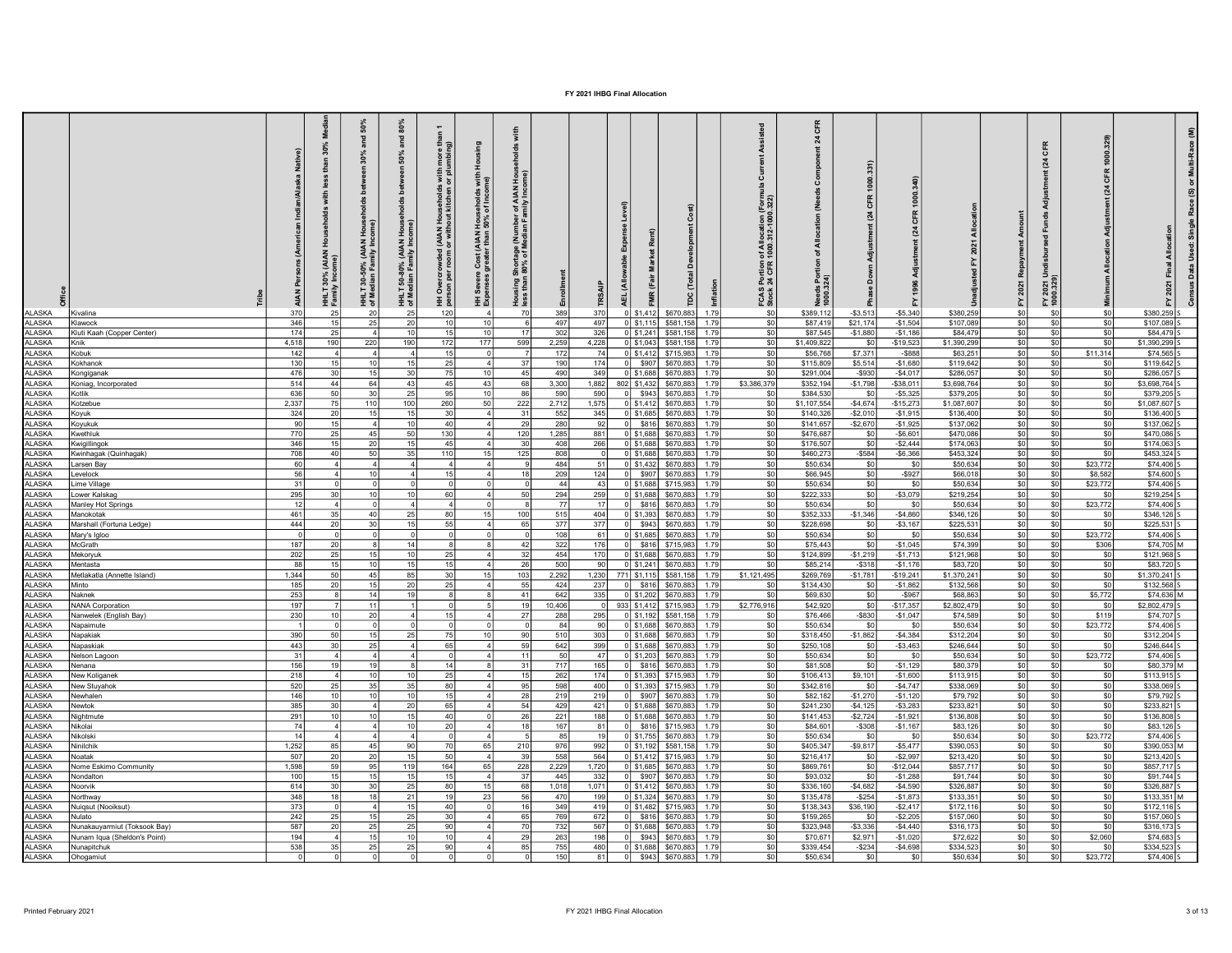| LASKA                | Kivalina                                  | m/Alaska Native)<br><b>AIAN Persons (A</b><br>370 | ž<br>30%<br>£<br>(AIAN<br>30%<br>v Inc<br>25 | 50%<br>$rac{1}{6}$<br>30%<br>ă<br>۰<br>$rac{3}{2}$<br>30-50% (AIAN<br>HHLT<br>of Me<br>20 | 80%<br>and<br>en 50%<br>bet<br>-g<br>$rac{3}{2}$<br>50-80% (AIAN<br>이 Me<br>여 Me<br>25 | $\overline{ }$<br>HH Overcrowded (AIAN Households with more than<br>nerson ner_room_or_without kitchen or plumbing)<br>120 | Severe Cost (AIAN Households with<br>enses greater than 50% of Income)<br>. 토 | Shortage (Number of AIAN Hou<br>1 80% of Median Family Income)<br>Housing \$<br>70 | 389             | TRSJ<br>370  |             | (Fair<br>FMR<br>\$1,412 | (Total<br>pc<br>E<br>\$670,883<br>1.79                 | FCAS Portion of Allocation (Forn<br>Stock 24 CFR 1000.312-1000.322)<br>S <sub>0</sub> | 똕<br>ង<br>Needs Po<br>1000.324)<br>\$389,112 | <b>CFR 1000</b><br>(24)<br>$- $3,513$ | ö<br>$\mathbb{Z}$<br>$-$5,340$ | \$380,259              | 놊<br>SO        | (24 CFR<br>FY 2021 Ur<br>1000.329)<br>\$0 | শ্ৰ<br>\$0        | ε<br>Multi-Race<br>ම<br>\$380,259 |
|----------------------|-------------------------------------------|---------------------------------------------------|----------------------------------------------|-------------------------------------------------------------------------------------------|----------------------------------------------------------------------------------------|----------------------------------------------------------------------------------------------------------------------------|-------------------------------------------------------------------------------|------------------------------------------------------------------------------------|-----------------|--------------|-------------|-------------------------|--------------------------------------------------------|---------------------------------------------------------------------------------------|----------------------------------------------|---------------------------------------|--------------------------------|------------------------|----------------|-------------------------------------------|-------------------|-----------------------------------|
| <b>ALASKA</b>        | Klawock                                   | 346                                               | 15                                           | 25                                                                                        | 20                                                                                     |                                                                                                                            | 10 <sup>1</sup>                                                               | 61                                                                                 | 497             | 497          | 0 \$1.115   |                         | \$581.158<br>1.79                                      | SO.                                                                                   | \$87,419                                     | \$21,174                              | $-$1,504$                      | \$107,089              | so l           | \$0                                       | \$0               | \$107,089                         |
| LASKA                | Kluti Kaah (Copper Center)                | 174                                               | 25                                           |                                                                                           | 10                                                                                     |                                                                                                                            | 10 <sup>1</sup>                                                               | 17                                                                                 | 302             | 326          |             | 0 \$1,241               | \$581.158<br>1 7 C                                     | \$0                                                                                   | \$87,545                                     | $-$1,880$                             | $-$1.186$                      | \$84,479               | so             | \$0                                       | \$0               | \$84,479                          |
| LASKA                | Knik                                      | 4,518                                             | 190                                          | 220                                                                                       | 190                                                                                    | 172                                                                                                                        | 177                                                                           | 599                                                                                | 2,259           | 4,228        |             | $0$ \$1,043             | \$581,158<br>1.79                                      | \$0                                                                                   | \$1,409,822                                  | SO                                    | $-$19,523$                     | \$1,390,299            | \$0            | \$0                                       | \$0               | \$1,390,299                       |
| LASKA                | Kobuk                                     | 142                                               | $\overline{4}$                               | -41                                                                                       |                                                                                        |                                                                                                                            |                                                                               |                                                                                    | 172             | 74           |             |                         | 0 \$1,412 \$715,983<br>1.79                            | S <sub>0</sub>                                                                        | \$56,768                                     | \$7,371                               | $-$ \$888                      | \$63,251               | so             | \$0                                       | \$11,314          | \$74,565                          |
| LASKA                | Kokhanok                                  | 130                                               | 15                                           | 10 <sup>1</sup>                                                                           | 15                                                                                     | - 25                                                                                                                       | $\Delta$                                                                      | 37                                                                                 | 190             | 174          |             | \$907                   | \$670,883<br>1 7 C                                     | ്ട് വ                                                                                 | \$115,809                                    | \$5,514                               | $-$1,680$                      | \$119,642              | so l           | \$0                                       | - \$0             | \$119,642                         |
| LASKA                | Kongiganak                                | 476                                               | 30                                           | 15                                                                                        | 30                                                                                     |                                                                                                                            | 10 <sup>1</sup>                                                               | 45                                                                                 | 490             | 349          |             | \$1,688                 | \$670,883<br>1 7 C                                     | .\$∩                                                                                  | \$291,004                                    | $-$930$                               | $-$4,017$                      | \$286,057              | $ $ so         | \$0                                       | \$0               | \$286.057                         |
| LASKA                | Koniag, Incorporated                      | 514                                               | 44                                           | 64                                                                                        | 43                                                                                     | 45                                                                                                                         | 43                                                                            | 68                                                                                 | 3,300           | 1,882        |             |                         | 802 \$1,432 \$670,883 1.79                             | \$3,386,379                                                                           | \$352,194                                    | $-$1,798$                             | $-$ \$38,011                   | \$3,698,764            | so             | \$0                                       | \$0               | \$3,698,764                       |
| LASKA<br>LASKA       | Kotlik                                    | 636                                               | 50                                           | 30 <sub>2</sub>                                                                           | 25 l                                                                                   | 95                                                                                                                         | 10 <sup>1</sup>                                                               | 86                                                                                 | 590             | 590          |             |                         | \$943 \$670,883<br>1.79                                | \$0                                                                                   | \$384,530                                    | \$0                                   | $-$5,325$                      | \$379,205              | so             | \$0                                       | \$0               | \$379,205                         |
|                      | Kotzebue                                  | 2,337                                             | 75                                           | 110                                                                                       | 100<br>15                                                                              | 260<br>-30                                                                                                                 | -50<br>$\Lambda$                                                              | 222                                                                                | 2,712           | 1,575        |             |                         | 0 \$1,412 \$670,883<br>1.79                            | - \$0                                                                                 | \$1,107,554                                  | $-$4,674$                             | $-$15,273$                     | \$1,087,607            | SO             | \$0                                       | \$0               | \$1,087,607                       |
| LASKA<br><b>ASKA</b> | Koyuk<br>Koyukuk                          | 324<br>90                                         | 20<br>15                                     | 15                                                                                        | 10 <sup>1</sup>                                                                        | 40                                                                                                                         | $\Delta$                                                                      | 31<br>29                                                                           | 552<br>280      | 345<br>92    |             |                         | 0 \$1,685 \$670,883<br>1.79<br>\$816 \$670,883<br>1.79 | SO<br>SO.                                                                             | \$140,326<br>\$141,657                       | $-$2,010$<br>$-$2,670$                | $-$1,915$<br>$-$1,925$         | \$136,400<br>\$137,062 | \$0<br>$ $ \$0 | \$0                                       | \$0<br>\$0        | \$136,400<br>\$137,062            |
| LASKA                | Kwethluk                                  | 770                                               | 25                                           | 45                                                                                        | 50                                                                                     | 130                                                                                                                        | $\Delta$                                                                      | 120                                                                                | 1,285           | 881          |             | 0 \$1.688               | \$670,883<br>1.79                                      | SO.                                                                                   | \$476,687                                    | SO                                    | $-$6,601$                      | \$470,086              | SO             | \$0<br>\$0                                | \$0               | \$470,086                         |
| LASKA                | Kwigillingok                              | 346                                               | 15                                           | 20                                                                                        | 15                                                                                     | 45                                                                                                                         | $\Delta$                                                                      | 30 <sup>1</sup>                                                                    | 408             | 266          |             |                         | 0 \$1,688 \$670,883<br>1.79                            | SO.                                                                                   | \$176,507                                    | SO I                                  | $-$2,444$                      | \$174,063              | SO             | \$0                                       | \$0               | \$174,063                         |
| LASKA                | Kwinhagak (Quinhagak)                     | 708                                               | 40                                           | 50                                                                                        | -35 l                                                                                  | 110                                                                                                                        | 15                                                                            | 125                                                                                | 808             | $\Omega$     |             |                         | 0 \$1,688 \$670,883<br>1.79                            | SO.                                                                                   | \$460,273                                    | $-$584$                               | $-$6,366$                      | \$453,324              | SO             | \$0                                       | \$0               | \$453,324                         |
| <b>ASKA</b>          | arsen Bay                                 | 60                                                | 4                                            |                                                                                           |                                                                                        |                                                                                                                            | $\Delta$                                                                      |                                                                                    | 484             | 51           |             | $0$ \$1,432             | \$670,883<br>1.79                                      | SO.                                                                                   | \$50,634                                     | \$0                                   | \$0                            | \$50,634               | $ $ \$0        | \$0                                       | \$23,772          | \$74,406                          |
| LASKA                | evelock                                   | 56                                                | 41                                           | 10 <sup>1</sup>                                                                           |                                                                                        |                                                                                                                            | $\Delta$                                                                      | 18                                                                                 | 209             | 124          |             | \$907                   | \$670,883<br>1.79                                      | SO.                                                                                   | \$66,945                                     | \$0                                   | $-$ \$927                      | \$66,018               | SO             | \$0                                       | \$8,582           | \$74,600                          |
| LASKA                | ime Village                               | 31                                                | 0                                            |                                                                                           |                                                                                        |                                                                                                                            |                                                                               | $\Omega$                                                                           | $\overline{44}$ | 43           |             |                         | 0 \$1,688 \$715,983<br>1.79                            | \$0                                                                                   | \$50,634                                     | \$0                                   | - \$0                          | \$50,634               | \$0            | \$0                                       | \$23,772          | $$74,406$ S                       |
| LASKA                | ower Kalskag                              | 295                                               | 30                                           | 10 <sup>1</sup>                                                                           | 10 <sup>1</sup>                                                                        | 60                                                                                                                         | $\Delta$                                                                      | 50                                                                                 | 294             | 259          |             |                         | 0 \$1,688 \$670,883<br>1.79                            | SO.                                                                                   | \$222,333                                    | \$0                                   | $-$3,079$                      | \$219,254              | SO             | \$0                                       | \$0               | \$219,254                         |
| <b>ASKA</b>          | Manley Hot Springs                        | 12                                                | 4                                            |                                                                                           |                                                                                        |                                                                                                                            |                                                                               |                                                                                    | 77              | 17           |             |                         | \$816 \$670,883<br>1.79                                | SO.                                                                                   | \$50,634                                     | \$0                                   | \$0                            | \$50,634               | SO             | \$0                                       | \$23,772          | \$74,406                          |
| LASKA                | Manokotak                                 | 461                                               | 35                                           | 40                                                                                        | 25 l                                                                                   | -80                                                                                                                        | 15                                                                            | 100                                                                                | 515             | 404          |             |                         | 0 \$1,393 \$670,883<br>1.79                            | \$0                                                                                   | \$352,333                                    | $-$1,346$                             | $-$4.860$                      | \$346,126              | SO             | \$0                                       | \$0               | \$346, 126                        |
| LASKA                | Marshall (Fortuna Ledge)                  | 444                                               | 20                                           | 30                                                                                        | 151                                                                                    | 55                                                                                                                         | $\Delta$                                                                      | 65                                                                                 | 377             | 377          |             |                         | \$943 \$670,883<br>1.79                                | \$0                                                                                   | \$228,698                                    | \$0                                   | $- $3,167$                     | \$225,531              | SO             | \$0                                       | \$0               | \$225,531                         |
| LASKA                | Mary's Igloo                              | $\Omega$                                          | 0                                            |                                                                                           |                                                                                        |                                                                                                                            |                                                                               | $\overline{0}$                                                                     | 108             | 61           |             |                         | 0 \$1,685 \$670,883<br>1.79                            | SO.                                                                                   | \$50,634                                     | \$0                                   | \$0                            | \$50,634               | $ $ \$0        | \$0                                       | \$23,772          | $$74,406$ S                       |
| <b>ASKA</b>          | McGrath                                   | 187                                               | 20                                           |                                                                                           | 14                                                                                     |                                                                                                                            |                                                                               | 42                                                                                 | 322             | 176          |             |                         | \$816 \$715,983<br>1.79                                | SO.                                                                                   | \$75,443                                     | SO                                    | $-$1,045$                      | \$74,399               | SO             | \$0                                       | \$306             | \$74,705 M                        |
| LASKA                | Mekoryuk                                  | 202                                               | 25                                           | 15                                                                                        | 10 <sup>1</sup>                                                                        |                                                                                                                            | $\Delta$                                                                      | 32                                                                                 | 454             | 170          |             |                         | $0$ \$1,688 \$670,883<br>1.79                          | \$0                                                                                   | \$124,899                                    | $-$1,219$                             | $-$1,713$                      | \$121,968              | sol            | \$0                                       | \$0               | \$121,968 S                       |
| LASKA                | Mentasta                                  | 88                                                | 15                                           | 10 <sup>1</sup>                                                                           | 15                                                                                     | 15                                                                                                                         | $\Lambda$                                                                     | 26                                                                                 | 500             | 90           |             |                         | 0 \$1,241 \$670,883 1.79                               | SO.                                                                                   | \$85,214                                     | $-$ \$318                             | $-$1,176$                      | \$83,720               | SO             | \$0                                       | \$0               | \$83,720 S                        |
| LASKA                | Metlakatla (Annette Island)               | 1,344                                             | 50                                           | 45                                                                                        | 85                                                                                     | -30                                                                                                                        | 15                                                                            | 103                                                                                | 2,292           | 1,230        |             |                         | 771 \$1,115 \$581,158 1.79                             | \$1,121,495                                                                           | \$269,769                                    | $-$1,781$                             | $-$19,241$                     | \$1,370,241            | so             | \$0                                       | \$0               | \$1,370,241                       |
| <b>ASKA</b>          | Minto                                     | 185                                               | 20                                           | 15                                                                                        | 20                                                                                     |                                                                                                                            | $\Delta$                                                                      | 55                                                                                 | 424             | 237          |             |                         | \$816 \$670,883<br>1.79                                | <b>SO</b>                                                                             | \$134,430                                    | SO                                    | $-$1,862$                      | \$132,568              | so             | SO                                        | \$0               | \$132,568                         |
| LASKA                | Naknek                                    | 253                                               | 8                                            | 14                                                                                        | 19 <sup>1</sup>                                                                        |                                                                                                                            |                                                                               | 41                                                                                 | 642             | 335          | $0$ \$1,202 |                         | \$670,883<br>1.79                                      | SO.                                                                                   | \$69,830                                     | SO I                                  | $-$ \$967                      | \$68,863               | SO             | \$0                                       | \$5,772           | \$74,636 M                        |
| LASKA<br>LASKA       | <b>NANA Corporation</b>                   | 197                                               | 71                                           | 11                                                                                        |                                                                                        |                                                                                                                            | $\Delta$                                                                      | 19<br>27                                                                           | 10,406          |              |             |                         | 933   \$1,412   \$715,983   1.79                       | \$2,776,916<br><b>SO</b>                                                              | \$42,920                                     | \$0                                   | $-$17,357$                     | \$2,802,479            | SO             | \$0                                       | - \$0             | \$2,802,479 S<br>\$74,707         |
| <b>ASKA</b>          | Nanwelek (English Bay)<br>Napaimute       | 230                                               | 10<br>0                                      | 20 <sub>2</sub>                                                                           |                                                                                        |                                                                                                                            |                                                                               | $\overline{0}$                                                                     | 288<br>-84      | 295<br>90    | $0$ \$1,192 |                         | \$581,158 1.79<br>0 \$1,688 \$670,883<br>1.79          | SO.                                                                                   | \$76,466<br>\$50,634                         | $-$ \$830<br>SO                       | $-$1,047$<br>\$0               | \$74,589<br>\$50,634   | so  <br>so     | \$0<br>\$0                                | \$119<br>\$23,772 | \$74,406                          |
| LASKA                | Napakiak                                  | 390                                               | 50                                           | 15                                                                                        | 25                                                                                     | -75                                                                                                                        | 10 <sup>1</sup>                                                               | 90                                                                                 | 510             | 303          |             |                         | 0 \$1,688 \$670,883 1.79                               | \$0                                                                                   | \$318,450                                    | $-$1,862$                             | $-$4,384$                      | \$312,204              | SO             | \$0                                       | \$0               | \$312,204                         |
| LASKA                | Napaskiak                                 | 443                                               | 30                                           | 25                                                                                        |                                                                                        | 65                                                                                                                         | $\Delta$                                                                      | 59                                                                                 | 642             | 399          |             |                         | 0 \$1,688 \$670,883<br>1.79                            | \$0                                                                                   | \$250,108                                    | \$0                                   | $-$3,463$                      | \$246,644              | SO             | \$0                                       | \$0               | \$246,644 S                       |
| LASKA                | Nelson Lagoor                             | 31                                                | 4                                            | $\vert$ 4                                                                                 |                                                                                        |                                                                                                                            | $\Delta$                                                                      | 11                                                                                 | -50             | 47           |             | $0$ \$1,203             | \$670,883<br>1.79                                      | \$0                                                                                   | \$50,634                                     | \$0                                   | \$0                            | \$50,634               | \$0            | \$0                                       | \$23,772          | $$74,406$ S                       |
| LASKA                | Nenana                                    | 156                                               | 19                                           | 19                                                                                        |                                                                                        | 14                                                                                                                         |                                                                               | 31                                                                                 | 717             | 165          |             |                         | \$816 \$670,883<br>1.79                                | \$0                                                                                   | \$81,508                                     | SO                                    | $-$1,129$                      | \$80,379               | so             | \$0                                       | \$0               | \$80,379 M                        |
| LASKA                | New Koliganek                             | 218                                               | 4                                            | 10 <sup>1</sup>                                                                           | 10 <sup>1</sup>                                                                        | 25                                                                                                                         | $\vert$ 4                                                                     | 15                                                                                 | 262             | 174          |             |                         | 0 \$1,393 \$715,983 1.79                               | \$0                                                                                   | \$106,413                                    | \$9,101                               | $-$1,600$                      | \$113,915              | so I           | SO I                                      | \$0               | $$113,915$ S                      |
| LASKA                | New Stuyahok                              | 520                                               | 25                                           | 35                                                                                        | 35 <sub>1</sub>                                                                        | 80                                                                                                                         | $\Delta$                                                                      | 95                                                                                 | 598             | 400          |             |                         | 0 \$1,393 \$715,983<br>1.79                            | \$0                                                                                   | \$342,816                                    | \$0                                   | $-$4,747$                      | \$338,069              | so             | \$0                                       | \$0               | \$338,069 5                       |
| LASKA                | Newhalen                                  | 146                                               | 10                                           | 10 <sup>1</sup>                                                                           | 10 <sup>1</sup>                                                                        |                                                                                                                            | $\vert$ 4                                                                     | 28                                                                                 | 219             | 219          |             | \$907                   | \$670,883<br>1.79                                      | \$0                                                                                   | \$82,182                                     | $-$1,270$                             | $-$1,120$                      | \$79,792               | so             | \$0                                       | \$0               | \$79,792                          |
| LASKA                | Newtok                                    | 385                                               | 30                                           | $\overline{4}$                                                                            | 20                                                                                     | 65                                                                                                                         | $\Delta$                                                                      | 54                                                                                 | 429             | 421          |             |                         | 0 \$1,688 \$670,883<br>1.79                            | \$0                                                                                   | \$241,230                                    | $-$4,125$                             | $-$3,283$                      | \$233,821              | sol            | \$0                                       | \$0               | \$233,821                         |
| LASKA                | Nightmute                                 | 291                                               | 10                                           | 10 <sup>1</sup>                                                                           | 151                                                                                    | 40                                                                                                                         | $\Omega$                                                                      | 26                                                                                 | 221             | 188          |             |                         | 0 \$1,688 \$670,883 1.79                               | \$0                                                                                   | \$141,453                                    | $-$2,724$                             | $-$1,921$                      | \$136,808              | SO             | SO.                                       | \$0               | \$136,808 S                       |
| LASKA                | Nikolai                                   | 74                                                | 4                                            |                                                                                           | 10 <sup>1</sup>                                                                        | - 20                                                                                                                       | $\Delta$                                                                      | 18                                                                                 | 167             | 81           |             |                         | \$816 \$715,983<br>1.79                                | \$0                                                                                   | \$84,601                                     | $-$ \$308                             | $-$1,167$                      | \$83,126               | so             | \$0                                       | \$0               | $$83,126$ S                       |
| LASKA                | likolski                                  | 14                                                | 4 <sup>1</sup>                               |                                                                                           |                                                                                        |                                                                                                                            | $\Delta$                                                                      |                                                                                    | 85              | 19           |             | 3   \$1,755             | \$670,883<br>1.79                                      | \$0                                                                                   | \$50,634                                     | \$0                                   | \$0                            | \$50,634               | SO             | \$0                                       | \$23,772          | \$74,406 S                        |
| LASKA                | Ninilchik                                 | 1,252                                             | 85                                           | 45                                                                                        | 90                                                                                     | 70                                                                                                                         | 65                                                                            | 210                                                                                | 976             | 992          |             |                         | 0 \$1,192 \$581,158 1.79                               | \$0                                                                                   | \$405,347                                    | $-$9,817$                             | $-$5,477$                      | \$390,053              | SO             | \$0                                       | \$0               | \$390,053 M                       |
| LASKA<br>LASKA       | Noatak                                    | 507                                               | 20                                           | 20 <sub>1</sub>                                                                           | 15 <sup>1</sup><br>119                                                                 | 50<br>164                                                                                                                  | $\Delta$                                                                      | 39                                                                                 | 558             | 564          |             |                         | 0 \$1,412 \$715,983 1.79                               | \$0                                                                                   | \$216,417                                    | SO I                                  | $-$2,997$                      | \$213,420              | SO             | SO I                                      | \$0               | \$213,420 S                       |
| LASKA                | Nome Eskimo Community<br><b>Jondalton</b> | 1,598<br>100                                      | 59<br>15                                     | 95<br>15                                                                                  | 15                                                                                     |                                                                                                                            | 65<br>$\vert$ 4                                                               | 228<br>37                                                                          | 2,229<br>445    | 1,720<br>332 |             | \$907                   | 0 \$1,685 \$670,883 1.79<br>\$670,883<br>1.79          | \$0<br>\$0                                                                            | \$869,761<br>\$93,032                        | \$0<br>\$0                            | $-$12,044$<br>$-$1,288$        | \$857,717<br>\$91,744  | so  <br> SO    | \$0<br>\$0                                | \$0<br>\$0        | \$857,717 S<br>$$91,744$ S        |
| LASKA                | Noorvik                                   | 614                                               | 30                                           | 30                                                                                        | 25                                                                                     | 80                                                                                                                         | 15                                                                            | 68                                                                                 | 1,018           | 1,071        |             |                         | 0 \$1,412 \$670,883<br>1.79                            | \$0                                                                                   | \$336,160                                    | $-$4,682$                             | $-$4,590$                      | \$326,887              | SO             | \$0                                       | \$0               | \$326,887 S                       |
| LASKA                | Northway                                  | 348                                               | 18                                           | 18                                                                                        | 21                                                                                     | 19                                                                                                                         | 23                                                                            | 56                                                                                 | 470             | 199          |             |                         | 0 \$1,324 \$670,883 1.79                               | \$0                                                                                   | \$135,478                                    | $-$ \$254                             | $-$1,873$                      | \$133,351              | $ $ so         | SO I                                      | \$0               | \$133,351 M                       |
| LASKA                | Nuiqsut (Nooiksut)                        | 373                                               | $\mathbf 0$                                  |                                                                                           | 15                                                                                     | $\Lambda$ <sup>0</sup>                                                                                                     |                                                                               | 16                                                                                 | 349             | 419          |             |                         | 0 \$1,482 \$715,983<br>1.79                            | S <sub>0</sub>                                                                        | \$138,343                                    | \$36,190                              | $-$2,417$                      | \$172,116              | SO             | \$0                                       | \$0               | \$172,116 S                       |
| LASKA                | Nulato                                    | 242                                               | 25                                           | 15                                                                                        | 25                                                                                     |                                                                                                                            | $\vert$ 4                                                                     | 65                                                                                 | 769             | 672          |             |                         | \$816 \$670,883<br>1.79                                | \$0                                                                                   | \$159,265                                    | SO <sub>1</sub>                       | $-$ \$2,205                    | \$157,060              | SO             | \$0                                       | \$0               | \$157,060 S                       |
| LASKA                | Nunakauyarmiut (Toksook Bay)              | 587                                               | 20                                           | 25                                                                                        | 25                                                                                     | 90                                                                                                                         | $\Delta$                                                                      | 70                                                                                 | 732             | 567          |             |                         | 0 \$1,688 \$670,883<br>1.79                            | \$0                                                                                   | \$323,948                                    | $-$3,336$                             | $-$4,440$                      | \$316,173              | SO             | \$0                                       | \$0               | \$316,173 S                       |
| LASKA                | Nunam Iqua (Sheldon's Point)              | 194                                               | $\overline{4}$                               | 15                                                                                        | 10 <sup>1</sup>                                                                        |                                                                                                                            | $\Delta$                                                                      | 29                                                                                 | 263             | 198          |             |                         | \$943 \$670,883<br>1.79                                | \$0                                                                                   | \$70,671                                     | \$2,971                               | $-$1,020$                      | \$72,622               | SO             | \$0                                       | \$2,060           | $$74,683$ S                       |
| LASKA                | Nunapitchuk                               | 538                                               | 35                                           | 25                                                                                        | 25                                                                                     |                                                                                                                            | $\Lambda$                                                                     | 85                                                                                 | 755             | 480          |             | \$1,688                 | \$670,883<br>1.79                                      | S <sub>0</sub>                                                                        | \$339,454                                    | $-$234$                               | $-$4,698$                      | \$334,523              | SO             | \$0                                       | \$0               | \$334,523                         |
| <b>ALASKA</b>        | Ohogamiut                                 | $\Omega$                                          |                                              |                                                                                           |                                                                                        |                                                                                                                            |                                                                               | $\Omega$                                                                           | 150             | 81           |             |                         | \$943 \$670,883 1.79                                   | S <sub>0</sub>                                                                        | \$50,634                                     | SO <sub>2</sub>                       | \$0                            | \$50,634               | SO             | SO <sub>1</sub>                           | \$23,772          | \$74,406 S                        |
|                      |                                           |                                                   |                                              |                                                                                           |                                                                                        |                                                                                                                            |                                                                               |                                                                                    |                 |              |             |                         |                                                        |                                                                                       |                                              |                                       |                                |                        |                |                                           |                   |                                   |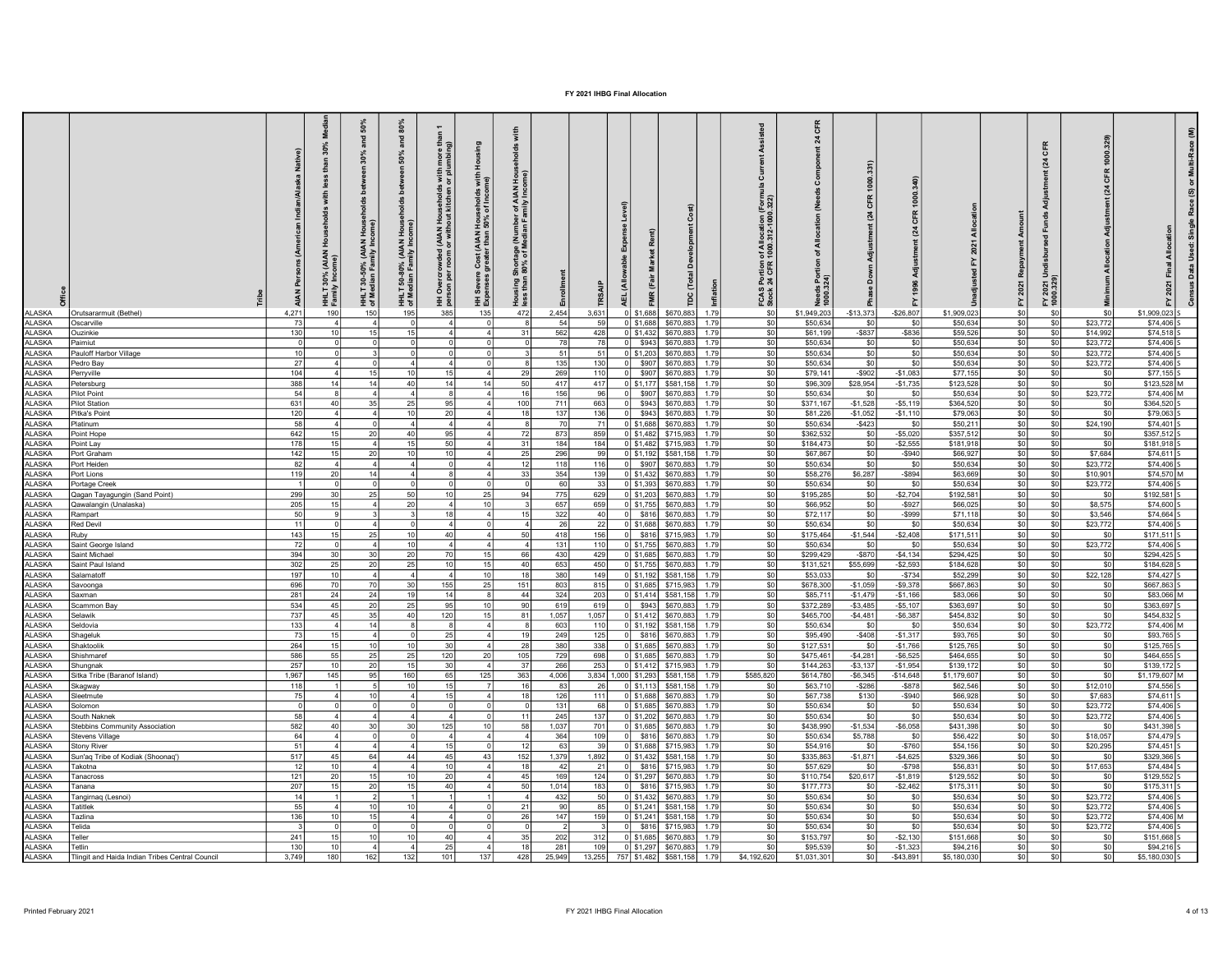|                         |                                                 |                 |                          | $50\%$                                          | and $80\%$                                                           |                                                                                            |                                                                                      | 휻                                                                              |                 |                     |                    |                                                      |              |                                                                     | CFR                       |                           |                          |                        |                                                   |                                             |                        |                             |
|-------------------------|-------------------------------------------------|-----------------|--------------------------|-------------------------------------------------|----------------------------------------------------------------------|--------------------------------------------------------------------------------------------|--------------------------------------------------------------------------------------|--------------------------------------------------------------------------------|-----------------|---------------------|--------------------|------------------------------------------------------|--------------|---------------------------------------------------------------------|---------------------------|---------------------------|--------------------------|------------------------|---------------------------------------------------|---------------------------------------------|------------------------|-----------------------------|
|                         |                                                 |                 | å                        | and                                             |                                                                      |                                                                                            |                                                                                      |                                                                                |                 |                     |                    |                                                      |              |                                                                     | $\boldsymbol{\mathsf{z}}$ |                           |                          |                        |                                                   |                                             |                        | Ξ                           |
|                         |                                                 |                 | 30%                      |                                                 |                                                                      |                                                                                            |                                                                                      | $\frac{8}{6}$                                                                  |                 |                     |                    |                                                      |              |                                                                     |                           |                           |                          |                        |                                                   |                                             |                        |                             |
|                         |                                                 |                 |                          |                                                 | HHLT 50-80% (AIAN Households between 50%<br>of Median Family Income) | HH Overcrowded (AIAN Households with more<br>person per room or without kitchen or plumbin | HH Severe Cost (AIAN Households with Housing<br>Expenses greater than 50% of Income) |                                                                                |                 |                     |                    |                                                      |              |                                                                     |                           |                           |                          |                        | nt (24 CFR                                        |                                             |                        |                             |
|                         |                                                 |                 |                          |                                                 |                                                                      |                                                                                            |                                                                                      |                                                                                |                 |                     |                    |                                                      |              |                                                                     |                           | nt (24 CFR 1000.331)      |                          |                        |                                                   |                                             | ৽                      |                             |
|                         |                                                 |                 |                          |                                                 |                                                                      |                                                                                            |                                                                                      | Housing Shortage (Number of AIAN Hou<br>less than 80% of Median Family Income) |                 |                     |                    |                                                      |              |                                                                     |                           |                           |                          |                        |                                                   |                                             | nt(24)                 | の                           |
|                         |                                                 |                 |                          |                                                 |                                                                      |                                                                                            |                                                                                      |                                                                                |                 |                     |                    |                                                      |              | FCAS Portion of Allocation (Form<br>Stock 24 CFR 1000.312-1000.322) |                           |                           |                          |                        |                                                   |                                             |                        |                             |
|                         |                                                 |                 |                          |                                                 |                                                                      |                                                                                            |                                                                                      |                                                                                |                 |                     |                    |                                                      |              |                                                                     |                           |                           | 품                        |                        | ő                                                 |                                             |                        |                             |
|                         |                                                 |                 |                          |                                                 |                                                                      |                                                                                            |                                                                                      |                                                                                |                 |                     |                    |                                                      |              |                                                                     |                           |                           |                          |                        |                                                   |                                             |                        |                             |
|                         |                                                 |                 |                          |                                                 |                                                                      |                                                                                            |                                                                                      |                                                                                |                 |                     |                    |                                                      |              |                                                                     |                           |                           | $\mathbb{Z}$             |                        |                                                   |                                             |                        |                             |
|                         |                                                 |                 | 훞                        |                                                 |                                                                      |                                                                                            |                                                                                      |                                                                                |                 |                     |                    |                                                      |              |                                                                     |                           |                           |                          | 2021                   |                                                   |                                             |                        |                             |
|                         |                                                 |                 | (AIAN                    |                                                 |                                                                      |                                                                                            |                                                                                      |                                                                                |                 |                     |                    |                                                      |              |                                                                     |                           |                           |                          |                        |                                                   |                                             |                        |                             |
|                         |                                                 |                 |                          |                                                 |                                                                      |                                                                                            |                                                                                      |                                                                                |                 |                     |                    |                                                      |              |                                                                     |                           |                           |                          |                        |                                                   |                                             |                        |                             |
|                         |                                                 |                 | 30%<br>J <sub>Incr</sub> | HHLT 30-50% (AIAN Hou<br>of Median Family Incom |                                                                      |                                                                                            |                                                                                      |                                                                                |                 |                     |                    | (Fair                                                |              |                                                                     | <b>Needs Point</b>        |                           |                          |                        |                                                   |                                             |                        |                             |
|                         |                                                 |                 | HHLT<br>Famil            |                                                 |                                                                      |                                                                                            |                                                                                      |                                                                                |                 |                     |                    |                                                      | Ĩ            |                                                                     |                           |                           |                          |                        |                                                   | FY 2021<br>1000.329                         |                        |                             |
| ALASKA                  |                                                 | 4.271           | 190                      | 150                                             | 195                                                                  | 385                                                                                        | 135                                                                                  | 472                                                                            | 2,454           | 3,631               |                    | 0 \$1,688<br>\$670,883                               | 1.79         | so l                                                                | \$1,949,203               | $-$13,373$                | $-$ \$26,807             | \$1,909.023            | SO <sub>2</sub>                                   | \$0                                         | \$0                    | \$1,909,023 S               |
| ALASKA                  | Orutsararmuit (Bethel)<br>Oscarville            | 73              |                          |                                                 |                                                                      | 4 <sup>1</sup>                                                                             | $\circ$                                                                              |                                                                                | 54              | 59                  |                    | $0$ \$1,688<br>\$670,883                             | 1.79         | \$0                                                                 | \$50,634                  | \$0                       | \$0                      | \$50,634               | SO                                                | \$0<br>\$23,772                             |                        | $$74,406$ S                 |
| ASKA                    | <b>Ouzinkie</b>                                 | 130             | 10 <sup>1</sup>          | 15                                              |                                                                      | $\overline{4}$                                                                             | $\overline{4}$                                                                       | $\mathbf{3}^{\circ}$                                                           | 562             | 428                 |                    | $0$ \$1,432<br>\$670,883                             | 1.79         | \$0                                                                 | \$61,199                  | \$837                     | $-$ \$836                | \$59,526               | SO                                                | \$0<br>\$14,992                             |                        | $$74,518$ S                 |
| ASKA                    | Paimiut                                         |                 |                          |                                                 |                                                                      |                                                                                            |                                                                                      |                                                                                | 78              | 78                  |                    | \$943<br>\$670,883                                   | 1.79         | SO                                                                  | \$50,634                  | S <sub>0</sub>            | \$0                      | \$50,634               | SO                                                | SO<br>\$23,772                              |                        | $$74,406$ S                 |
| ASKA                    | Pauloff Harbor Village                          | 10              |                          |                                                 |                                                                      | $\Omega$                                                                                   |                                                                                      |                                                                                | 51              | 51                  |                    | $0$ \$1,203<br>\$670,883                             | 1.79         | \$0                                                                 | \$50,634                  | \$0                       | \$0                      | \$50,634               | SO                                                | \$0<br>\$23,772                             |                        | $$74,406$ S                 |
| ASKA                    | Pedro Bay                                       | 27              |                          |                                                 |                                                                      | $\Delta$                                                                                   |                                                                                      |                                                                                | 135             | 130                 |                    | \$907<br>\$670,883                                   | 1.79         | \$0                                                                 | \$50,634                  | \$0                       | \$0                      | \$50,634               | $ $ so                                            | \$0<br>\$23,772                             |                        | $$74,406$ S                 |
| ASKA                    | Perryville                                      | 104             | 14                       | 15 <sup>1</sup><br>14                           | $\Delta$ 0                                                           | 15<br>14                                                                                   | 41<br>14                                                                             | 50                                                                             | 269             | 110                 |                    | \$907<br>\$670,883                                   | 1.79<br>1.79 | \$0                                                                 | \$79,141                  | $-$ \$902                 | $-$1,083$                | \$77,155               | SO                                                | \$0                                         | \$0<br>\$0             | $$77,155$ S                 |
| ASKA<br>ASKA            | Petersburg<br>Pilot Point                       | 388<br>54       |                          |                                                 |                                                                      | $\mathbf{R}$                                                                               | 41                                                                                   |                                                                                | 417<br>156      | 417<br>96           |                    | 0 \$1,177<br>\$581,158<br>\$907<br>\$670,883         | 1.79         | \$0<br>\$0                                                          | \$96,309<br>\$50,634      | \$28,954<br>\$0           | $-$1,735$<br>\$0         | \$123,528<br>\$50,634  | SO <br>\$0                                        | SO<br>SO<br>\$23,772                        |                        | \$123,528 M<br>\$74,406 M   |
| ASKA                    | <b>Pilot Station</b>                            | 631             | 40 <sup>1</sup>          | 35 <sub>1</sub>                                 |                                                                      | 95                                                                                         | 41                                                                                   | 100                                                                            | 711             | 663                 |                    | \$943<br>\$670,883                                   | 1.79         | \$0                                                                 | \$371,167                 | $-$1,528$                 | $-$5,119$                | \$364,520              | SO                                                | SO <sub>1</sub>                             | \$0                    | \$364,520 S                 |
| ASKA                    | Pitka's Point                                   | 120             |                          |                                                 |                                                                      | 20                                                                                         | 41                                                                                   |                                                                                | 137             | 136                 |                    | \$943<br>\$670,883                                   | 1.79         | SO                                                                  | \$81,226                  | $-$1,052$                 | $-$1,110$                | \$79,063               | soI                                               | so                                          | \$0                    | \$79,063 S                  |
| ASKA                    | Platinum                                        | 58              |                          |                                                 |                                                                      | $\overline{4}$                                                                             | 4                                                                                    |                                                                                | 70              | 71                  |                    | $0$ \$1,688<br>\$670,883                             | 1.79         | \$0                                                                 | \$50,634                  | $-$423$                   | \$0                      | \$50,211               | SO                                                | SO<br>\$24,190                              |                        | \$74,401 S                  |
| ASKA                    | Point Hope                                      | 642             | 15                       | 20 <sub>1</sub>                                 |                                                                      | 95                                                                                         | 41                                                                                   |                                                                                | 873             | 859                 |                    | $0$ \$1,482<br>\$715,983                             | 1.79         | \$0                                                                 | \$362,532                 | \$0                       | $-$5,020$                | \$357,512              | SO                                                | SO                                          | \$0                    | $$357,512$ S                |
| <b>ASKA</b>             | oint Lay                                        | 178             | 15<br>15 <sub>1</sub>    | 20 <sub>1</sub>                                 |                                                                      | 50<br>10 <sup>1</sup>                                                                      | 4                                                                                    |                                                                                | 184             | 184                 |                    | $0$ \$1,482<br>\$715,983                             | 1.79         | \$0                                                                 | \$184,473                 | SO                        | $-$ \$2,555              | \$181,918              | SO                                                | $ $ so                                      | \$0                    | $$181,918$ S                |
| ASKA<br>ASKA            | Port Graham<br>Port Heiden                      | 142<br>82       |                          |                                                 |                                                                      |                                                                                            | $\Delta$<br>$\overline{4}$                                                           | 25                                                                             | 296<br>118      | 99<br>116           | ΩI                 | $0$ \$1,192<br>\$581,158<br>\$907<br>\$670,883       | 1.79<br>1.79 | \$0<br>\$0                                                          | \$67,867<br>\$50,634      | SO<br>SO                  | $-$ \$940<br>\$0         | \$66,927<br>\$50,634   | SO <br> SO                                        | so<br>\$7,684<br>SO<br>\$23,772             |                        | $$74,611$ S<br>$$74,406$ S  |
| ASKA                    | Port Lions                                      | 119             | 20 <sup>1</sup>          |                                                 |                                                                      |                                                                                            | 41                                                                                   | 33                                                                             | 354             | 139                 |                    | $0$ \$1,432<br>\$670,883                             | 1.79         | SO                                                                  | \$58,276                  | \$6,287                   | $-$ \$894                | \$63,669               | SO                                                | SO<br>\$10,901                              |                        | \$74,570 M                  |
| ASKA                    | Portage Creek                                   |                 |                          |                                                 |                                                                      |                                                                                            |                                                                                      |                                                                                | 60              | 33                  |                    | $0$ \$1,393<br>\$670,883                             | 1.79         | SO                                                                  | \$50,634                  | \$0                       | \$0                      | \$50,634               | SO                                                | so <sub>1</sub><br>\$23,772                 |                        | \$74,406 S                  |
| ASKA                    | Qagan Tayagungin (Sand Point)                   | 299             | 30 <sup>1</sup>          | 25                                              | 50                                                                   | 10 <sup>1</sup>                                                                            | 25                                                                                   |                                                                                | 775             | 629                 |                    | 0 \$1,203<br>\$670,883                               | 1.79         | so l                                                                | \$195,285                 | SO                        | $-$ \$2.704              | \$192.581              | $ S_0 $                                           | \$0                                         | \$0                    | \$192,581 S                 |
| ASKA                    | Qawalangin (Unalaska)                           | 205             | 15 <sub>1</sub>          |                                                 | 20                                                                   | ΔI                                                                                         | 10 <sup>1</sup>                                                                      |                                                                                | 657             | 659                 |                    | $0$ \$1,755<br>\$670,883                             | 1.79         | \$0                                                                 | \$66,952                  | SO                        | $-$ \$927                | \$66,025               | SO                                                | \$0<br>\$8,575                              |                        | \$74,600 S                  |
| ASKA                    | Rampart                                         | 50              |                          |                                                 |                                                                      | 18                                                                                         | 41                                                                                   |                                                                                | 322             | 40                  |                    | \$816<br>\$670,883                                   | 1.79         | \$0                                                                 | \$72,117                  | SO <sub>2</sub>           | $-$ \$999                | \$71,118               | $ $ so                                            | SO <sub>1</sub><br>\$3,546                  |                        | \$74,664 S                  |
| ASKA<br>ASKA            | Red Devil<br>Ruby                               | 11<br>143       | 15                       | 25                                              |                                                                      | $\Delta$<br>40 <sup>1</sup>                                                                | $\Delta$                                                                             |                                                                                | 26<br>418       | 22<br>156           | $\Omega$           | $0$ \$1,688<br>\$670,883<br>\$816<br>\$715,983       | 1.79<br>1.79 | SO<br>SO                                                            | \$50,634<br>\$175,464     | \$0<br>$-$1.544$          | \$0<br>$-$2.408$         | \$50,634<br>\$171.511  | SO<br>$ $ so                                      | \$0<br>\$23,772<br>SO <sub>2</sub>          | \$0                    | \$74,406 S<br>$$171.511$ S  |
| ASKA                    | Saint George Island                             | 72              |                          |                                                 |                                                                      | $\Delta$                                                                                   | 41                                                                                   |                                                                                | 131             | 110                 |                    | $0$ \$1,755<br>\$670,883                             | 1.79         | \$0                                                                 | \$50,634                  | so l                      | sol                      | \$50,634               | SO                                                | SO <sub>1</sub><br>\$23,772                 |                        | \$74,406 S                  |
| ASKA                    | Saint Michae                                    | 394             | 30                       | 30                                              |                                                                      | 70                                                                                         | 15 <sup>1</sup>                                                                      |                                                                                | 430             | 429                 |                    | 0 \$1,685<br>\$670,88                                | 1.79         | \$0                                                                 | \$299,429                 | $-$ \$870                 | $-$4,134$                | \$294,425              | \$0                                               | \$0                                         | \$0                    | \$294,425                   |
| ASKA                    | Saint Paul Island                               | 302             | 25                       | 20 <sup>1</sup>                                 | 25                                                                   | 10 <sup>1</sup>                                                                            | 15 <sup>1</sup>                                                                      | 40                                                                             | 653             | 450                 |                    | $0$ \$1,755<br>\$670,883                             | 1.79         | \$0                                                                 | \$131,521                 | \$55,699                  | $-$2,593$                | \$184,628              | $ $ \$0                                           | \$0                                         | \$0                    | \$184,628 S                 |
| ASKA                    | Salamatoff                                      | 197             | 10 <sup>1</sup>          |                                                 |                                                                      | ΔI                                                                                         | 10 <sup>1</sup>                                                                      |                                                                                | 380             | 149                 |                    | $0$ \$1,192<br>\$581,158                             | 1.79         | SO                                                                  | \$53,033                  | \$0                       | $-$ \$734                | \$52,299               | $ $ so                                            | SO<br>\$22.128                              |                        | $$74,427$ S                 |
| LASKA                   | Savoonga                                        | 696             | 70                       | 70                                              |                                                                      | 155<br>14                                                                                  | 25<br>۶l                                                                             | 151<br>$\Delta$                                                                | 803             | 815                 |                    | $0$ \$1.685<br>\$715,983                             | 1.79         | SO                                                                  | \$678,300                 | $-$1.059$                 | $-$ \$9.378              | \$667,863              | $\overline{\text{SO}}$                            | 50                                          | - \$0                  | $$667.863$ S                |
| ASKA<br>ASKA            | Saxman<br>Scammon Bav                           | 281<br>534      | 24<br>45                 | 24<br>20                                        | 25                                                                   | 95                                                                                         | 10                                                                                   | 90                                                                             | 324<br>619      | 203<br>619          | $\circ$            | $0$ \$1,414<br>\$581,158<br>\$943<br>\$670,883       | 1.79<br>1.79 | \$0<br>SO                                                           | \$85,711<br>\$372,289     | $-$1,479$<br>$-$3,485$    | $-$1,166$<br>$-$5,107$   | \$83,066<br>\$363,697  | SO<br>$\frac{1}{20}$                              | SO<br>\$0                                   | \$0<br>\$0             | \$83,066 M<br>\$363,697 S   |
| LASKA                   | Selawik                                         | 737             | 45                       | 35                                              | 40                                                                   | 120                                                                                        | 15                                                                                   | 81                                                                             | 1,057           | 1,057               |                    | $0$ \$1,412<br>\$670,883                             | 1.79         | SO                                                                  | \$465,700                 | $-$4.481$                 | $-$6.387$                | \$454,832              | $ $ so $ $                                        | 50                                          | \$0                    | $$454,832$ S                |
| LASKA                   | Seldovia                                        | 133             |                          | 14                                              |                                                                      | <b>R</b>                                                                                   | $\overline{4}$                                                                       |                                                                                | 603             | 110                 |                    | $0$ \$1,192<br>\$581,158                             | 1.79         | \$0                                                                 | \$50,634                  | $\mathsf{s}$ <sup>0</sup> | \$0                      | \$50,634               | 50                                                | $\overline{50}$<br>\$23,772                 |                        | \$74,406 M                  |
| ASKA                    | Shageluk                                        | 73              | 15                       |                                                 |                                                                      | <b>25</b>                                                                                  | $\Delta$                                                                             |                                                                                | 249             | 125                 | n l                | \$816<br>\$670,88                                    | 1.79         | \$0                                                                 | \$95,490                  | $-$408$                   | $-$1,317$                | \$93,765               | $\mathsf{S}0$                                     | SO                                          | \$0                    | \$93,765 S                  |
| ASKA                    | Shaktoolik                                      | 264             | 15                       | 10 <sup>1</sup>                                 |                                                                      | 30                                                                                         | $\Delta$                                                                             | 28                                                                             | 380             | 338                 |                    | $0$ \$1,685<br>\$670,883                             | 1.79         | \$0                                                                 | \$127,531                 | \$0                       | $-$1,766$                | \$125,765              | $ $ \$0                                           | \$0                                         | sol                    | \$125,765 S                 |
| AI ASKA<br>LASKA        | Shishmaref<br>Shungnak                          | 586<br>257      | 55<br>10 <sub>1</sub>    | 25<br>20                                        | 25                                                                   | 120<br>30                                                                                  | 20<br>$\vert$ 4                                                                      | 105<br>-31                                                                     | 729<br>266      | 698<br>253          |                    | $0$ \$1,685<br>\$670,883<br>$0$ \$1,412<br>\$715,983 | 1.79<br>1.79 | SO<br>\$0                                                           | \$475,461<br>\$144,263    | $-$4,281$<br>$-$3,137$    | $-$ \$6,525<br>$-$1,954$ | \$464,655<br>\$139,172 | $\overline{\text{SO}}$<br>\$0                     | 50<br>                                      | $\overline{50}$<br>\$0 | $$464,655$ S<br>\$139,172 S |
| <b>ALASKA</b>           | Sitka Tribe (Baranof Island)                    | 1,967           | 145                      | 95                                              | 160                                                                  | 65                                                                                         | 125                                                                                  | 363                                                                            | 4,006           | 3,834 1,000 \$1,293 |                    | \$581,158                                            | 1.79         | \$585,820                                                           | \$614,780                 | $-$6,345$                 | $-$14,648$               | \$1,179,607            | $ $ so                                            | \$0                                         | \$0                    | \$1,179,607 M               |
| ALASKA                  | Skagway                                         | 118             |                          | 51                                              | 10                                                                   | 15                                                                                         | <b>7</b>                                                                             | 16                                                                             | 83              | 26                  |                    | $0$ \$1,113<br>\$581,158                             | 1.79         | $s$ <sub>0</sub>                                                    | \$63,710                  | $-$286$                   | $-$ \$878                | \$62,546               | $ $ \$0                                           | \$0<br>\$12,010                             |                        | $$74,556$ S                 |
| ALASKA                  | Sleetmute                                       | 75              |                          | 10                                              |                                                                      | 15                                                                                         | $\overline{4}$                                                                       | 1s                                                                             | 126             | 111                 |                    | $0$ \$1,688<br>\$670,883                             | 1.79         | SO                                                                  | \$67,738                  | \$130                     | $-$ \$940                | \$66,928               | $\overline{\text{SO}}$                            | SO<br>\$7,683                               |                        | $$74,611$ S                 |
| ALASKA                  | Solomon                                         |                 |                          |                                                 |                                                                      |                                                                                            | o١                                                                                   |                                                                                | 131             | 68                  |                    | $0$ \$1,685<br>\$670,883                             | 1.79         | SO                                                                  | \$50,634                  | \$0                       | \$0                      | \$50,634               | $\boldsymbol{\mathsf{S}}$                         | <br>\$23,772                                |                        | \$74,406 S                  |
| ALASKA<br>ALASKA        | South Naknek<br>Stebbins Community Association  | 58<br>582       | 40                       | 30                                              | 30                                                                   | ΔI<br>125                                                                                  | $\Omega$<br>10                                                                       | $\mathbf{1}$<br>58                                                             | 245<br>1,037    | 137<br>701          |                    | $0$ \$1,202<br>\$670,883<br>$0$ \$1,685<br>\$670,883 | 1.79<br>1.79 | \$0<br>50                                                           | \$50,634<br>\$438,990     | \$0<br>$-$1,534$          | \$0<br>$-$ \$6.058       | \$50,634<br>\$431,398  | $ $ so<br>$ $ so                                  | \$0<br>\$23,772<br>50<br>- \$0              |                        | $$74,406$ S<br>$$431,398$ S |
| ALASKA                  | Stevens Village                                 | 64              |                          |                                                 |                                                                      | $\Lambda$                                                                                  | $\Delta$                                                                             |                                                                                | 364             | 109                 |                    | \$816<br>\$670,883                                   | 1.79         | \$0                                                                 | \$50,634                  | \$5,788                   | \$0                      | \$56,422               | \$0                                               | \$0<br>\$18,057                             |                        | \$74,479 S                  |
| ALASKA                  | <b>Stony River</b>                              | 51              |                          |                                                 |                                                                      | 15                                                                                         | $\Omega$                                                                             | 12                                                                             | 63              | 39                  |                    | $0$ \$1,688<br>\$715,983                             | 1.79         | \$0                                                                 | \$54,916                  | \$0                       | $-$ \$760                | \$54,156               | $\overline{\phantom{0}}$ $\overline{\phantom{0}}$ | \$0<br>\$20,295                             |                        | \$74,451 S                  |
| <b>ALASKA</b>           | Sun'aq Tribe of Kodiak (Shoonaq')               | 517             | 45                       | 64                                              | $\overline{44}$                                                      | 45                                                                                         | 43                                                                                   | 152                                                                            | 1,379           | 1,892               |                    | $0$ \$1,432<br>\$581,158                             | 1.79         | \$0                                                                 | \$335,863                 | $-$1,871$                 | $-$4,625$                | \$329,366              | $ $ so                                            | \$0<br>\$0                                  |                        | \$329,366 S                 |
| <b>ALASKA</b>           | Takotna                                         | $\overline{12}$ | 10 <sup>1</sup>          | $\Delta$                                        |                                                                      | 10                                                                                         | $\Delta$                                                                             | 1s                                                                             | $\overline{42}$ | $\overline{21}$     | $\overline{\circ}$ | \$816<br>\$715,983                                   | 1.79         | 50                                                                  | \$57,629                  | \$0                       | $-5798$                  | \$56,831               | $\overline{\text{SO}}$                            | 50<br>\$17,653                              |                        | $$74,484$ S                 |
| ALASKA                  | Tanacross                                       | 121             | 20                       | 15 <sub>1</sub>                                 |                                                                      | 20                                                                                         | $\Delta$                                                                             | $\mathbf{A}$                                                                   | 169             | 124                 |                    | $0$ \$1,297<br>\$670,883                             | 1.79         | \$0                                                                 | \$110,754                 | \$20,617                  | $-$1,819$                | \$129,552              | \$0                                               | \$0                                         | - \$0                  | \$129,552                   |
| <b>ALASKA</b>           | Tanana                                          | 207<br>14       | 15 <sup>1</sup>          | 20<br>$\mathcal{D}$                             |                                                                      | -40                                                                                        | 4 <sup>1</sup>                                                                       | 50                                                                             | 1,014<br>432    | 183<br>50           | $\Omega$           | \$816<br>\$715,983                                   | 1.79<br>1.79 | \$0<br>$\overline{\text{SO}}$                                       | \$177,773<br>\$50,634     | \$0<br>SO                 | $-$2,462$<br>\$0         | \$175,311              | $ $ \$0<br>$\overline{\text{SO}}$                 | \$0<br>- \$0<br>$\overline{50}$<br>\$23,772 |                        | $$175,311$ S<br>$$74,406$ S |
| <b>ALASKA</b><br>ALASKA | <b>Tangirnaq</b> (Lesnoi)<br>Tatitlek           | 55              |                          | 10 <sup>1</sup>                                 |                                                                      | ΔI                                                                                         |                                                                                      |                                                                                | 90              | 85                  |                    | $0$ \$1,432<br>\$670,883<br>$0$ \$1,241<br>\$581,158 | 1.79         | \$0                                                                 | \$50,634                  | \$0                       | \$0                      | \$50,634<br>\$50,634   |                                                   | $ $ \$0<br>\$23,772                         |                        | \$74,406 S                  |
| ALASKA                  | <b>Tazlina</b>                                  | 136             | 10                       | 15                                              |                                                                      | ΔI                                                                                         |                                                                                      | 26                                                                             | 147             | 159                 |                    | $0$ \$1,241<br>\$581,158                             | 1.79         | so l                                                                | \$50,634                  | \$0                       | \$0                      | \$50,634               | $\frac{$0}{$0}$                                   | \$0<br>\$23,772                             |                        | \$74,406 M                  |
| <b>ALASKA</b>           | Telida                                          |                 |                          |                                                 |                                                                      | $\Omega$                                                                                   | $\Omega$                                                                             |                                                                                |                 | 3                   |                    | \$816<br>\$715,983                                   | 1.79         | \$0                                                                 | \$50,634                  | \$0                       | \$0                      | \$50,634               | \$0                                               | \$0<br>\$23,772                             |                        | \$74,406 S                  |
| <b>ALASKA</b>           | Teller                                          | 241             | 15 <sup>1</sup>          | 10                                              |                                                                      | 40                                                                                         | $\overline{4}$                                                                       | 35                                                                             | 202             | 312                 |                    | $0$ \$1,685<br>\$670,883                             | 1.79         | \$0                                                                 | \$153,797                 | 50                        | $-$2,130$                | \$151,668              | $\overline{\text{SO}}$                            | $\overline{\$0}$                            | \$0                    | \$151,668 S                 |
| <b>ALASKA</b>           | Tetlin                                          | 130             | 10 <sub>1</sub>          |                                                 |                                                                      | 25                                                                                         | $\overline{4}$                                                                       | 18                                                                             | 281             | 109                 |                    | $0$ \$1,297<br>\$670,883                             | 1.79         | \$0                                                                 | \$95,539                  | \$0                       | $-$1,323$                | \$94,216               | SO                                                | \$O                                         | \$0                    | \$94,216                    |
| ALASKA                  | Tlingit and Haida Indian Tribes Central Council | 3,749           | 180                      | 162                                             | 132                                                                  | 101                                                                                        | 137                                                                                  | 428                                                                            | 25,949          | 13,255              |                    | 757 \$1,482<br>\$581,158                             | 1.79         | \$4,192,620                                                         | \$1,031,301               | $\overline{\text{so}}$    | $-$ \$43,891             | \$5,180,030            | $\overline{\text{SO}}$                            | SO <sub>2</sub>                             | \$0                    | \$5,180,030                 |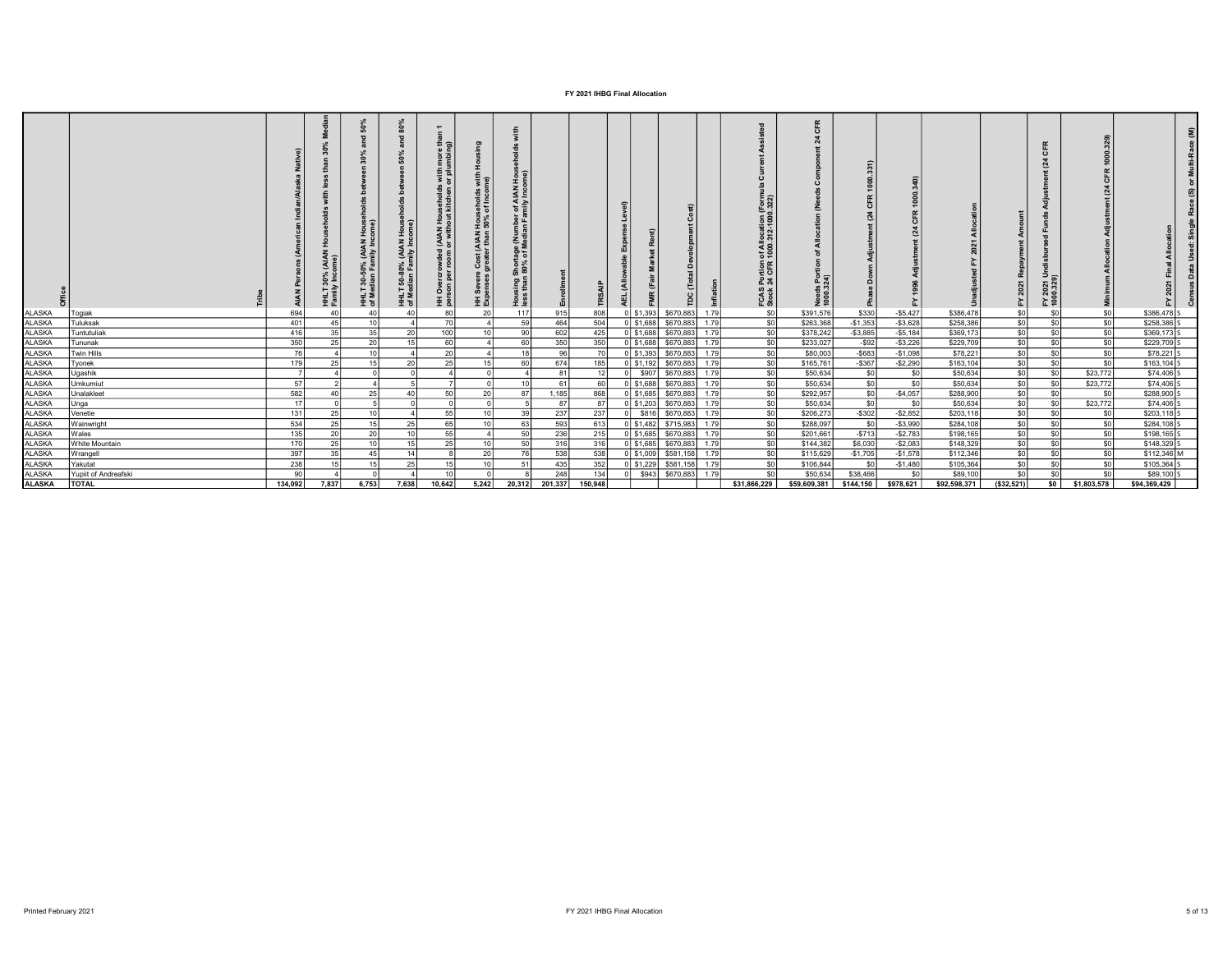|                                |                       |            |           | 호호              | $\frac{2}{d}$<br>호호 | ડ ક<br>王 효       | (AIAN Hou)<br>er than 50°,<br>Cost<br>王 및 | AIAN<br>Iy Incc<br>Snortage (Nur<br>180% of Media<br><u>오 홀</u> |                              |            |                                                  |                |              | of Allocat<br>1000.312-<br><b>FCAS Portion</b><br>Stock 24 CFR | <b>Pes</b>             |                                    |                          |                        |                 | ∍.<br>후 죠                          |                   |                        |  |
|--------------------------------|-----------------------|------------|-----------|-----------------|---------------------|------------------|-------------------------------------------|-----------------------------------------------------------------|------------------------------|------------|--------------------------------------------------|----------------|--------------|----------------------------------------------------------------|------------------------|------------------------------------|--------------------------|------------------------|-----------------|------------------------------------|-------------------|------------------------|--|
| ALASKA                         | Togiak                | 69         |           |                 |                     |                  |                                           | 117                                                             | 915                          | 808        | 0 \$1,393                                        | \$670,883      | 1.79         | so l                                                           | \$391,576              | \$330                              | $-$5,427$                | \$386,478              |                 | \$0                                | \$0               | \$386,478              |  |
| <b>ALASKA</b>                  | Tuluksak              | 401        | 45        | 10              |                     | 70 L             |                                           | 50                                                              | 464                          | 504        | $0$ \$1,688                                      | \$670,883 1.79 |              | $\overline{\text{SO}}$                                         | \$263,368              | $-$1,353$                          | $- $3,628$               | \$258,386              | \$0             | \$0                                | \$0               | \$258,386              |  |
| <b>ALASKA</b>                  | Tuntutuliak           | 416        | 35 l      | 35              | 20                  | 100 <sup>1</sup> | 10 <sup>1</sup>                           | Q <sub>0</sub>                                                  | 602                          | 425        | 0 \$1,688 \$670,883 1.79                         |                |              | \$0                                                            | \$378,242              | $-$3,885$                          | $- $5,184$               | \$369,173              | \$0             | \$0                                | sol               | \$369,173 S            |  |
| <b>ALASKA</b>                  | Tununak               | 350        | <b>25</b> | 20 <sup>1</sup> |                     | 60 <sub>1</sub>  |                                           | 60                                                              | 350                          | 350        | $0$ \$1,688                                      | \$670,883 1.79 |              | \$0                                                            | \$233,027              | $-$ \$92                           | $-$ \$3,226              | \$229,709              | \$0             | sol                                | \$0               | \$229,709 \$           |  |
| <b>ALASKA</b>                  | <b>Twin Hills</b>     | 76         |           | 10 <sup>1</sup> |                     | 20 I             |                                           |                                                                 | 96                           |            | 0 \$1,393 \$670,883 1.79                         |                |              | $\frac{$0}{$0}$                                                | \$80,003               | $-$ \$683                          | $-$1,098$                | \$78,221               | s0              | so l                               | $\sqrt{50}$       | \$78,221 \$            |  |
| <b>ALASKA</b>                  | Tyonek                | 179        | <b>25</b> | 15 <sup>1</sup> | 20                  | 25 I             |                                           |                                                                 | 674                          | 185        | 0 \$1,192 \$670,883 1.79                         |                |              |                                                                | \$165,761              | $-$ \$367                          | $-$2,290$                | \$163, 104             | \$0             | $\overline{50}$                    | \$0               | $$163, 104$ S          |  |
| <b>ALASKA</b>                  | Ugashik               |            |           |                 |                     |                  |                                           |                                                                 | 81                           |            | \$907 \$670,883 1.79                             |                |              | $\overline{\text{SO}}$                                         | \$50,634               | \$0                                | \$0                      | \$50,634               | SO <sub>2</sub> | \$0                                | \$23,772          | $$74,406$ S            |  |
| <b>ALASKA</b>                  | Umkumiut              | -57        |           |                 |                     |                  |                                           |                                                                 | 61                           | 60         | $0$ \$1,688                                      | \$670,883 1.79 |              | \$0<br>$\overline{\text{S}}$                                   | \$50,634               | SO                                 | \$0                      | \$50,634               | \$0             | \$0                                | \$23,772          | \$74,406               |  |
| <b>ALASKA</b>                  | Unalakleet            | 582        | 40        | 25              | 40                  | 50 l             | 20 <sup>1</sup>                           |                                                                 | 1,185                        | 868        | 0 \$1,685 \$670,883 1.79                         |                |              | $\overline{\phantom{0}}$ so                                    | \$292,957              | \$0<br>$\overline{\phantom{0}}$ so | $-$4,057$                | \$288,900              | \$0             | \$0                                | \$0               | \$288,900 S            |  |
| <b>ALASKA</b>                  | Unga                  | 17         |           | 10              |                     |                  |                                           |                                                                 | 87                           | -87        | 0 \$1,203 \$670,883 1.79                         |                |              | \$0                                                            | \$50,634               | $-$ \$302                          | \$0                      | \$50,634               | \$0<br>\$0      | SO <sub>1</sub><br>SO <sub>1</sub> | \$23,772          | \$74,406 S             |  |
| <b>ALASKA</b><br><b>ALASKA</b> | Venetie<br>Wainwright | 131<br>534 | 25<br>25  | 15              | 25                  | 55<br>65 I       |                                           |                                                                 | 237<br>593                   | 237<br>613 | \$816 \$670,883 1.79<br>0 \$1,482 \$715,983 1.79 |                |              | \$0                                                            | \$206,273<br>\$288,097 | \$0                                | $-$ \$2,852<br>$-$3,990$ | \$203,118<br>\$284,108 | \$0             | sol                                | \$0<br>\$0        | \$203,118<br>\$284,108 |  |
| <b>ALASKA</b>                  | Wales                 | 135        | 20        | 20              |                     | 55               |                                           |                                                                 | 236                          | 215        | 0 \$1,685 \$670,883 1.79                         |                |              | \$0                                                            | \$201,661              | $-$713$                            | $-$2,783$                | \$198,165              | \$0             | SO <sub>1</sub>                    | \$0               | \$198,165 S            |  |
| <b>ALASKA</b>                  | White Mountain        | 170        | 25        | $\overline{10}$ |                     | 25 I             |                                           | 50                                                              | 316                          | 316        | 0 \$1,685 \$670,883 1.79                         |                |              | $\overline{50}$                                                | \$144,382              | \$6,030                            | $-$ \$2,083              | \$148,329              | \$0             | 50                                 | \$0               | \$148,329              |  |
| <b>ALASKA</b>                  | Wrangell              | 397        | 35        | 45              |                     |                  | 20 <sub>1</sub>                           |                                                                 | 538                          | 538        | 0 \$1,009 \$581,158 1.79                         |                |              | 50                                                             | \$115,629              | $-$1,705$                          | $-$1,578$                | \$112,346              | \$0             | soI                                | \$0               | \$112,346 M            |  |
| <b>ALASKA</b>                  | Yakutat               | 238        | 15        | 15              | 25                  | 151              |                                           |                                                                 | 435                          | 352        | 0 \$1,229 \$581,158 1.79                         |                |              | $ $ so                                                         | \$106,844              | \$0                                | $-$1,480$                | \$105,364              | \$0             | \$0                                | \$0               | \$105,364              |  |
| <b>ALASKA</b>                  | Yupiit of Andreafski  | <b>QC</b>  |           |                 |                     |                  |                                           |                                                                 | 248                          | 134        | \$943 \$670,883 1.79                             |                |              | $\overline{50}$                                                | \$50,634               | \$38,466                           |                          | \$89,100               | \$0             | \$0                                | \$0               | \$89,100 S             |  |
| <b>ALASKA</b>                  | <b>TOTAL</b>          | 134.092    | 7,837     | 6,753           | 7,638               | 10,642           |                                           |                                                                 | 5,242 20,312 201,337 150,948 |            |                                                  |                | \$31,866,229 |                                                                | \$59,609,381           | \$144,150                          | \$978,621                | \$92,598,371           | (\$32,521)      |                                    | $$0$ $$1,803,578$ | \$94.369.429           |  |
|                                |                       |            |           |                 |                     |                  |                                           |                                                                 |                              |            |                                                  |                |              |                                                                |                        |                                    |                          |                        |                 |                                    |                   |                        |  |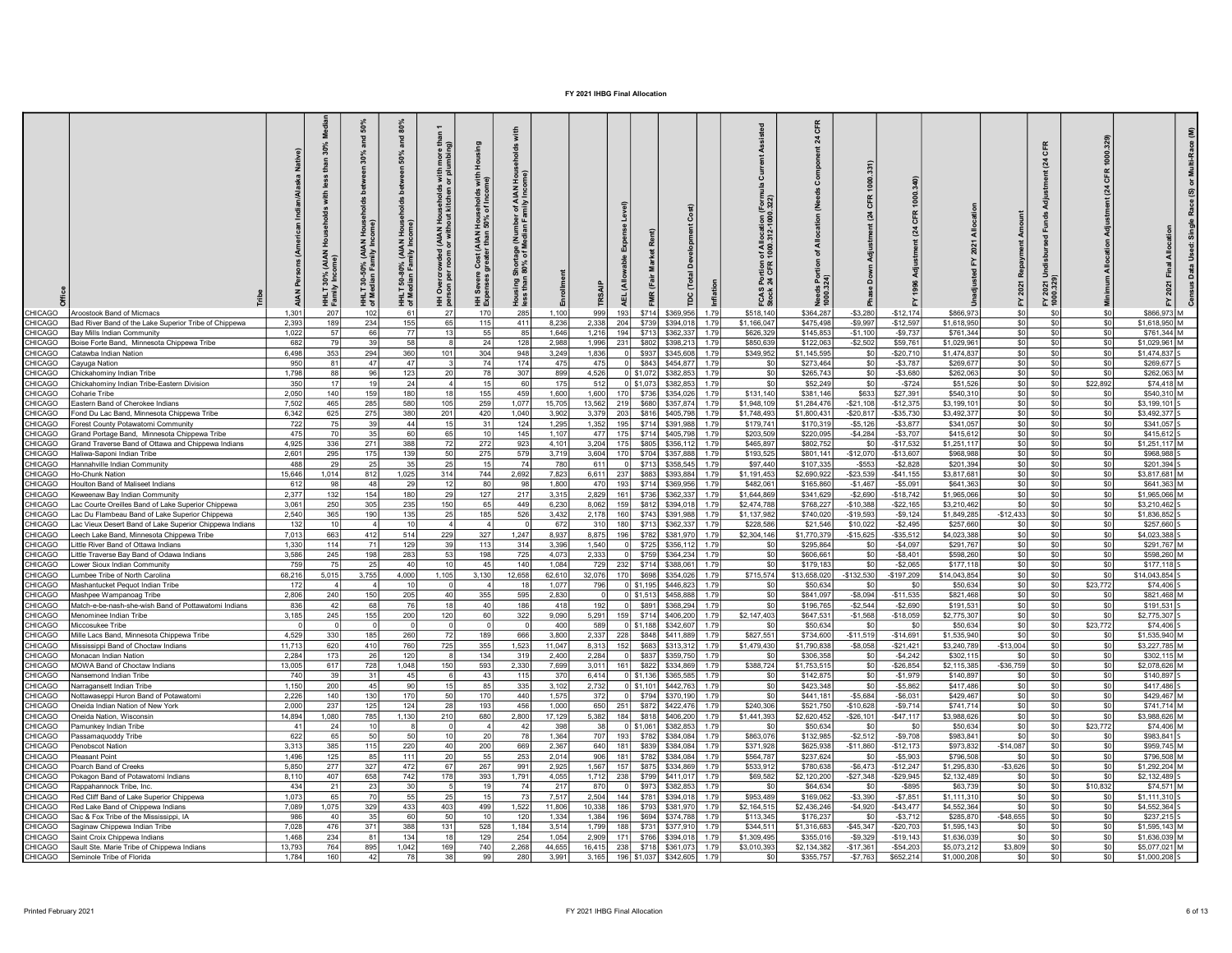|                                |                                                                                                         |                 | ž                                    | ន្ល<br>ᇃ                                    | ᇃ                                                 | i with<br>or plu                                                                                      | 오<br>with<br>ne)                                                               |                                                                                     |                 |             |                                                      |                                                                                        |                          |                          |                           |                           | CFR<br>$\overline{a}$      |                          |                                             |  |
|--------------------------------|---------------------------------------------------------------------------------------------------------|-----------------|--------------------------------------|---------------------------------------------|---------------------------------------------------|-------------------------------------------------------------------------------------------------------|--------------------------------------------------------------------------------|-------------------------------------------------------------------------------------|-----------------|-------------|------------------------------------------------------|----------------------------------------------------------------------------------------|--------------------------|--------------------------|---------------------------|---------------------------|----------------------------|--------------------------|---------------------------------------------|--|
|                                | CHICAGO   Aroostook Band of Micmacs                                                                     | 1,301           | <b>AIAN</b><br>HHLT<br>Family<br>207 | Hous<br>30-50% (AIAN<br>HHLT<br>of Me<br>10 | 50-80% (AIAN I<br>dian Family Inc.<br>으로 Ne<br>6' | (AIAN Households)<br>or without kitchen<br>rcrowded<br>per room<br>$\frac{1}{2}$<br><u> 王 효</u><br>27 | l Households<br>150% of Incom<br>Cost (AIAN I<br>Severe<br>enses<br>王 ق<br>170 | of AIAN<br>mily Inco<br>of Med<br>of Med<br>ិត<br>ក្នុង<br>as<br>Ma<br>285<br>1,100 | E<br>999        | 193         | \$714<br>\$369,956                                   | <u> 동</u><br>of AI<br>1000.<br>Portion<br>24 CFR<br>FCAS<br>Stock<br>1.79<br>\$518,140 | \$364,287                | $-$3,280$                | $-$12,174$                | \$866,973                 | 2021<br>조효<br>\$0          |                          | \$866,973 M                                 |  |
| <b>HICAGO</b>                  | Bad River Band of the Lake Superior Tribe of Chippewa                                                   | 2,393           | 189                                  | 234                                         | 155                                               | 65                                                                                                    | 115                                                                            | 411<br>8,236                                                                        | 2,338           | 204         | \$739<br>\$394,018                                   | 1.79<br>\$1,166,047                                                                    | \$475,498                | $-$9,997$                | $-$12,597$                | \$1,618,950               | \$0                        | \$0                      | \$0<br>\$1,618,950 M                        |  |
| <b>HICAGO</b>                  | Bay Mills Indian Community                                                                              | 1,022           | 57                                   |                                             |                                                   | 13                                                                                                    | 55                                                                             | 85<br>1,646                                                                         | 1,216           | 194         | \$713<br>\$362,337                                   | \$626,329<br>1.79                                                                      | \$145,853                | $-$1,100$                | $-$9,737$                 | \$761,344                 | \$0<br>\$0                 |                          | \$0<br>\$761,344 M                          |  |
| <b>HICAGO</b>                  | Boise Forte Band, Minnesota Chippewa Tribe                                                              | 682             | 79                                   |                                             | 58                                                |                                                                                                       | 24                                                                             | 128<br>2,988                                                                        | 1,996           | 231         | \$802<br>\$398,213                                   | \$850,639<br>1.79                                                                      | \$122,063                | $-$2,502$                | \$59,761                  | \$1,029,961               | \$0                        | \$0                      | \$0<br>\$1,029,961                          |  |
| <b>HICAGO</b>                  | Catawba Indian Nation                                                                                   | 6,498           | 353                                  | 294                                         | 360                                               | 101                                                                                                   | 304                                                                            | 948<br>3,249                                                                        | 1,836           |             | \$937<br>\$345,608                                   | \$349,952<br>1.79                                                                      | \$1,145,595              | \$0                      | $-$20,71$                 | \$1,474,837               | \$0                        |                          | \$0<br>\$1,474,837                          |  |
| <b>HICAGO</b>                  | Cayuga Nation                                                                                           | 950             | 81                                   |                                             | 47                                                |                                                                                                       | 74                                                                             | 174<br>475                                                                          | 475             |             | \$843<br>\$454,877                                   | 1.79<br>S <sub>0</sub>                                                                 | \$273,464                | \$0                      | $-$3,787$                 | \$269,677                 | \$0                        |                          | \$0<br>\$269,677                            |  |
| <b>HICAGO</b>                  | Chickahominy Indian Tribe                                                                               | 1,798           | 88                                   |                                             | 123                                               | 20                                                                                                    | 78                                                                             | 307<br>899                                                                          | 4,526           | $0$ \$1,072 | \$382,853                                            | \$0<br>1.79                                                                            | \$265,743                | SO                       | $-$3,680$                 | \$262,063                 | SO                         | \$0                      | \$0<br>\$262,063                            |  |
| HICAGO                         | Chickahominy Indian Tribe-Fastern Division                                                              | 350             | 17                                   |                                             | 24                                                |                                                                                                       | 15                                                                             | 60<br>175                                                                           | 512             | 0 \$1.073   | \$382.853                                            | \$0<br>1.79                                                                            | \$52,249                 | SO <sub>2</sub>          | $-$ \$724                 | \$51,526                  | SO                         | \$22.892                 | \$74.418 M                                  |  |
| <b>HICAGO</b><br><b>HICAGO</b> | Coharie Tribe<br>astern Band of Cherokee Indians                                                        | 2.050<br>7,502  | 140<br>465                           | 15<br>28                                    | 180<br>580                                        | 18<br>105                                                                                             | 155                                                                            | 459<br>1,600<br>1,077<br>15,705                                                     | 1,600<br>13,562 | 170<br>219  | \$736<br>\$354,026<br>\$680<br>\$357,874             | \$131,140<br>1.79<br>\$1,948,109<br>1.79                                               | \$381,146<br>\$1,284,476 | \$633<br>$-$21,108$      | \$27.39<br>$-$12,375$     | \$540,31<br>\$3,199,10    | \$0<br>SO                  |                          | \$540,310<br>\$0<br>-sol<br>\$3,199,101     |  |
| <b>HICAGO</b>                  | Fond Du Lac Band, Minnesota Chippewa Tribe                                                              | 6.342           | 625                                  | 275                                         | 380                                               | 201                                                                                                   | 259<br>420                                                                     | 1,040<br>3,902                                                                      | 3.379           | 203         | \$816 \$405,798                                      | \$1,748,493<br>1.79                                                                    | \$1.800.431              | $-$20,817$               | $-$ \$35.730              | \$3,492,377               | SO                         | \$0                      | -sol<br>\$3,492.37                          |  |
| <b>HICAGO</b>                  | orest County Potawatomi Community                                                                       | 722             | 75                                   |                                             | 44                                                | 15                                                                                                    | $\mathbf{3}^{\circ}$                                                           | 124<br>1.295                                                                        | 1.352           | 195         | \$714 \$391,988                                      | \$179,741<br>1.79                                                                      | \$170.319                | $-$5.126$                | $-$3.87$                  | \$341.05                  | \$0                        |                          | \$0<br>\$341.057                            |  |
| <b>HICAGO</b>                  | Grand Portage Band, Minnesota Chippewa Tribe                                                            | 475             | 70                                   |                                             | 60                                                | 65                                                                                                    | 10                                                                             | 1.107<br>145                                                                        | 477             | 175         | \$714 \$405,798                                      | \$203,509<br>1.79                                                                      | \$220.095                | $-$4,284$                | $-$3,707$                 | \$415,612                 | \$0                        |                          | \$415.612<br>\$0                            |  |
| <b>HICAGO</b>                  | Grand Traverse Band of Ottawa and Chippewa Indians                                                      | 4,925           | 336                                  | 27'                                         | 388                                               | 72                                                                                                    | 272                                                                            | 923<br>4,101                                                                        | 3,204           | 175         | \$805 \$356,112                                      | \$465,897<br>1.79                                                                      | \$802,752                | SO <sub>2</sub>          | $-$17,532$                | \$1,251,117               | SO                         | -90                      | -sol<br>\$1,251,117                         |  |
| <b>HICAGO</b>                  | Haliwa-Sanoni Indian Tribe                                                                              | 2.601           | 295                                  | 17!                                         | 139                                               | 50                                                                                                    | 275                                                                            | 579<br>3.719                                                                        | $3,604$ 170     |             | \$704 \$357,888                                      | \$193,525<br>1.79                                                                      | \$801.141                | $-$12,070$               | $-$13.60$                 | \$968.98                  | so<br>- \$0                |                          | \$0<br>\$968.988                            |  |
| CAGO:                          | Hannahville Indian Community                                                                            | 488             | 29                                   |                                             | -35                                               | 25                                                                                                    | 1 <sup>5</sup>                                                                 | 780<br>74                                                                           | 611             | 0           | \$713 \$358,545 1.79                                 | \$97,440                                                                               | \$107,335                | $-$ \$553                | $-$2,828$                 | \$201,394                 | \$0                        |                          | \$201,394<br>\$0                            |  |
| <b>HICAGO</b>                  | Ho-Chunk Nation                                                                                         | 15.646          | 1,014                                | 812                                         | 1,025                                             | 314                                                                                                   | 744                                                                            | 7,823<br>2,692                                                                      | 6.611           | 237         | \$883 \$393,884                                      | \$1,191,453<br>1.79                                                                    | \$2,690,922              | $-$23,539$               | $-$41.15f$                | \$3,817,681               | SO                         | -90                      | $$3.817.681$ M<br>-sol                      |  |
| <b>HICAGO</b>                  | Houlton Band of Maliseet Indians                                                                        | 612             | 98                                   | $\Lambda$                                   | 29                                                | 12                                                                                                    | -80                                                                            | 1.800<br>98                                                                         | 470             | 193         | \$714 \$369,956 1.79                                 | \$482.061                                                                              | \$165,860                | $-$1.467$                | $-$5,091$                 | \$641,363                 | SO                         | -90                      | $$641.363 \, M$<br>\$0                      |  |
| <b>CAANH:</b>                  | Keweenaw Bay Indian Community                                                                           | 2.377           | 132                                  | 154                                         | 180                                               | 29                                                                                                    | 127                                                                            | 217<br>3,315                                                                        | 2,829           |             | 161 \ \$736 \ \$362,337 \ 1.79                       | \$1,644,869                                                                            | \$341.629                | $-$ \$2.690              | $-$18,742$                | \$1,965,066               | SO                         | . \$በ                    | \$0<br>$$1$ 965 066 M                       |  |
| CAGO:<br><b>HICAGO</b>         | ac Courte Oreilles Band of Lake Superior Chippewa                                                       | 3.061<br>2,540  | 250<br>365                           | 305<br>190                                  | 235<br>135                                        | 150<br>25                                                                                             | 65                                                                             | 449<br>6,230<br>526<br>3,432                                                        | 8.062<br>2.178  | 159<br>160  | \$812 \$394,018 1.79<br>\$743 \$391,988              | \$2,474.788<br>\$1,137,982                                                             | \$768,227<br>\$740,020   | $-$10.388$<br>$-$19,593$ | $-$22,165$<br>$-$ \$9.124 | \$3,210,462<br>\$1,849.28 | \$0<br>- \$0<br>$-$12,433$ | \$0                      | \$0<br>\$3,210,462<br>-sol<br>\$1,836,852   |  |
| <b>HICAGO</b>                  | ac Du Flambeau Band of Lake Superior Chippewa<br>ac Vieux Desert Band of Lake Superior Chippewa Indians | 132             | 10                                   |                                             | 10                                                |                                                                                                       | 185                                                                            | 672                                                                                 | 310             | 180         | \$713 \$362,337 1.79                                 | 1.79<br>\$228,586                                                                      | \$21.546                 | \$10.022                 | $-$2,495$                 | \$257,66                  | \$0                        | . \$በ                    | \$0<br>\$257,660                            |  |
| <b>CAGO</b>                    | eech Lake Band, Minnesota Chippewa Tribe                                                                | 7.013           | 663                                  | 412                                         | 514                                               | 229                                                                                                   | 327                                                                            | 1,247<br>8.937                                                                      | 8.875           | 196         | \$782 \$381,970 1.79                                 | \$2,304,146                                                                            | \$1,770,379              | $-$15,625$               | $-$ \$35,512              | \$4,023,38                | $ $ so                     | . ടറ                     | \$0<br>\$4,023,388                          |  |
| <b>HICAGO</b>                  | Little River Band of Ottawa Indians                                                                     | 1.330           | 114                                  | 71                                          | 129                                               | 39                                                                                                    | 113                                                                            | 314<br>3.396                                                                        | 1.540           |             | 0 \$725 \$356,112                                    | 1.79<br>\$0                                                                            | \$295,864                | SO.                      | $-$4,097$                 | \$291,767                 | $ $ so                     | - \$0                    | \$291.767 M<br>\$0                          |  |
| <b>HICAGO</b>                  | Little Traverse Bay Band of Odawa Indians                                                               | 3,586           | 245                                  | 198                                         | 283                                               | 53                                                                                                    | 198                                                                            | 725<br>4.073                                                                        | 2.333           | 0           | \$759 \$364,234                                      | 1.79<br>\$0                                                                            | \$606,661                | SO                       | $-$8,401$                 | \$598,260                 | SO                         | -SO                      | \$0<br>\$598,260 M                          |  |
| CAGO:                          | Lower Sioux Indian Community                                                                            | 759             | <b>75</b>                            |                                             | 40                                                | 10                                                                                                    | 45                                                                             | 140<br>1.084                                                                        | 729 l           |             | 232 \$714 \$388,061 1.79                             | \$0                                                                                    | \$179.183                | SO                       | $-$ \$2.06                | \$177.11                  | SO                         | -SO                      | sol<br>\$177.118                            |  |
| CAGO:                          | umbee Tribe of North Carolina                                                                           | 68,216          | 5.015                                | 3,755                                       | 4.000                                             | 1,105                                                                                                 | 3,130                                                                          | 12,658<br>62.610                                                                    |                 |             | 32,076 170 \$698 \$354,026 1.79                      | \$715,574                                                                              | \$13,658,020             | $-$ \$132.530            | $-$197.209$               | \$14,043,854              | SO I                       | - \$0                    | \$14,043,854<br>\$0                         |  |
| <b>HICAGO</b>                  | Mashantucket Pequot Indian Tribe                                                                        | 172             |                                      |                                             | 10                                                |                                                                                                       |                                                                                | 1.077<br>18                                                                         | 796             |             | 0 \$1,195 \$446,823                                  | 1.79<br>SO.                                                                            | \$50.634                 | SO.                      | - 50                      | \$50.634                  | $ $ so                     | \$23,772<br>-90          | \$74,406                                    |  |
| <b>HICAGO</b>                  | Mashpee Wampanoag Tribe                                                                                 | 2.806           | 240 l                                | 150                                         | 205                                               | 40                                                                                                    | 355                                                                            | 595<br>2,830                                                                        | $\Omega$        |             | 0 \$1,513 \$458,888                                  | 1.79<br>\$0                                                                            | \$841.097                | $-$ \$8,094              | $-$11.535$                | \$821,468                 | SO<br>ື                    |                          | \$0<br>\$821.468 M                          |  |
| <b>HICAGO</b>                  | Match-e-be-nash-she-wish Band of Pottawatomi Indians                                                    | 836             | -42                                  | 68                                          | 76                                                | 18                                                                                                    | 40                                                                             | 186<br>418                                                                          | 192             |             | 0 \$891 \$368,294 1.79                               | \$0                                                                                    | \$196,765                | $-$ \$2.544              | $-$2,690$                 | \$191.53                  | SO                         | \$0                      | \$0<br>\$191.531                            |  |
| <b>HICAGO</b><br><b>HICAGO</b> | Menominee Indian Tribe<br>Miccosukee Tribe                                                              | 3.185           | 245                                  | 155                                         | 200                                               | 120                                                                                                   | 60                                                                             | 322<br>9,090<br>400                                                                 | 5,291<br>-589 l |             | 159 \ \$714 \ \$406,200 1.79<br>0 \$1.188 \$342.607  | \$2,147,403<br>1.79<br>-90                                                             | \$647,531<br>\$50.634    | $-$1,568$<br>SO.         | $-$18,059$<br>- 50        | \$2,775,307<br>\$50,634   | SO<br>SO                   | \$0<br>\$23,772<br>- \$0 | \$0<br>\$2,775,307<br>\$74,406              |  |
| <b>HICAGO</b>                  | Mille Lacs Band, Minnesota Chippewa Tribe                                                               | 4,529           | 330                                  | 185                                         | 260                                               | 72                                                                                                    | 189                                                                            | 666<br>3,800                                                                        | 2.337           |             | 228   \$848   \$411,889   1.79                       | \$827.551                                                                              | \$734,600                | $-$11.519$               | $-$14.691$                | \$1,535,940               | \$0                        | . \$በ                    | -\$0<br>\$1,535,940 M                       |  |
| <b>HICAGO</b>                  | Mississippi Band of Choctaw Indians                                                                     | 11.713          | 620                                  | 41(                                         | 760                                               | 725                                                                                                   | 355                                                                            | 1,523<br>11,047                                                                     | 8.313           |             | 152 \$683 \$313,312 1.79                             | \$1,479,430                                                                            | \$1,790,838              | $-$ \$8,058              | $-$21,421$                | \$3,240,789               | $-$ \$13,004               | \$0                      | -\$0<br>\$3,227,785 M                       |  |
| <b>HICAGO</b>                  | Monacan Indian Nation                                                                                   | 2.284           | 173                                  |                                             | 120                                               |                                                                                                       | 134                                                                            | 319<br>2,400                                                                        | 2.284           |             | 0 \$837 \$359,750                                    | 1.79<br>SO                                                                             | \$306,358                | SO                       | $-$4,242$                 | \$302,11                  | \$0                        | \$0                      | -\$0<br>\$302.115 M                         |  |
| <b>HICAGO</b>                  | MOWA Band of Choctaw Indians                                                                            | 13,005          | 617                                  | 728                                         | 1,048                                             | 150                                                                                                   | 593                                                                            | 2,330<br>7,699                                                                      | 3,011           |             | 161 \$822 \$334,869 1.79                             | \$388,724                                                                              | \$1,753,515              | so l                     | $-$26,854$                | \$2,115,385               | $-$36,759$                 | \$0                      | -sol<br>\$2,078,626 M                       |  |
| <b>HICAGO</b>                  | Nansemond Indian Tribe                                                                                  | 740             | 39                                   | 31                                          | 45                                                | ĥ                                                                                                     | 43                                                                             | 115<br>370                                                                          | 6.414           |             | 0 \$1,136 \$365,585 1.79                             | \$0                                                                                    | \$142,875                | SO I                     | $-$1,979$                 | \$140,897                 | \$0                        | -90                      | \$0l<br>\$140,897                           |  |
| HICAGO                         | Narragansett Indian Tribe                                                                               | 1.150           | 200                                  | 45                                          | 90                                                | 15                                                                                                    | 85                                                                             | 335<br>3,102                                                                        | 2,732           |             | 0 \$1,101 \$442,763 1.79                             | \$0                                                                                    | \$423,348                | SO                       | $-$5,862$                 | \$417,486                 | \$0                        | \$0                      | \$0<br>\$417,486                            |  |
| <b>HICAGO</b>                  | Nottawaseppi Huron Band of Potawatomi                                                                   | 2,226           | 140 <sup>1</sup>                     | 130                                         | 170                                               | 50                                                                                                    | 170                                                                            | 440<br>1,575                                                                        | 372             |             | 0 \$794 \$370,190 1.79                               | \$0                                                                                    | \$441,181                | $-$5,684$                | $-$6,031$                 | \$429,467                 | SO                         | \$0                      | -\$0<br>\$429,467 M                         |  |
| <b>HICAGO</b><br><b>HICAGO</b> | Oneida Indian Nation of New York<br>Oneida Nation, Wisconsin                                            | 2,000<br>14,894 | 237<br>1,080                         | 125<br>785                                  | 124<br>1,130                                      | 28<br>210                                                                                             | 193<br>680                                                                     | 456<br>1,000<br>2,800<br>17,129                                                     | 650<br>5,382    |             | 251 \$872 \$422,476 1.79<br>184 \$818 \$406,200 1.79 | \$240,306<br>\$1,441,393                                                               | \$521,750<br>\$2,620,452 | $-$10,628$<br>$-$26,101$ | $-$9,714$<br>$-$47,117$   | \$741,714<br>\$3,988,626  | SO<br>SO                   | \$0<br>\$0               | sol<br>\$741,714 M<br>-sol<br>\$3,988,626 M |  |
| <b>HICAGO</b>                  | Pamunkey Indian Tribe                                                                                   | 41              | -241                                 |                                             |                                                   |                                                                                                       |                                                                                | 398<br>- 42                                                                         | 38              |             | 0 \$1,061 \$382,853 1.79                             | \$0                                                                                    | \$50,634                 | - SO                     | - 50                      | \$50,634                  | SO                         | \$23,772<br>\$0          | \$74,406 M                                  |  |
| <b>HICAGO</b>                  | Passamaquoddy Tribe                                                                                     | 622             | 65                                   |                                             | 50                                                | 10 <sup>1</sup>                                                                                       | 20                                                                             | 78<br>1,364                                                                         | 707             |             | 193 \$782 \$384,084 1.79                             | \$863,076                                                                              | \$132,985                | $-$2,512$                | $-$9,708$                 | \$983,841                 | sol                        | \$0                      | \$983,841 S<br>\$0                          |  |
| <b>HICAGO</b>                  | Penobscot Nation                                                                                        | 3,313           | 385                                  | 115                                         | 220                                               | 40                                                                                                    | 200                                                                            | 669<br>2,367                                                                        | 640 l           |             | 181 \$839 \$384,084 1.79                             | \$371,928                                                                              | \$625,938                | $-$11,860$               | $-$12,173$                | \$973,832                 | $-$14,087$                 | \$0                      | \$959,745 M<br>\$0                          |  |
| <b>HICAGO</b>                  | Pleasant Point                                                                                          | 1.496           | 125                                  | 85                                          | 111                                               | 20                                                                                                    | 55                                                                             | 2,014<br>253                                                                        | 906             | 181         | \$782 \$384,084 1.79                                 | \$564,787                                                                              | \$237.624                | S <sub>0</sub>           | $-$5.903$                 | \$796,508                 | SO.                        | \$0                      | \$796,508 M<br>\$0                          |  |
| <b>HICAGO</b>                  | Poarch Band of Creeks                                                                                   | 5,850           | 277                                  | 327                                         | 472                                               | 67 I                                                                                                  | 267                                                                            | 991<br>2,925                                                                        | 1,567           | 157         | \$875 \$334,869 1.79                                 | \$533,912                                                                              | \$780,638                | $-$6,473$                | $-$12,247$                | \$1,295,830               | $-$3,626$                  | \$0                      | -sol<br>\$1,292,204 M                       |  |
| <b>HICAGO</b>                  | Pokagon Band of Potawatomi Indians                                                                      | 8.110           | 407                                  | 658                                         | 742                                               | 178                                                                                                   | 393                                                                            | 1.791<br>4.055                                                                      |                 |             | 1,712 238 \$799 \$411,017 1.79                       | \$69,582                                                                               | \$2,120,200              | $-$ \$27,348             | $-$ \$29,945              | \$2,132,489               | SO                         | \$0                      | \$0<br>\$2,132,489 5                        |  |
| <b>HICAGO</b>                  | Rappahannock Tribe, Inc.                                                                                | 434             | 21                                   |                                             | 30                                                |                                                                                                       | 1 <sup>c</sup>                                                                 | 74<br>217                                                                           | 870             | $\circ$     | \$973 \$382,853 1.79                                 | \$0                                                                                    | \$64,634                 | S <sub>0</sub>           | $-$ \$89                  | \$63,739                  | $ $ so                     | \$0<br>\$10,832          | \$74,571 M                                  |  |
| <b>HICAGO</b>                  | Red Cliff Band of Lake Superior Chippewa                                                                | 1.073           | 65                                   |                                             | 55                                                | 25                                                                                                    | 15                                                                             | 7,517<br>73                                                                         | 2.504           |             | 144 \$781 \$394,018 1.79                             | \$953,489                                                                              | \$169,062                | $-$ \$3,390              | $-$7.851$                 | \$1,111,310               | sol                        | \$0                      | $$1,111,310$ S<br>\$0                       |  |
| <b>HICAGO</b>                  | Red Lake Band of Chippewa Indians                                                                       | 7,089<br>986    | 1,075<br>40 <sup>1</sup>             | 329                                         | 433<br>60                                         | 403<br>50                                                                                             | 499<br>10                                                                      | 1,522<br>11,806<br>120<br>1.334                                                     | 10,338<br>1.384 | 186<br>196  | \$793 \$381,970 1.79                                 | \$2,164,515<br>\$113,345                                                               | \$2,436,246              | $-$4,920$<br>so l        | $-$43,477$                | \$4,552,364               | \$0<br>$-$ \$48.655        | \$0<br>\$0               | \$0<br>\$4,552,364<br>\$0                   |  |
| CHICAGO<br><b>HICAGO</b>       | Sac & Fox Tribe of the Mississippi, IA                                                                  | 7.028           | 476                                  | 371                                         | 388                                               | 131                                                                                                   | 528                                                                            | 1.184<br>3.514                                                                      | 1.799           | 188         | \$694 \$374,788 1.79<br>\$731 \$377,910 1.79         | \$344.511                                                                              | \$176,237<br>\$1,316,683 | $-$ \$45,347             | $-$3,712$<br>$-$20,70$    | \$285,870<br>\$1,595,143  | \$0                        | \$0                      | \$237,215<br>\$0<br>$$1,595,143$ M          |  |
| <b>HICAGO</b>                  | Saginaw Chippewa Indian Tribe<br>Saint Croix Chippewa Indians                                           | 1.468           | 234                                  |                                             | 134                                               | 18                                                                                                    | 129                                                                            | 254<br>1.054                                                                        | 2.909           | 171         | \$766 \$394,018 1.79                                 | \$1,309,495                                                                            | \$355,016                | $-$9,329$                | $-$19.14$                 | \$1,636,039               | sol                        | \$0                      | \$0<br>\$1.636.039 M                        |  |
| CHICAGO                        | Sault Ste. Marie Tribe of Chippewa Indians                                                              | 13.793          | 764                                  | 895                                         | 1,042                                             | 169                                                                                                   | 740                                                                            | 2,268<br>44,655                                                                     | 16.415          |             | 238 \$718 \$361,073 1.79                             | \$3,010,393                                                                            | \$2,134,382              | $-$17,361$               | $-$54,203$                | \$5,073,21                | \$3,809                    | \$0                      | \$0<br>\$5,077,021 M                        |  |
|                                | CHICAGO Seminole Tribe of Florida                                                                       | 1.784           | 160 <sup>1</sup>                     |                                             |                                                   | 38                                                                                                    | 99                                                                             | 280<br>3.991                                                                        |                 |             | 3.165 196 \$1.037 \$342.605 1.79                     | \$0                                                                                    | \$355.757                | $-$7.763$                | \$652.214                 | \$1,000.20                | \$0                        | \$0                      | \$0<br>\$1,000,208 S                        |  |
|                                |                                                                                                         |                 |                                      |                                             |                                                   |                                                                                                       |                                                                                |                                                                                     |                 |             |                                                      |                                                                                        |                          |                          |                           |                           |                            |                          |                                             |  |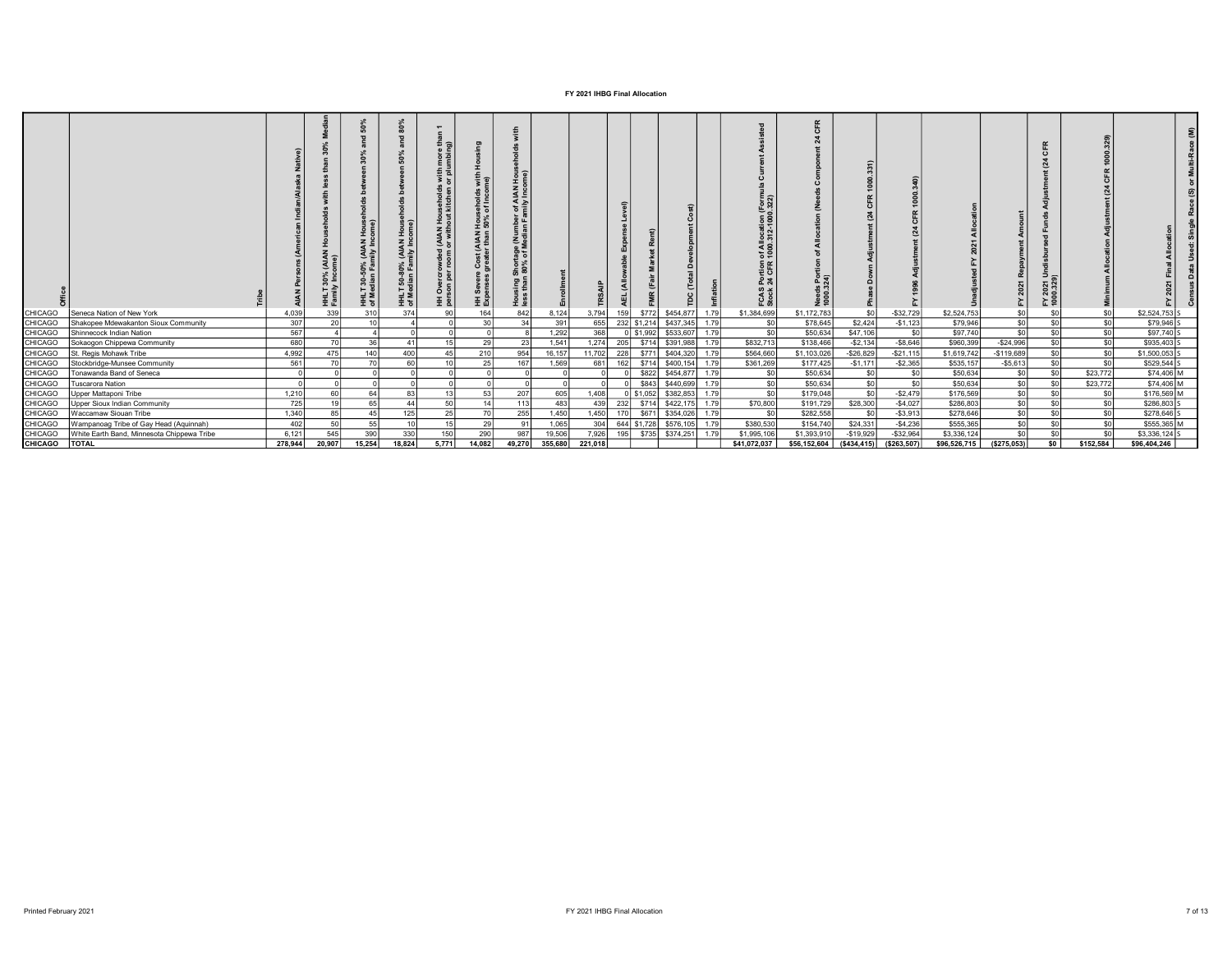|                          |                                                                  |                  |               |                 |        |    | 로레<br><b>UAN</b><br>王 쫎 | $\leq$ $\geq$ |                   |                  |                  |                                                        |      | Portion<br>24 CFR<br>FCAS<br>Stock |                                          |              |                               |                             |              |                 |           |                               |  |
|--------------------------|------------------------------------------------------------------|------------------|---------------|-----------------|--------|----|-------------------------|---------------|-------------------|------------------|------------------|--------------------------------------------------------|------|------------------------------------|------------------------------------------|--------------|-------------------------------|-----------------------------|--------------|-----------------|-----------|-------------------------------|--|
| CHICAGO                  | Seneca Nation of New York                                        | 4,039<br>307     | <b>20</b>     | 40 <sup>2</sup> |        |    | $\sim$                  | 24            | 8,124<br>391      | 3,794<br>655     | 159              | \$772<br>\$454,877                                     | 1.79 | \$1,384,699                        | \$1,172,783                              | \$2,424      | $-$ \$32,729                  | \$2,524,753                 | \$0          | SO <sub>1</sub> | \$0       | \$2,524,753                   |  |
| CHICAGO<br>CHICAGO       | Shakopee Mdewakanton Sioux Community<br>Shinnecock Indian Nation | 567              |               |                 |        |    |                         |               | 1,292             | 368              |                  | 232 \$1,214 \$437,345 1.79<br>$0$ \$1,992<br>\$533,607 | 1.79 | \$0<br>$\overline{\text{SO}}$      | \$78,645<br>\$50,634                     | \$47,106     | $-$1,123$                     | \$79,946<br>\$97,740        | \$0          | \$0             | \$0       | \$79,946 S<br>\$97,740 S      |  |
| CHICAGO                  | Sokaogon Chippewa Community                                      | 680              |               |                 |        |    |                         |               | 1.541             | 1,274            | 205              | \$714 \$391,988 1.79                                   |      | \$832,713                          | \$138,466                                | $-$2,134$    | $-$8,646$                     | \$960,399                   | $-$24,996$   |                 |           | \$935,403                     |  |
| CHICAGO                  | St. Regis Mohawk Tribe                                           | 4,992            | 475           | 140             | 400    |    | 210'                    | 954           | 16,157            | 11,702           | 228              | \$771 \$404,320 1.79                                   |      | \$564,660                          | \$1,103,026                              | $-$ \$26,829 | $-$21,115$                    | \$1,619,742                 | $-$119,689$  | ∕°              | \$0       | \$1,500,053                   |  |
| CHICAGO                  |                                                                  |                  | 70            |                 |        |    |                         |               |                   |                  | 162              | \$714 \$400,154 1.79                                   |      | \$361,269                          | \$177,425                                | $-$1,171$    | $-$2,365$                     | \$535,157                   | $-$5,613$    | sn1             | \$0       | \$529,544 S                   |  |
| CHICAGO                  |                                                                  |                  |               |                 |        |    | 25                      | 167           |                   |                  |                  |                                                        |      |                                    |                                          |              |                               |                             |              |                 |           |                               |  |
|                          | Stockbridge-Munsee Community<br>Tonawanda Band of Seneca         | 561              |               |                 |        |    |                         |               | 1,569             | 681              |                  | \$822 \$454,877 1.79                                   |      | \$0                                | \$50,634                                 | \$0          | \$0                           | \$50,634                    | \$0          |                 | \$23,772  | \$74,406 M                    |  |
| CHICAGO                  | Tuscarora Nation                                                 |                  |               |                 |        |    |                         |               |                   |                  |                  | \$843<br>\$440,699                                     | 1.79 | so l                               | \$50,634                                 |              |                               |                             |              |                 | \$23,772  | \$74,406 M                    |  |
| CHICAGO                  | Upper Mattaponi Tribe                                            | 1,210            |               | 64              |        |    |                         | 207'          | 605               | 1,408            |                  | 0 \$1,052 \$382,853 1.79                               |      | \$0                                | \$179,048                                | \$0          | $-$2,479$                     | \$50,634<br>\$176,569       | <b>SO</b>    | \$0             | \$0       | \$176,569 M                   |  |
| CHICAGO                  | Upper Sioux Indian Community                                     | 725              |               | 65              |        | 50 |                         | 113           | 483               | 439              | 232              | \$714 \$422,175 1.79                                   |      | \$70,800                           | \$191,729                                | \$28,300     | $-$4,027$                     | \$286,803                   |              | \$0             | \$0       | \$286,803                     |  |
| CHICAGO                  | Waccamaw Siouan Tribe                                            | 1,340            |               |                 |        |    |                         | 255           | 1.450             | 1.450            | 170 <sup>L</sup> | \$671<br>\$354,026                                     | 1.79 | sol                                | \$282,558                                |              | $-$3,913$                     | \$278,646                   |              | ¢٨              | \$0       | \$278,646                     |  |
| CHICAGO                  | Wampanoag Tribe of Gay Head (Aquinnah)                           | 402              |               |                 |        |    |                         |               | 1.065             | 304              |                  | 644 \$1,728 \$576,105 1.79                             |      | \$380,530                          | \$154,740                                | \$24,331     | $-$4,236$                     | \$555,365                   |              |                 |           | \$555,365 M                   |  |
| CHICAGO<br>CHICAGO TOTAL | White Earth Band, Minnesota Chippewa Tribe                       | 6,121<br>278,944 | 545<br>20,907 | 39U I<br>15,254 | 18.824 |    | 290<br>14.082           | 49,270        | 19,506<br>355,680 | 7,926<br>221.018 |                  | 195 \$735 \$374,251 1.79                               |      | \$1,995,106<br>\$41,072,037        | \$1,393,910<br>$$56,152,604$ (\$434,415) | $-$19,929$   | $-$ \$32,964<br>( \$263, 507] | \$3,336,124<br>\$96,526,715 | ( \$275,053) | ¢n.             | \$152.584 | \$3,336,124 S<br>\$96,404,246 |  |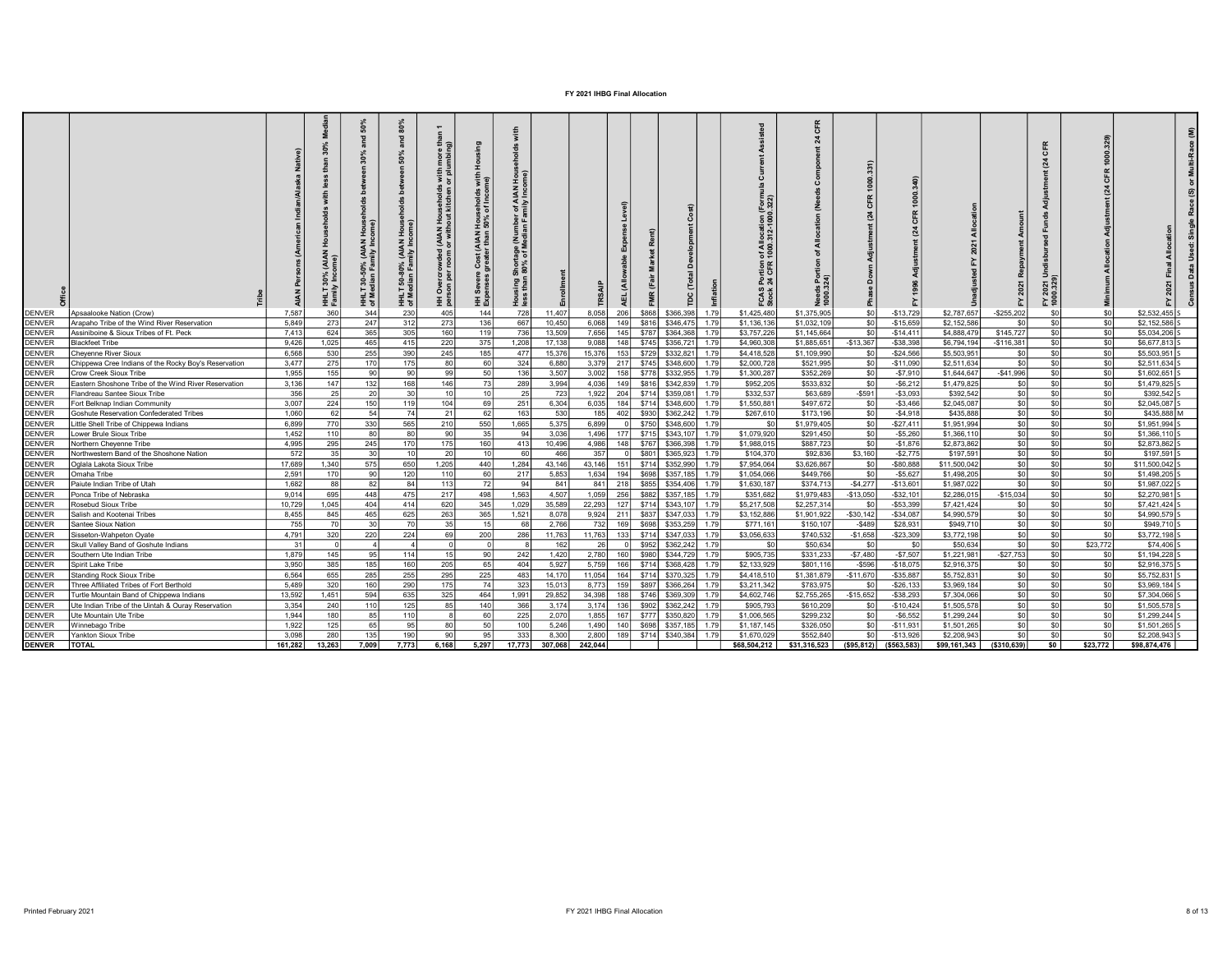|               |                                                      |         | 호출               | 달돌               | AIAN<br>Milv<br>HHLT<br>of Me | $\blacksquare$<br>with<br>or ni<br>(AIAN<br>with<br>yded<br>nom<br>王 힘 | Househole<br>50% of Inc<br>(AIAN<br>arthan<br>王 短 | ⋖ ≥    |         |         |                  |       |           |       | ng e<br>ᅙᄛ<br>ēE<br>CFR<br><b>24</b><br>FCAS<br>Stock |              |                  |              |              | ৼ<br>$\mathbf c$<br>(24) | 2021<br>IO.329<br>군 호 |          |                |  |
|---------------|------------------------------------------------------|---------|------------------|------------------|-------------------------------|------------------------------------------------------------------------|---------------------------------------------------|--------|---------|---------|------------------|-------|-----------|-------|-------------------------------------------------------|--------------|------------------|--------------|--------------|--------------------------|-----------------------|----------|----------------|--|
| <b>DENVER</b> | Apsaalooke Nation (Crow)                             | 7.587   | 360              | 344              | 230                           | 405                                                                    | 144                                               | 728    | 11.407  | 8.058   | 206              | \$868 | \$366,398 | 1.791 | \$1,425,480                                           | \$1,375,905  | \$0 <sub>1</sub> | $-$13,729$   | \$2,787.657  | $-$255,202$              | \$0.                  |          | \$2.532.455    |  |
| <b>DENVER</b> | Arapaho Tribe of the Wind River Reservation          | 5.849   | 273              | 247              | - 312                         | 273                                                                    | 136                                               | 667    | 10,450  | 6.068   | 149              | \$816 | \$346,475 | 1.79  | \$1,136,136                                           | \$1,032,109  | SO               | $-$15,659$   | \$2,152,586  | sol                      | \$0                   | \$0      | \$2,152,586 S  |  |
| <b>DENVER</b> | Assiniboine & Sioux Tribes of Ft. Peck               | 7,413   | 624              | 365              | 305                           | 160                                                                    | 119                                               | 736    | 13,509  | 7,656   | 145              | \$787 | \$364,368 |       | \$3,757,226                                           | \$1,145,664  | SO               | $-$14,411$   | \$4,888,479  | \$145,727                | \$0                   | \$0      | \$5,034,206 \$ |  |
| <b>DENVER</b> | <b>Blackfeet Tribe</b>                               | 9.426   | 1.025            | 465              | 41                            | 220                                                                    | 375                                               | 1.208  | 17.138  | 9.088   | 148              | \$745 | \$356,721 | 1.79  | \$4,960,308                                           | \$1,885,651  | $-$13.367$       | $-$ \$38.398 | \$6,794.194  | $-$116.381$              | \$0                   | \$0      | \$6,677,813    |  |
| <b>DENVER</b> | Chevenne River Sioux                                 | 6.568   | 530              | 255              | 390                           | 245                                                                    | 185                                               | 477    | 15.376  | 15.376  | 153              | \$729 | \$332,821 | 1.79  | \$4,418,528                                           | \$1,109.990  | \$0              | $-$24,566$   | \$5,503,951  | so l                     | \$0                   | \$0      | \$5,503,951 5  |  |
| <b>DENVER</b> | Chippewa Cree Indians of the Rocky Boy's Reservation | 3,477   | 275              | 170 L            | 175                           | -80                                                                    | 60                                                | 324    | 6.880   | 3,379   | 217              | \$745 | \$348,600 | 1.79  | \$2,000,728                                           | \$521,995    | \$0              | $-$11,090$   | \$2,511,634  | so l                     | \$0                   | \$0      | $$2,511,634$ S |  |
| <b>DENVER</b> | Crow Creek Sioux Tribe                               | 1,955   | 155              | 90 l             |                               | 99                                                                     | 50 <sub>1</sub>                                   | 136    | 3,507   | 3,002   | 158              | \$778 | \$332,955 | 1.79  | \$1,300,287                                           | \$352,269    | \$0              | $-$7,910$    | \$1,644,647  | $-$41,996$               | \$0                   | \$0      | $$1,602,651$ S |  |
| <b>DENVER</b> | Eastern Shoshone Tribe of the Wind River Reservation | 3.136   | 147              | 132              | 168                           | 146                                                                    | -731                                              | 289    | 3.994   | 4.036   | 149              | \$816 | \$342,839 | 1.79  | \$952,205                                             | \$533,832    | SO I             | $-$6,212$    | \$1,479,825  | SO I                     | SO <sub>1</sub>       | \$0      | \$1,479,825 S  |  |
| <b>DENVER</b> | Flandreau Santee Sioux Tribe                         | 356     | 25 <sup>1</sup>  | 20 l             |                               | 10                                                                     | 10 <sup>1</sup>                                   | 25     | 723     | 1.922   | 204              | \$714 | \$359,081 | 1.79  | \$332,537                                             | \$63,689     | $-$591$          | $-$3.093$    | \$392.542    | SO I                     | SO.                   | \$0      | \$392,542      |  |
| <b>DENVER</b> | Fort Belknap Indian Community                        | 3,007   | 224              | 150              | 119                           | 104                                                                    | 69                                                | 251    | 6,304   | 6,035   | 184              | \$714 | \$348,600 | 1.79  | \$1,550,881                                           | \$497,672    | \$0              | $-$3,466$    | \$2,045,087  | SO I                     | \$0                   | \$0      | \$2,045,087 \$ |  |
| <b>DENVER</b> | Goshute Reservation Confederated Tribes              | 1.060   | 62               | -54              |                               | 21                                                                     | 62                                                | 163    | 530     | 185     | 402              | \$930 | \$362,242 | 1.79  | \$267.610                                             | \$173,196    | \$0              | $-$4.918$    | \$435,888    | sol                      | \$0                   | \$0      | \$435,888 M    |  |
| <b>DENVER</b> | Little Shell Tribe of Chippewa Indians               | 6.899   | 770 <sup>1</sup> | 330 <sup>1</sup> | 565                           | 210                                                                    | 550                                               | 1,665  | 5,375   | 6.899   | $\Omega$         | \$750 | \$348,600 | 1.79  | -sol                                                  | \$1,979,405  | SO               | $-$27,411$   | \$1,951,994  | SO                       | \$0                   | \$0      | \$1,951,994 S  |  |
| <b>DENVER</b> | Lower Brule Sioux Tribe                              | 1.452   | 110 <sup>I</sup> | 80 I             |                               | 90                                                                     | 35                                                | 94     | 3.036   | 1,496   | 1771             | \$715 | \$343,107 | 1.79  | \$1,079,920                                           | \$291,450    | \$0              | $-$ \$5,260  | \$1,366,110  | SO                       | SO                    | \$0      | \$1,366,110 S  |  |
| <b>DENVER</b> | Northern Cheyenne Tribe                              | 4,995   | 295              | 245              | 170                           | 175                                                                    | 160                                               | 413    | 10,496  | 4,986   | 148              | \$767 | \$366,398 | 1.79  | \$1,988,015                                           | \$887,723    | SO I             | $-$1,876$    | \$2,873,862  | SO                       | \$0                   | \$0      | \$2,873,862    |  |
| <b>DENVER</b> | Northwestern Band of the Shoshone Nation             | 572     | 35 <sup>1</sup>  | 30 <sup>1</sup>  |                               | 20                                                                     | 10 <sup>1</sup>                                   | 60     | 466     | 357     |                  | \$801 | \$365,923 | 1.79  | \$104,370                                             | \$92,836     | \$3.160          | $-$2,775$    | \$197,591    | so                       | \$0                   | \$0      | \$197,591      |  |
| <b>DENVER</b> | <b>Oglala Lakota Sioux Tribe</b>                     | 17,689  | 1.340            | 575              | 650                           | 1,205                                                                  | 440                                               | 1,284  | 43.146  | 43.146  | 151 \ \$714      |       | \$352,990 | 1.79  | \$7,954,064                                           | \$3,626,867  | SO I             | $-$ \$80.888 | \$11,500,042 | sol                      | \$0                   | \$0      | \$11,500,042 S |  |
| <b>DENVER</b> | Omaha Tribe                                          | 2,591   | 170 l            | 90               | 120                           | 110                                                                    | 60                                                | 217    | 5,853   | 1.634   | 194              | \$698 | \$357,185 | 1.79  | \$1,054,066                                           | \$449,766    | SO I             | $-$ \$5,627  | \$1,498,205  | SO                       | SO                    | -\$0     | \$1,498,205 S  |  |
| <b>DENVER</b> | Paiute Indian Tribe of Utah                          | 1,682   | 88               | 82               |                               | 113                                                                    | 72                                                | -94    | 841     | 841     | 218              | \$855 | \$354,406 | 1.79  | \$1,630,187                                           | \$374,713    | $-$4,277$        | $-$13,601$   | \$1,987,022  | SO <sub>1</sub>          | \$0                   | \$C      | \$1,987,022    |  |
| <b>DENVER</b> | Ponca Tribe of Nebraska                              | 9.014   | 695              | 448              | 475                           | 217                                                                    | 498                                               | 1,563  | 4.507   | 1.059   | 256              | \$882 | \$357,185 | 1.79  | \$351,682                                             | \$1,979,483  | $-$13,050$       | $-$32,101$   | \$2,286,015  | $-$15,034$               | SO <sub>1</sub>       | \$0      | \$2,270,981    |  |
| <b>DENVER</b> | Rosebud Sioux Tribe                                  | 10.729  | 1.045            | 404              | 414                           | 620                                                                    | 345                                               | 1,029  | 35,589  | 22,293  | 127              | \$714 | \$343.10  | 1.79  | \$5,217,508                                           | \$2,257,314  | SO I             | $-$ \$53.399 | \$7,421,424  | so l                     | \$0                   | \$0      | \$7.421.424    |  |
| <b>DENVER</b> | Salish and Kootenai Tribes                           | 8.455   | 845              | 465              | 625                           | 263                                                                    | 365                                               | 1,521  | 8.078   | 9.924   | 211              | \$837 | \$347,033 | 1.79  | \$3,152,886                                           | \$1,901,922  | $-$30,142$       | $-$ \$34,087 | \$4,990,579  | SO I                     | \$0                   | \$0      | \$4,990,579 S  |  |
| <b>DENVER</b> | Santee Sioux Nation                                  | 755     | 70 <sub>l</sub>  | 30               |                               | 35                                                                     | 15                                                | 68     | 2.766   | 732     | 169 <sup>1</sup> | \$698 | \$353,259 | 1.79  | \$771.161                                             | \$150,107    | $-$489$          | \$28,931     | \$949,710    | SO                       | SO <sub>1</sub>       | \$0      | \$949,710 S    |  |
| <b>DENVER</b> | Sisseton-Wahpeton Oyate                              | 4.791   | 320              | 220              | 224                           | 69                                                                     | 200                                               | 286    | 11,763  | 11,763  | 133              | \$714 | \$347,033 | 1.79  | \$3,056,633                                           | \$740,532    | $-$1,658$        | $-$23,309$   | \$3,772,198  | SO                       | \$0                   | \$0      | \$3,772,198 S  |  |
| <b>DENVER</b> | Skull Valley Band of Goshute Indians                 | 31      |                  |                  |                               |                                                                        |                                                   |        | 162     | - 26    | $\Omega$         | \$952 | \$362,242 | 1.79  | S <sub>0</sub>                                        | \$50,634     | S <sub>0</sub>   | - \$0        | \$50,634     | SO                       | \$0                   | \$23,772 | \$74,406 \$    |  |
| <b>DENVER</b> | Southern Ute Indian Tribe                            | 1.879   | 145              | 95               | 114                           |                                                                        | 90                                                | 242    | 1.420   | 2.780   | 160              | \$98  | \$344,729 | 1.79  | \$905.735                                             | \$331,233    | $-$7.480$        | $-$7.507$    | \$1,221,981  | $-$27,753$               | SO.                   | \$0      | \$1.194.228    |  |
| <b>DENVER</b> | Spirit Lake Tribe                                    | 3.950   | 385              | 185              | 160                           | 205                                                                    | 65 I                                              | 404    | 5.927   | 5.759   | 166              | \$714 | \$368,428 | 1.79  | \$2,133,929                                           | \$801.116    | $-$596$          | $-$18.075$   | \$2,916,375  | so l                     | \$0                   | \$0      | \$2,916,375 S  |  |
| <b>DENVER</b> | Standing Rock Sioux Tribe                            | 6.564   | 655              | 285              | 255                           | 295                                                                    | 225                                               | 483    | 14.170  | 11.054  | 164              | \$714 | \$370,325 | 1.79  | \$4,418,510                                           | \$1,381,879  | $-$11.670$       | $-$ \$35.887 | \$5,752,831  | SO                       | SO <sub>1</sub>       | -\$0     | \$5,752,831 S  |  |
| <b>DENVER</b> | Three Affiliated Tribes of Fort Berthold             | 5.489   | 320              | 160 l            | -290                          | 175                                                                    | 74                                                | 323    | 15,013  | 8,773   | 159              | \$897 | \$366,264 | 1.79  | \$3,211,342                                           | \$783,975    | \$0              | $-$ \$26,133 | \$3,969,184  | SO                       | \$0                   | \$0      | \$3,969,184 S  |  |
| <b>DENVER</b> | Turtle Mountain Band of Chippewa Indians             | 13.592  | 1.451            | 594              | 635                           | 325                                                                    | 464                                               | 1,991  | 29.852  | 34.398  | 188              | \$746 | \$369,309 |       | \$4,602,746                                           | \$2,755,265  | $-$15,652$       | $-$ \$38,293 | \$7,304,066  | SO                       | \$0                   | \$0      | \$7,304,066    |  |
| <b>DENVER</b> | Ute Indian Tribe of the Uintah & Ouray Reservation   | 3,354   | 240              | 110              | 125                           | 85                                                                     | 140                                               | 366    | 3,174   | 3,174   | 136              | \$902 | \$362,242 | 1.79  | \$905,793                                             | \$610,209    | SO I             | $-$10,424$   | \$1,505,578  | SO                       | \$0                   | \$0      | \$1,505,578 \$ |  |
| <b>DENVER</b> | Ute Mountain Ute Tribe                               | 1.944   | 180              | 85               | 110                           |                                                                        | 60                                                | 225    | 2.070   | 1.855   | 167              | \$777 | \$350,820 | 1.79  | \$1,006,565                                           | \$299,232    | SO I             | $-$ \$6.552  | \$1,299,244  | so l                     | so l                  | \$0      | \$1,299,244    |  |
| <b>DENVER</b> | Winnebago Tribe                                      | 1.922   | 125 <sup>1</sup> | 65 I             | 95                            | 80                                                                     | 50 <sub>1</sub>                                   | 100    | 5.246   | 1.490   | 140 <sup>1</sup> | \$698 | \$357,185 | 1.79  | \$1,187,145                                           | \$326,050    | \$0              | $-$11,931$   | \$1,501,265  | SO                       | \$0                   | \$0      | \$1,501,265 S  |  |
| <b>DENVER</b> | Yankton Sioux Tribe                                  | 3.098   | 280              | 135 <sup>1</sup> | 190                           | 90                                                                     | 95                                                | 333    | 8.300   | 2.800   | 189              | \$714 | \$340,384 |       | \$1,670,029                                           | \$552,840    | so l             | $-$13.926$   | \$2,208,943  | $\sin$                   | soI                   | \$0      | \$2,208,943 S  |  |
| <b>DENVER</b> | <b>TOTAL</b>                                         | 161.282 | 13.263           | 7.009            | 7.773                         | 6.168                                                                  | 5.297                                             | 17.773 | 307.068 | 242.044 |                  |       |           |       | \$68,504,212                                          | \$31,316,523 | ( \$95.812)      | ( \$563.583) | \$99,161,343 | ( \$310.639)             | soI                   | \$23,772 | \$98.874.476   |  |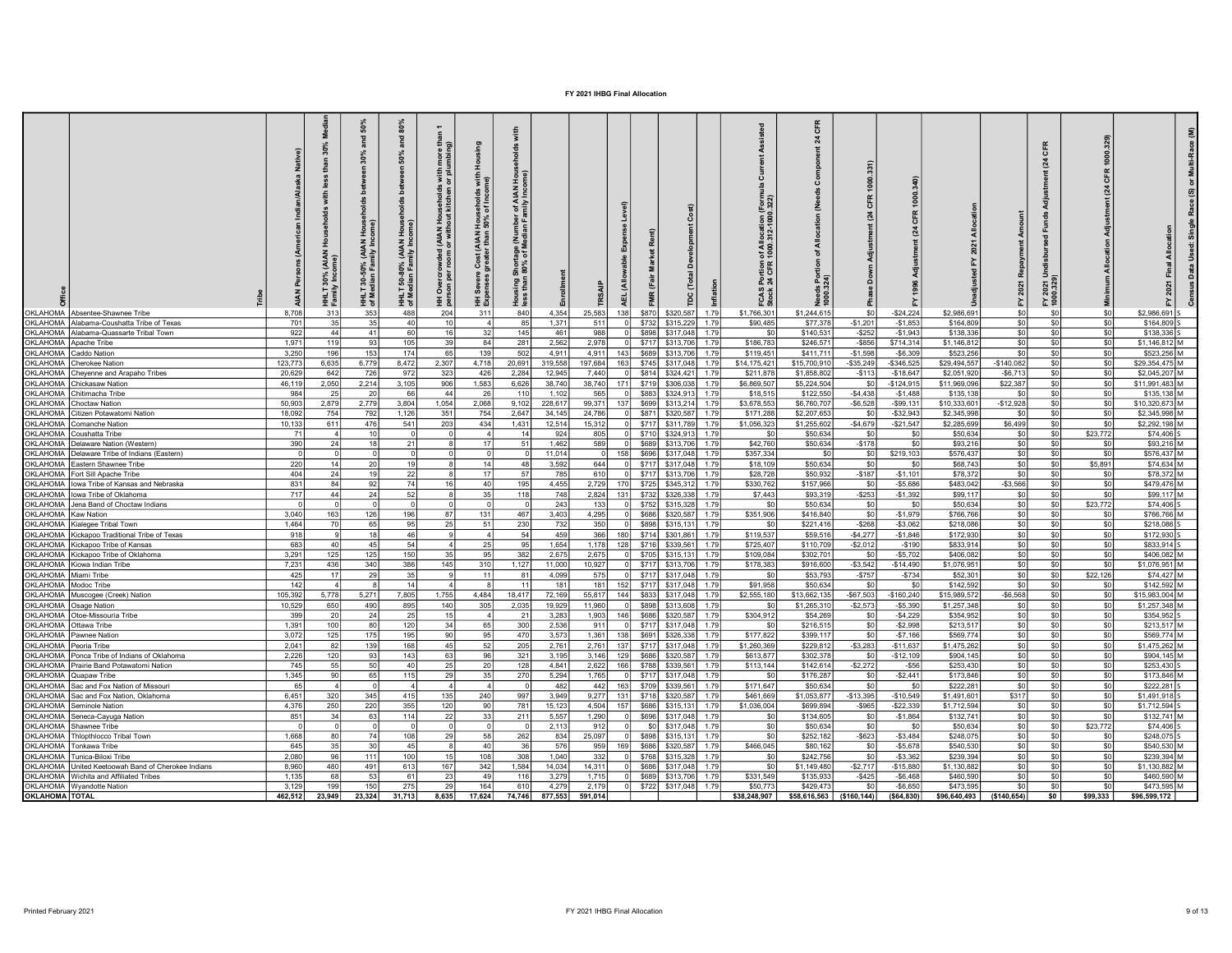|                                              |                                                                                    |              | <b>AIAN</b><br>HHLT<br>Famil | ន្ល<br>AIAN)<br>nily Inc<br>30-50% (<br>dian Fam<br>호호 | 80%<br>and<br>50%<br>50-80% (AIAN Hous<br>Sunner Family Income<br>호 | 듩<br>£,<br>more<br>(AIAN Households with<br>or without kitchen or plu<br>Overcrowded (<br>son per room o<br>. 폴 g | 운<br>I Households with<br>150% of Income)<br><b>Cost (AIAN I</b><br>greater than <b>!</b><br>Severe<br>anses r<br>王 短 | Pod<br>Teg<br>of AIAN<br>mily Inco<br>Shortage (Nu<br>180% of Med<br>Housing<br>less than |                 |              |                          |                                          |              | of Allocation (<br>1000.312-1000<br>Portion<br>24 CFR<br>FCAS<br>Stock |                          |                            |                               |                           |                   | CFR<br>(24)<br>FY 2021<br>1000.329 |                   |                                        |  |
|----------------------------------------------|------------------------------------------------------------------------------------|--------------|------------------------------|--------------------------------------------------------|---------------------------------------------------------------------|-------------------------------------------------------------------------------------------------------------------|-----------------------------------------------------------------------------------------------------------------------|-------------------------------------------------------------------------------------------|-----------------|--------------|--------------------------|------------------------------------------|--------------|------------------------------------------------------------------------|--------------------------|----------------------------|-------------------------------|---------------------------|-------------------|------------------------------------|-------------------|----------------------------------------|--|
|                                              | OKLAHOMA Absentee-Shawnee Tribe                                                    | 8.708        | 313<br>35                    | 353<br>35                                              | 488<br>$\Lambda$ <sup>0</sup>                                       | 204<br>10                                                                                                         | 311                                                                                                                   | 840<br>85                                                                                 | 4.354           | 25,583       | 138<br>nl                | \$870<br>\$320,587                       | 1.79<br>1.79 | \$1,766,301                                                            | \$1,244.615              |                            | $-$24,224$<br>SO <sub>1</sub> | \$2,986,691               | sol               | \$0                                | -\$0<br>\$0       | \$2,986,691                            |  |
|                                              | OKLAHOMA Alabama-Coushatta Tribe of Texas                                          | 701          | 44                           | 41                                                     |                                                                     | 16                                                                                                                |                                                                                                                       |                                                                                           | 1,371<br>461    | 511          | nl                       | \$732<br>\$315,229<br>\$317,048          | 1.79         | \$90,485<br>S <sub>0</sub>                                             | \$77,378                 | $-$1,201$                  | $-$1,853$                     | \$164,809                 | SO                | \$0                                |                   | \$164,809 S                            |  |
| OKLAHOMA Apache Tribe                        | OKLAHOMA Alabama-Quassarte Tribal Town                                             | 922<br>1.971 | 119                          | -93                                                    | 105                                                                 | 39                                                                                                                | 32<br>84                                                                                                              | 145<br>281                                                                                | 2,562           | 988<br>2.978 | -n l                     | \$898<br>\$717<br>\$313,706              | 179          | \$186,783                                                              | \$140,531<br>\$246,571   | $-$252$<br>$-$ \$856       | $-$1,943$<br>\$714.314        | \$138,336<br>\$1,146,812  | SO<br>so          | \$0<br>\$0                         | \$0<br>-sol       | \$138,336 S<br>$$1.146.812$ M          |  |
| OKLAHOMA Caddo Nation                        |                                                                                    | 3,250        | 196                          | 153                                                    | 174                                                                 | 65                                                                                                                | 139                                                                                                                   | 502                                                                                       | 4,911           | 4,911        | 143                      | \$689<br>\$313,706                       | 1.79         | \$119,451                                                              | \$411,711                | $-$1,598$                  | $-$6,309$                     | \$523,256                 | so l              | \$0                                | \$0               | \$523,256 M                            |  |
|                                              | OKLAHOMA Cherokee Nation                                                           | 123,773      | 6,635                        | 6,779                                                  | 8,472                                                               | 2,307                                                                                                             | 4,718                                                                                                                 | 20,691                                                                                    | 319,558         | 197,684      | 163                      | \$745<br>\$317,048                       | 1.79         | \$14,175,421                                                           | \$15,700,910             | $-$35,249$                 | $-$ \$346,525                 | \$29,494,557              | $-$140,082$       | \$0                                | \$0               | \$29,354,475 M                         |  |
|                                              | OKLAHOMA Cheyenne and Arapaho Tribes                                               | 20,629       | 642                          | 726                                                    | 972                                                                 | 323                                                                                                               | 426                                                                                                                   | 2,284                                                                                     | 12,945          | 7,440        |                          | \$814<br>\$324,421                       | 1.79         | \$211,878                                                              | \$1,858,802              | $-$113$                    | $-$18,647$                    | \$2,051,920               | $-$6,713$         | \$0                                | \$0               | \$2,045,207 M                          |  |
|                                              | OKLAHOMA Chickasaw Nation                                                          | 46,119       | 2,050                        | 2,214                                                  | 3,105                                                               | 906                                                                                                               | 1,583                                                                                                                 | 6,626                                                                                     | 38,740          | 38,740       | 171                      | \$719<br>\$306,038                       | 1.79         | \$6,869,507                                                            | \$5,224,504              |                            | \$0<br>$-$124,915$            | \$11,969,096              | \$22,387          | \$0                                | \$0               | \$11,991,483 M                         |  |
|                                              | OKLAHOMA Chitimacha Tribe                                                          | 984          | 25 <sup>1</sup>              | 20                                                     |                                                                     | 44                                                                                                                | 26                                                                                                                    | 110                                                                                       | 1.102           | 565          |                          | \$883<br>\$324.913                       | 1.79         | \$18,515                                                               | \$122,550                | $-$4.438$                  | $-$1.488$                     | \$135,138                 | SO                | \$0                                | \$0               | \$135,138 M                            |  |
|                                              | OKLAHOMA Choctaw Nation                                                            | 50,903       | 2,879                        | 2,779                                                  | 3,804                                                               | 1,054                                                                                                             | 2,068                                                                                                                 | 9,102                                                                                     | 228.617         | 99.371       | 137                      | \$699<br>\$313,214                       | 179          | \$3,678,553                                                            | \$6,760,707              | $-$6,528$                  | $-$99,131$                    | \$10,333,601              | $-$12,928$        | \$0                                | \$0               | \$10,320,673 M                         |  |
|                                              | OKLAHOMA Citizen Potawatomi Nation                                                 | 18.092       | 754                          | 792                                                    | 1.126                                                               | 351                                                                                                               | 754                                                                                                                   | 2.647                                                                                     | 34.145          | 24.786       | - 0                      | \$871<br>\$320,587                       | 1.79         | \$171,288                                                              | \$2,207,653              |                            | $-$ \$32,943<br>so l          | \$2,345,998               | <b>SO</b>         | \$0                                | \$0               | \$2,345,998 M                          |  |
|                                              | OKLAHOMA Comanche Nation                                                           | 10.133       | 611                          | 476                                                    | 541                                                                 | 203                                                                                                               | 434                                                                                                                   | 1.431                                                                                     | 12.514          | 15.312       | ol                       | \$717<br>\$311,789                       | 1.79         | \$1,056,323                                                            | \$1,255,602              | $-$4,679$                  | $-$21,547$                    | \$2,285,699               | \$6,499           | \$0                                | sol               | \$2,292,198 M                          |  |
|                                              | OKLAHOMA Coushatta Tribe                                                           | 71           | -4 I                         | 10 <sup>1</sup>                                        |                                                                     |                                                                                                                   |                                                                                                                       | 14                                                                                        | 924             | 805          | 01                       | \$710<br>\$324,913                       | 1.79         | .\$በ                                                                   | \$50,634                 |                            | SO I<br>-SC                   | \$50,634                  | SO                | \$0                                | \$23,772          | $$74,406$ S                            |  |
|                                              | OKLAHOMA Delaware Nation (Western)<br>OKLAHOMA Delaware Tribe of Indians (Eastern) | 390          | 24                           | 18                                                     |                                                                     |                                                                                                                   | 17                                                                                                                    | 51                                                                                        | 1,462<br>11.014 | 589          | 0 <br>158                | \$689<br>\$313,706<br>\$696<br>\$317,048 | 1.79<br>1.79 | \$42,760<br>\$357,334                                                  | \$50,634                 | $-$178$<br>\$0             | - \$0<br>\$0<br>\$219,103     | \$93,216<br>\$576,437     | \$0<br>so l       | \$0<br>\$0                         | \$0<br>\$0        | \$93,216 M<br>\$576.437 M              |  |
|                                              | OKLAHOMA Eastern Shawnee Tribe                                                     | 220          | 14                           | 20                                                     |                                                                     |                                                                                                                   | 14                                                                                                                    | 48                                                                                        | 3,592           | 644          | - o l                    | \$717<br>\$317,048                       | 1.79         | \$18,109                                                               | \$50,634                 |                            | SO I<br>$\mathcal{L}$         | \$68,743                  | SO                | \$0                                | \$5,891           | \$74,634 M                             |  |
|                                              | OKLAHOMA Fort Sill Apache Tribe                                                    | 404          | 24                           | 19 <sup>1</sup>                                        |                                                                     |                                                                                                                   | 17                                                                                                                    | 57                                                                                        | 785             | 610          | $\Omega$                 | \$717<br>\$313,706                       | 1.79         | \$28,728                                                               | \$50,932                 | $-$187$                    | $-$1,101$                     | \$78,372                  | so l              | \$0                                | \$0               | \$78,372 M                             |  |
|                                              | OKLAHOMA   lowa Tribe of Kansas and Nebraska                                       | 831          | 84                           | 92                                                     | 7 <sub>A</sub>                                                      | 16                                                                                                                | 40 <sup>1</sup>                                                                                                       | 195                                                                                       | 4.455           | 2,729        | 170                      | \$725<br>\$345,312                       | 179          | \$330,762                                                              | \$157,966                |                            | \$0<br>$-$5,686$              | \$483,042                 | $-$3,566$         | \$0                                | \$0               | \$479,476 M                            |  |
|                                              | OKLAHOMA lowa Tribe of Oklahoma                                                    | 717          | 44                           | 24                                                     |                                                                     |                                                                                                                   | 35                                                                                                                    | 118                                                                                       | 748             | 2,824        | 131                      | \$732<br>\$326,338                       | 1.79         | \$7,443                                                                | \$93,319                 | $-$253$                    | $-$1,392$                     | \$99,117                  | \$0               | \$0                                | \$0               | \$99,117 M                             |  |
|                                              | OKLAHOMA Jena Band of Choctaw Indians                                              |              |                              |                                                        |                                                                     |                                                                                                                   |                                                                                                                       |                                                                                           | 243             | 133          |                          | \$752<br>\$315,328                       | 1.79         | \$0                                                                    | \$50,634                 |                            | SO<br>\$0                     | \$50,634                  | SO                | \$0                                | \$23,772          | $$74,406$ S                            |  |
| OKLAHOMA Kaw Nation                          |                                                                                    | 3,040        | 163                          | 126                                                    | 196                                                                 | 87                                                                                                                | 131                                                                                                                   | 467                                                                                       | 3,403           | 4,295        | 0 I                      | \$686<br>\$320,587                       | 1.79         | \$351,906                                                              | \$416,840                |                            | $-$1,979$<br>SO I             | \$766,766                 | SO                | \$0                                | - \$0             | \$766,766 M                            |  |
|                                              | OKLAHOMA Kialegee Tribal Town                                                      | 1.464        | 70 I                         | 65                                                     | 95                                                                  | -25 l                                                                                                             | -51 l                                                                                                                 | 230                                                                                       | 732             | 350          | - O I                    | \$898<br>\$315,131                       | 1.79         | -sol                                                                   | \$221,416                | $-$ \$268                  | $-$3.062$                     | \$218,086                 | so l              | \$0                                | \$0               | \$218,086 S                            |  |
|                                              | OKLAHOMA Kickapoo Traditional Tribe of Texas                                       | 918          |                              | 18 <sup>1</sup>                                        | 46                                                                  |                                                                                                                   | $\Delta$                                                                                                              | 54                                                                                        | 459             | 366          | 180                      | \$714<br>\$301.861                       | 1.79         | \$119,537                                                              | \$59,516                 | $-$4.277$                  | $-$1.846$                     | \$172,930                 | SO <sub>2</sub>   | so l                               | \$0               | \$172,930 S                            |  |
|                                              | OKLAHOMA Kickapoo Tribe of Kansas                                                  | 683          | 40l                          | 45                                                     |                                                                     | $\Lambda$                                                                                                         | 25                                                                                                                    | 95                                                                                        | 1.654           | 1.178        | 128                      | \$716<br>\$339,561                       | 1.79         | \$725,407                                                              | \$110,709                | $-$2,012$                  | $-$190$                       | \$833,914                 | SO                | \$0                                | \$0               | \$833,914 S                            |  |
|                                              | OKLAHOMA Kickapoo Tribe of Oklahoma                                                | 3,291        | 125 <sup>1</sup>             | 125                                                    | 150                                                                 | 35                                                                                                                | 95                                                                                                                    | 382                                                                                       | 2,675           | 2,675        |                          | \$705<br>\$315,131                       | 1.79         | \$109,084                                                              | \$302,701                |                            | so l<br>$-$5,702$             | \$406,082                 | SO                | \$0                                | \$0               | \$406,082 M                            |  |
|                                              | OKLAHOMA Kiowa Indian Tribe                                                        | 7.231        | 436                          | 340                                                    | 386                                                                 | 145                                                                                                               | 310                                                                                                                   | 1,127                                                                                     | 11.000          | 10.927       | $\Omega$                 | \$717<br>\$313,706                       | 1.79         | \$178,383                                                              | \$916,600                | $-$3.542$                  | $-$14.490$                    | \$1,076,951               | SO <sub>2</sub>   | \$0                                | -sol              | \$1.076.951 M                          |  |
| OKLAHOMA Miami Tribe<br>OKLAHOMA Modoc Tribe |                                                                                    | 425<br>142   | 17<br>$\vert$ 4              | 29                                                     | -35                                                                 |                                                                                                                   | 11                                                                                                                    | 81<br>11                                                                                  | 4,099<br>181    | 575<br>181   |                          | 0 \$717<br>\$317,048<br>\$317,048        | 179<br>1.79  | \$0<br>\$91,958                                                        | \$53,793                 | $-$757$<br>SO <sub>2</sub> | $-$ \$734<br>\$0              | \$52,301                  | so                | \$0<br>\$0                         | \$22,126<br>- \$0 | \$74,427 M                             |  |
|                                              | OKLAHOMA Muscogee (Creek) Nation                                                   | 105.392      | 5.778                        | 5,271                                                  | 7,805                                                               | 1,755                                                                                                             | 4.484                                                                                                                 | 18.417                                                                                    | 72.169          | 55,817       | 152 \$717<br>144         | \$833<br>\$317,048                       | 1.79         | \$2,555,180                                                            | \$50,634<br>\$13,662,135 | $-$67.503$                 | $-$160.240$                   | \$142,592<br>\$15,989,572 | SO<br>$-$ \$6.568 | \$0                                | sol               | \$142,592 M<br>$$15.983.004 \text{ M}$ |  |
| OKLAHOMA Osage Nation                        |                                                                                    | 10,529       | 650                          | 490                                                    | 895                                                                 | 140                                                                                                               | 305                                                                                                                   | 2,035                                                                                     | 19,929          | 11,960       | $\Omega$                 | \$898<br>\$313,608                       | 1.79         | sol                                                                    | \$1,265,310              | $-$2,573$                  | $-$5,390$                     | \$1,257,348               | $ $ so            | \$0                                | \$0               | \$1,257,348 M                          |  |
|                                              | OKLAHOMA Otoe-Missouria Tribe                                                      | 399          | 20                           | 24                                                     |                                                                     | 15                                                                                                                |                                                                                                                       | 21                                                                                        | 3,283           | 1,903        | 146                      | \$686<br>\$320,587                       | 1.79         | \$304,912                                                              | \$54,269                 |                            | SO<br>$-$4,229$               | \$354,952                 | SO                | \$0                                | \$0               | \$354,952 S                            |  |
| OKLAHOMA Ottawa Tribe                        |                                                                                    | 1.391        | 100 <sup>1</sup>             | 80                                                     | 120                                                                 | 34                                                                                                                | 65                                                                                                                    | 300                                                                                       | 2,536           | 911          | $\Omega$                 | \$717<br>\$317,048                       | 1.79         | SO.                                                                    | \$216,515                |                            | \$0<br>$-$2,998$              | \$213,517                 | SO                | \$0                                | \$0               | \$213,517 M                            |  |
|                                              | OKLAHOMA   Pawnee Nation                                                           | 3,072        | 125                          | 175                                                    | 195                                                                 | 90                                                                                                                | 95                                                                                                                    | 470                                                                                       | 3,573           | 1,361        | 138                      | \$691<br>\$326,338                       | 1.79         | \$177,822                                                              | \$399,117                |                            | $-$7,166$<br>SO I             | \$569,774                 | SO                | \$0                                | \$0               | \$569,774 M                            |  |
| OKLAHOMA Peoria Tribe                        |                                                                                    | 2,041        | 82                           | 139                                                    | 168                                                                 | 45                                                                                                                | 521                                                                                                                   | 205                                                                                       | 2,761           | 2,761        | 137                      | \$717<br>\$317,048                       | 1.79         | \$1,260,369                                                            | \$229,812                | $-$ \$3,283                | $-$11,637$                    | \$1,475,262               | SO                | \$0                                | \$0               | \$1,475,262 M                          |  |
|                                              | OKLAHOMA   Ponca Tribe of Indians of Oklahoma                                      | 2,226        | 120                          | 93                                                     | 143                                                                 | 63                                                                                                                | 96                                                                                                                    | 321                                                                                       | 3,195           | 3.146        | 129                      | \$686<br>\$320,587                       | 1.79         | \$613,877                                                              | \$302,378                |                            | $-$12,109$<br>\$0             | \$904,145                 | SO                | \$0                                | \$0               | \$904,145 M                            |  |
|                                              | OKLAHOMA Prairie Band Potawatomi Nation                                            | 745          | 55                           | 50                                                     | $\Lambda$ <sup>0</sup>                                              | 25                                                                                                                | 20 <sup>1</sup>                                                                                                       | 128                                                                                       | 4.841           | 2,622        | 166                      | \$788<br>\$339,561                       | 1.79         | \$113.144                                                              | \$142,614                | $-$2,272$                  | -\$56                         | \$253,430                 | SO                | \$0                                | \$0               | \$253,430 S                            |  |
|                                              | OKLAHOMA Quapaw Tribe                                                              | 1.345        | 90 <sup>1</sup>              | 65                                                     | 11!                                                                 | 29                                                                                                                | 35                                                                                                                    | 270                                                                                       | 5.294           | 1.765        | - ol                     | \$717<br>\$317,048                       | 1.79<br>179  | \$0                                                                    | \$176,287                |                            | \$0<br>$-$ \$2.441            | \$173,846                 | SO <sub>1</sub>   | \$0                                | sol               | $$173.846$ M                           |  |
|                                              | OKLAHOMA Sac and Fox Nation of Missouri<br>OKLAHOMA Sac and Fox Nation, Oklahoma   | 65<br>6,451  | -4 I<br>320                  | 345                                                    | 415                                                                 | 135                                                                                                               | 240                                                                                                                   | 997                                                                                       | 482<br>3,949    | 442<br>9,277 | 163 \$709<br>131 \ \$718 | \$339.561<br>\$320,587                   | 1.79         | \$171,647<br>\$461,669                                                 | \$50,634<br>\$1,053,877  | $-$13,395$                 | SO I<br>- \$0<br>$-$10,549$   | \$222,281<br>\$1,491,601  | sol<br>\$317      | \$0<br>\$0                         | \$0<br>\$0l       | \$222,281 S<br>\$1,491,918 S           |  |
|                                              | OKLAHOMA Seminole Nation                                                           | 4.376        | 250                          | 220 <sup>1</sup>                                       | 355                                                                 | 120 <sup>1</sup>                                                                                                  | 90 <sup>1</sup>                                                                                                       | 781                                                                                       | 15.123          | 4.504        | 157                      | \$686<br>\$315.131                       | 1.79         | \$1,036,004                                                            | \$699,894                | $-$ \$965                  | $-$ \$22,339                  | \$1,712,594               | SO                | \$0                                | \$0               | \$1.712.594 S                          |  |
|                                              | OKLAHOMA Seneca-Cayuga Nation                                                      | 851          | 34                           | 63                                                     | 114                                                                 | 22                                                                                                                | 33                                                                                                                    | 211                                                                                       | 5,557           | 1,290        | 0I                       | \$696<br>\$317,048                       | 1.79         | \$0                                                                    | \$134,605                |                            | \$0<br>$-$1,864$              | \$132,741                 | SO                | \$0                                | \$0               | $$132,741$ M                           |  |
|                                              | OKLAHOMA Shawnee Tribe                                                             | $\Omega$     |                              |                                                        |                                                                     |                                                                                                                   |                                                                                                                       |                                                                                           | 2,113           | 912          | 0                        | S <sub>0</sub><br>\$317,048              | 1.79         | \$0                                                                    | \$50,634                 |                            | SO<br>- \$1                   | \$50,634                  | SO                | \$0                                | \$23,772          | $$74,406$ S                            |  |
|                                              | OKLAHOMA Thlopthlocco Tribal Town                                                  | 1.668        | 80                           | 74                                                     | 10 <sup>s</sup>                                                     | 29                                                                                                                | 58                                                                                                                    | 262                                                                                       | 834             | 25,097       | $\Omega$                 | \$898<br>\$315.131                       | 179          | \$0                                                                    | \$252,182                | $-$ \$623                  | $-$ \$3,484                   | \$248,075                 | SO                | \$0                                | - \$0             | \$248,075 S                            |  |
|                                              | OKLAHOMA Tonkawa Tribe                                                             | 645          | 35                           | 30 <sup>1</sup>                                        | 45                                                                  |                                                                                                                   | 40                                                                                                                    | 36                                                                                        | 576             | 959          | 169                      | \$686<br>\$320,587                       | 1.79         | \$466,045                                                              | \$80,162                 |                            | $-$5,678$<br>SO I             | \$540,530                 | SO                | \$0                                | \$0               | \$540,530 M                            |  |
|                                              | OKLAHOMA Tunica-Biloxi Tribe                                                       | 2.080        | 96 <sup>1</sup>              | 111                                                    | 100                                                                 | 15                                                                                                                | 108                                                                                                                   | 308                                                                                       | 1.040           | 332          | $\Omega$                 | \$768<br>\$315,328                       | 1.79         | \$0                                                                    | \$242,756                |                            | so l<br>$-$3,362$             | \$239,394                 | sol               | \$0                                | \$0               | \$239,394 M                            |  |
|                                              | OKLAHOMA United Keetoowah Band of Cherokee Indians                                 | 8.960        | 480                          | 491                                                    | 613                                                                 | 167                                                                                                               | 342                                                                                                                   | 1.584                                                                                     | 14.034          | 14.311       | $\Omega$                 | \$686<br>\$317,048                       | 1.79         | \$0                                                                    | \$1,149,480              | $-$2,717$                  | $-$15,880$                    | \$1,130,882               | SO                | \$0                                | \$0               | \$1.130.882 M                          |  |
|                                              | OKLAHOMA Wichita and Affiliated Tribes                                             | 1,135        | 68                           | 53                                                     |                                                                     | 23                                                                                                                | 49                                                                                                                    | 116                                                                                       | 3,279           | 1,715        | nl                       | \$689<br>\$313,706                       | 1.79         | \$331,549                                                              | \$135,933                | $-$425$                    | $-$6,468$                     | \$460,590                 | SO                | \$0                                | \$0               | \$460,590 M                            |  |
|                                              | OKLAHOMA Wyandotte Nation                                                          | 3,129        | 199                          | 150                                                    | 275                                                                 | 29                                                                                                                | 164                                                                                                                   | 610                                                                                       | 4,279           | 2,179        | $\Omega$                 | \$722<br>\$317,048                       | 1.79         | \$50,773                                                               | \$429,473                |                            | SO <sub>2</sub><br>$-$6,650$  | \$473,595                 | so                | \$0                                | \$0               | \$473,595 M                            |  |
| <b>OKLAHOMA TOTAL</b>                        |                                                                                    | 462,512      | 23,949                       | 23,324                                                 | 31,713                                                              | 8,635                                                                                                             | 17,624                                                                                                                | 74,746                                                                                    | 877,553         | 591,014      |                          |                                          |              | \$38,248,907                                                           |                          | $$58,616,563$ (\$160,144)  | ( \$64, 830)                  | \$96,640,493              | (\$140,654)       | so I                               | \$99,333          | \$96,599,172                           |  |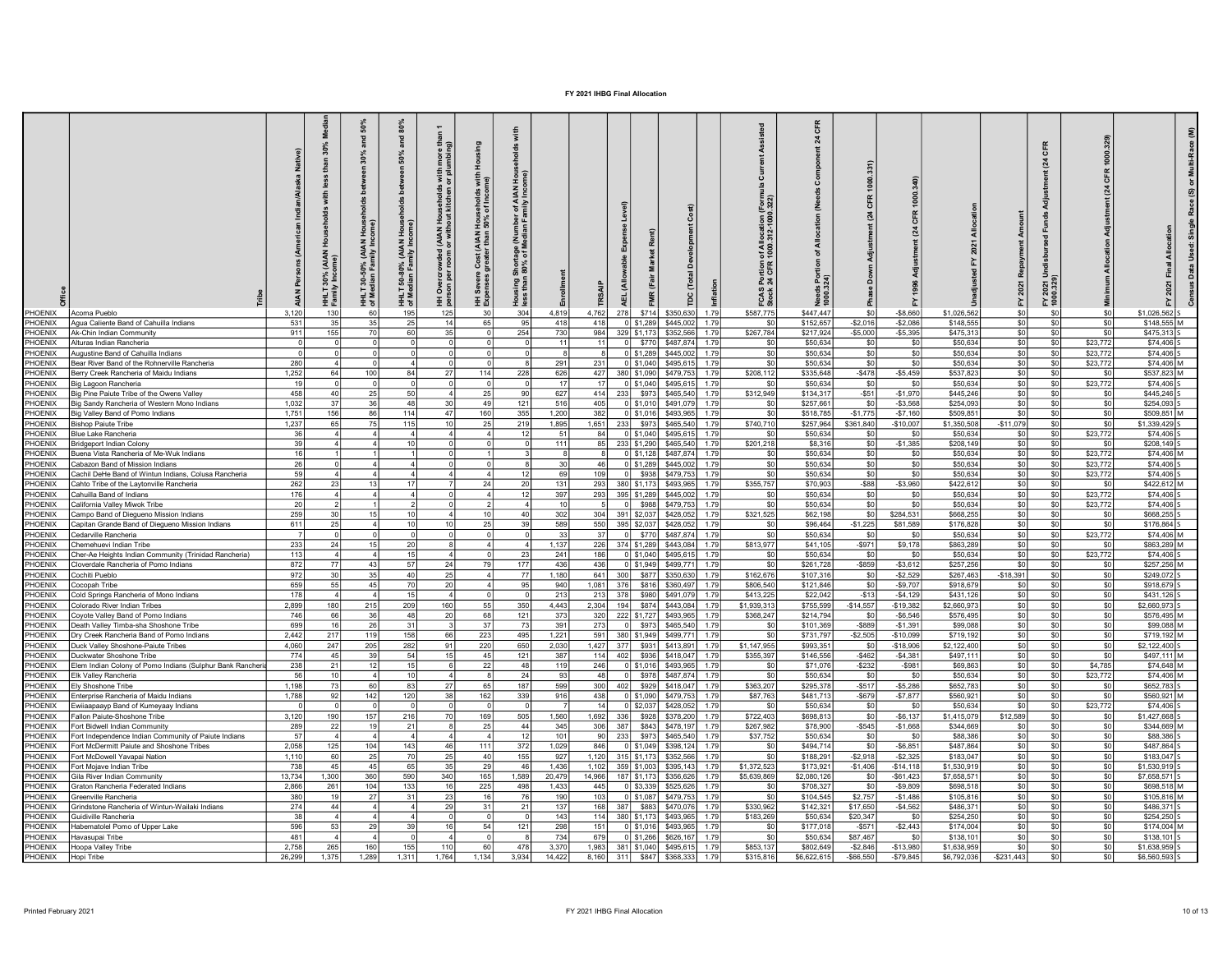|                           |                                                                   |              |                           | and                | 80%<br>and<br>50%<br>50-80% (AIAN Hous<br>Jian Familu Income | than<br>more<br>(AIAN Households with<br>or without kitchen or plu | 훞<br>with<br>me)<br>l Households<br>150% of Incon<br>Cost (AIAN<br>Treater than | 로 홀<br>of AIAN<br>milv Inco<br>of Mer<br>مر Me |            |              |          |                                                  |              | n of Allocation (<br>१ 1000.312-1000 | য়                     | $\overline{a}$             |                        |                        | CFR<br>$\overline{a}$ |                        |                       |                            |
|---------------------------|-------------------------------------------------------------------|--------------|---------------------------|--------------------|--------------------------------------------------------------|--------------------------------------------------------------------|---------------------------------------------------------------------------------|------------------------------------------------|------------|--------------|----------|--------------------------------------------------|--------------|--------------------------------------|------------------------|----------------------------|------------------------|------------------------|-----------------------|------------------------|-----------------------|----------------------------|
|                           |                                                                   |              | <b>AIAN</b><br>E<br>Essai | g.<br>오로<br>여<br>예 | HHLT<br>of Med                                               | rcrowded<br>per room<br>$\infty$<br>Ð                              | 조                                                                               | Hou<br>se                                      |            |              |          |                                                  |              | Portion<br>24 CFR<br>FCAS I<br>Stock | Needs<br>1000.3        |                            |                        |                        | 2021<br>10.32         | 호회                     |                       |                            |
| PHOENIX                   | <b>Acoma Pueblo</b>                                               | 3,120        | 130                       |                    | 19                                                           | 125                                                                |                                                                                 | 304                                            | 4,819      | 4,762        | 278      | \$714<br>\$350,630                               | 1.79         | \$587,775                            | \$447,447              |                            | $-$8,660$              | \$1,026,562            | \$0                   | \$0                    | \$1,026,562           |                            |
| PHOENIX                   | Agua Caliente Band of Cahuilla Indians                            | 531          | 35                        | 35                 |                                                              | 14                                                                 | 65                                                                              | 95                                             | 418        | 418          |          | $0$ \$1,289<br>\$445,002                         | 1.79         | \$0                                  | \$152,657              | $-$2,016$                  | $-$2,086$              | \$148,555              | SO                    | \$0                    | \$0                   | \$148,555 M                |
| PHOFNIX                   | Ak-Chin Indian Community                                          | 911          | 155                       | 70                 |                                                              | 35                                                                 |                                                                                 | 254                                            | 730        | 984          |          | 329 \$1,173<br>\$352,566                         | 1.79         | \$267,784                            | \$217,924              | $-$5,000$                  | $-$5,395$              | \$475,313              | SO                    | \$0                    | \$475,313             |                            |
| PHOENIX                   | Alturas Indian Rancheria                                          |              |                           |                    |                                                              |                                                                    |                                                                                 |                                                | 11         | 11           |          | \$770<br>\$487,874                               | 1.79         | \$0                                  | \$50,634               | \$0                        | \$0                    | \$50,634               | SO <sub>2</sub>       | SO<br>\$23,772         |                       | \$74,406 S                 |
| PHOENIX                   | Augustine Band of Cahuilla Indians                                |              |                           |                    |                                                              |                                                                    |                                                                                 |                                                |            | 8            |          | $0$ \$1,289<br>\$445,002                         | 1.79         | \$0                                  | \$50,634               | SO                         | \$0                    | \$50,634               | SO                    | \$0<br>\$23,772        |                       | \$74,406 S                 |
| PHOENIX                   | Bear River Band of the Rohnerville Rancheria                      | 280          |                           |                    |                                                              |                                                                    |                                                                                 |                                                | 291        | 231          |          | $0$ \$1,040<br>\$495,615                         | 1.79         | \$0                                  | \$50,634               | SO                         | \$0                    | \$50,634               | SO                    | \$0<br>\$23,772        |                       | \$74,406 M                 |
| PHOENIX                   | Berry Creek Rancheria of Maidu Indians                            | 1,252        | 64                        | 100                |                                                              |                                                                    | 114                                                                             | 228                                            | 626        | 427          |          | 380 \$1,090<br>\$479,753                         | 1.79         | \$208,112                            | \$335,648              | $-$478$                    | $-$5,459$              | \$537,823              | SO                    | \$0<br>\$0             |                       | \$537,823 M                |
| PHOENIX<br>PHOENIX        | Big Lagoon Rancheria<br>Big Pine Paiute Tribe of the Owens Valley | 458          | 40                        | 25                 |                                                              |                                                                    | 25                                                                              | <b>QC</b>                                      | 17<br>627  | 17<br>414    | 233      | 0 \$1,040<br>\$495,615<br>\$973<br>\$465,540     | 1.79<br>1.79 | \$0<br>\$312,949                     | \$50,634<br>\$134,317  | S <sub>0</sub><br>$-$ \$51 | \$0<br>$-$1,970$       | \$50,634<br>\$445,246  | sol<br>SO             | \$23,772<br>\$0        | \$445,246<br>\$0      | \$74,406 S                 |
| PHOENIX                   | Big Sandy Rancheria of Western Mono Indians                       | 1,032        | 37                        | 36                 |                                                              | 30                                                                 | 49                                                                              | 121                                            | 516        | 405          |          | $0$ \$1,010<br>\$491,079                         | 1.79         | \$0                                  | \$257,661              | \$0                        | $-$3,568$              | \$254,093              | \$0                   | \$0                    | \$0<br>\$254,093      |                            |
| PHOENIX                   | Big Valley Band of Pomo Indians                                   | 1,751        | 156                       | 86                 | 114                                                          | 47                                                                 | 160                                                                             | 355                                            | 1,200      | 382          |          | $0$ \$1,016<br>\$493,965                         | 1.79         | \$0                                  | \$518,785              | $-$1,775$                  | $-$7,160$              | \$509,851              | \$0                   | \$0                    | \$0                   | \$509,851 M                |
| PHOENIX                   | <b>Bishon Paiute Tribe</b>                                        | 1.237        | 65                        | 75                 | 11 <sup>5</sup>                                              | 10                                                                 | 25                                                                              | 219                                            | 1,895      | 1,651        | 233      | \$973<br>\$465,540                               | 1.79         | \$740.710                            | \$257,964              | \$361,840                  | $-$10,007$             | \$1,350,508            | $-$11,079$            | \$0                    | \$1,339,429 5<br>\$0  |                            |
| PHOENIX                   | Blue Lake Rancheria                                               | 36           |                           |                    |                                                              |                                                                    |                                                                                 |                                                | 51         | 84           |          | 0 \$1,040<br>\$495,615                           | 1.79         | \$0                                  | \$50,634               | \$0                        | \$0                    | \$50,634               | sol                   | \$0<br>\$23,772        |                       | \$74,406                   |
| PHOENIX                   | Bridgeport Indian Colonv                                          | -39          |                           |                    |                                                              |                                                                    |                                                                                 |                                                | 111        | -85 l        |          | 233 \$1,290<br>\$465,540                         | 1.79         | \$201,218                            | \$8,316                | \$0                        | $-$1,385$              | \$208,149              | sol                   | \$0                    | -\$0                  | \$208,149 S                |
| PHOENIX                   | Buena Vista Rancheria of Me-Wuk Indians                           |              |                           |                    |                                                              |                                                                    |                                                                                 |                                                |            |              |          | $0$ \$1,128<br>\$487,874                         | 1.79         | \$0                                  | \$50,634               | \$0                        | -SC                    | \$50,634               | so                    | \$23,772<br>\$0        |                       | \$74.406 M                 |
| PHOENIX                   | Cabazon Band of Mission Indians                                   | 26           |                           |                    |                                                              |                                                                    |                                                                                 |                                                | 30         | 46           |          | $0$ \$1,289<br>\$445.003                         | 1.79         | \$0                                  | \$50,634               | SO                         | \$0                    | \$50.634               | SO                    | \$23,772<br>\$0        |                       | $$74.406$ S                |
| <b>PHOENIX</b>            | Cachil DeHe Band of Wintun Indians, Colusa Rancheria              | 59           |                           |                    |                                                              |                                                                    |                                                                                 | -11                                            | 69         | 109          | 0I       | \$938<br>\$479.753                               | 1.79         | $s$ <sub>0</sub>                     | \$50.634               | $\overline{\text{SO}}$     | \$0                    | \$50.634               | $ $ sol               | \$0<br>\$23,772        |                       | $$74.406$ S                |
| PHOENIX                   | Cahto Tribe of the Laytonville Rancheria                          | 262          |                           |                    |                                                              |                                                                    | 24                                                                              |                                                | 131        | 293          |          | 380 \$1,173<br>\$493.965                         | 179          | \$355,757                            | \$70,903               | $-$ \$88                   | $-$3,960$              | \$422,612              | \$0                   | \$0<br>- \$1           |                       | \$422,612 M                |
| PHOENIX                   | Cahuilla Band of Indians                                          | 176          |                           |                    |                                                              |                                                                    | Δ                                                                               | $-11$                                          | 397        | 293          |          | 395 \$1,289<br>\$445.00                          | 179          | \$0                                  | \$50,634               | SO I                       | \$0                    | \$50.634               | so                    | \$23,772<br>\$0        |                       | \$74,406 S                 |
| <b>PHOENIX</b>            | California Valley Miwok Tribe                                     | 20           |                           |                    |                                                              |                                                                    |                                                                                 |                                                | 10         | -51          | $\Omega$ | \$988<br>\$479.753                               | 1.79         | \$0                                  | \$50,634               | SO                         | \$0                    | \$50.634               | SO                    | \$23,772<br>\$0        |                       | \$74,406 S                 |
| <b>PHOENIX</b>            | Campo Band of Diegueno Mission Indians                            | 259          | 30 <sup>1</sup>           | 151                |                                                              | Δ                                                                  | 10                                                                              | 40                                             | 302        | 304          |          | 391 \$2,037<br>\$428,052                         | 1.79         | \$321,525                            | \$62,198               | SO                         | \$284,531              | \$668,255              | $ $ so                | \$0                    | \$0                   | $$668.255$ S               |
| PHOENIX<br><b>PHOENIX</b> | Capitan Grande Band of Diegueno Mission Indians                   | 611          | 25                        |                    |                                                              | 10                                                                 | 25                                                                              | 39                                             | 589<br>-33 | 550          | $\Omega$ | 395 \$2,037<br>\$428,052<br>\$770<br>\$487.874   | 179<br>179   | S0<br>-SO                            | \$96,464               | $-$1,225$                  | \$81,589<br>.SO        | \$176,828<br>\$50.634  | so                    | SO I                   | \$176,864 S<br>- \$0  | \$74,406 M                 |
| PHOENIX                   | Cedarville Rancheria<br>Chemehuevi Indian Tribe                   | 233          | 24                        | 151                |                                                              |                                                                    |                                                                                 |                                                | 1.137      | -37 I<br>226 |          | 374 \$1,289<br>\$443,084                         | 179          | \$813,977                            | \$50,634<br>\$41,105   | - SO<br>$-$971$            | \$9,178                | \$863,289              | SO<br>SO              | \$23,772<br>\$0<br>\$0 | . \$∩                 | \$863,289 M                |
| PHOFNIX                   | Cher-Ae Heights Indian Community (Trinidad Rancheria)             | 113          |                           |                    |                                                              | $\Delta$                                                           |                                                                                 |                                                | 241        | 186          |          | $0$ \$1,040<br>\$495,61                          | 179          | S <sub>0</sub>                       | \$50,634               | \$0                        | - \$0                  | \$50,634               | so                    | \$23,772<br>\$0        |                       | \$74,406 S                 |
| PHOFNIX                   | Cloverdale Rancheria of Pomo Indians                              | 872          | 77                        | 43                 |                                                              | <b>24</b>                                                          | 79                                                                              | 177                                            | 436        | 436          |          | 0 \$1,949<br>\$499.77                            | 1.79         | SO                                   | \$261,728              | $-$ \$859                  | $-$3,612$              | \$257,256              | SO                    | \$0                    | \$0                   | \$257,256 M                |
| PHOENIX                   | Cochiti Pueblo                                                    | 972          | 30                        | 35I                | 40                                                           | 25                                                                 | Δ                                                                               | - 77                                           | 1,180      |              | 641 300  | \$877<br>\$350.630                               | 1.79         | \$162,676                            | \$107,316              | SO I                       | $-$2,529$              | \$267,463              | $-$18,391$            | SO I                   | \$249,072 S<br>- \$0  |                            |
| PHOENIX                   | Cocopah Tribe                                                     | 659          | 55                        | 45                 |                                                              | 20                                                                 | Δ                                                                               | QF                                             | 940        | 1.081 376    |          | \$816<br>\$360.497                               | 1.79         | \$806,540                            | \$121,846              | \$0                        | $-$ \$9,707            | \$918,679              | \$0                   | SO I                   | - \$0<br>\$918,679    |                            |
| PHOENIX                   | Cold Springs Rancheria of Mono Indians                            | 178          |                           |                    |                                                              | $\Lambda$                                                          |                                                                                 |                                                | 213        | 213          | - 378 l  | \$980<br>\$491.079                               | 1.79         | \$413,225                            | \$22,042               | $-$13$                     | $-$4,129$              | \$431,126              | SO                    | \$0                    | \$0<br>\$431,126      |                            |
| PHOFNIX                   | Colorado River Indian Tribes                                      | 2,899        | 180                       | 215                | 209                                                          | 160                                                                | 55                                                                              | 35C                                            | 4.443      | 2,304        | 194      | \$874<br>\$443,084                               | 1.79         | \$1,939,313                          | \$755,599              | $-$14,557$                 | $-$19,382$             | \$2,660,973            | SO                    | \$0                    | \$0<br>\$2,660,973    |                            |
| PHOFNIX                   | Coyote Valley Band of Pomo Indians                                | 746          | 661                       | 36                 | $\Delta$ <sup>8</sup>                                        | 20                                                                 | 68                                                                              | 121                                            | 373        | 320          |          | 222 \$1,727<br>\$493,965                         | 1.79         | \$368,247                            | \$214,794              | \$0                        | $-$6,546$              | \$576,495              | SO                    | \$0                    | \$0                   | \$576,495 M                |
| PHOENIX                   | Death Valley Timba-sha Shoshone Tribe                             | 699          | 16                        | 26                 | -31                                                          |                                                                    | 37                                                                              | $\overline{7}$                                 | 391        | 273          | $\Omega$ | \$465,540<br>\$973                               | 179          | - \$0                                | \$101,369              | $-$ \$889                  | $-$1,391$              | \$99,088               | SO                    | SO I                   | \$0                   | \$99,088 M                 |
| PHOFNIX                   | Dry Creek Rancheria Band of Pomo Indians                          | 2,442        | 217                       | 119                | 158                                                          | 66                                                                 | 223                                                                             | 495                                            | 1,221      | 591          |          | 380 \$1,949<br>\$499,771                         | 1.79         | \$0                                  | \$731,797              | $-$2,505$                  | $-$10,099$             | \$719,192              | SO                    | \$0                    | \$0                   | \$719,192 M                |
| PHOENIX                   | Duck Valley Shoshone-Paiute Tribes                                | 4.060        | 247                       | 205                | 282                                                          | 91                                                                 | 220                                                                             | 650                                            | 2,030      | 1,427 377    |          | \$931<br>\$413,891                               | 1.79         | \$1,147,955                          | \$993,351              | \$0                        | $-$18,906$             | \$2,122,400            | SO                    | \$0                    | \$0<br>\$2,122,400 S  |                            |
| PHOENIX                   | Duckwater Shoshone Tribe                                          | 774          | 45                        | 39 <sup>1</sup>    | -54                                                          | 15 <sup>1</sup>                                                    | 45                                                                              | 121                                            | 387        |              | 114 402  | \$936<br>\$418,047                               | 1.79         | \$355,397                            | \$146,556              | $-$462$                    | $-$4.381$              | \$497.111              | SO                    | \$0                    | - \$0                 | \$497.111 M                |
| HOENIX                    | Elem Indian Colony of Pomo Indians (Sulphur Bank Rancheri         | 238          | 21                        | 12                 |                                                              |                                                                    | 22                                                                              | $\Delta$                                       | 119        | 246          |          | $0$ \$1,016<br>\$493,965                         | 1.79         | \$0                                  | \$71,076               | $-$ \$232                  | $-$ \$981              | \$69,863               | so                    | \$0<br>\$4,785         |                       | \$74,648 M                 |
| PHOENIX<br>PHOFNIX        | Elk Vallev Rancheria                                              | -56<br>1.198 | 10                        |                    |                                                              | $\Lambda$                                                          |                                                                                 | $\mathcal{D}$<br>187                           | 93         | 48           | $\Omega$ | \$978<br>\$487,874                               | 1.79<br>1.79 | SO.                                  | \$50,634               | SO.                        | - \$0                  | \$50,634               | SO                    | \$23,772<br>\$0        | \$0                   | \$74,406 M                 |
| PHOENIX                   | Ely Shoshone Tribe<br>Enterprise Rancheria of Maidu Indians       | 1,788        | 73<br>92                  | 60<br>142          | 83<br>120                                                    | -271<br>38                                                         | 65<br>162                                                                       | 339                                            | 599<br>916 | 438          | 300 402  | \$929<br>\$418,047<br>$0$   \$1,090<br>\$479,753 | 1.79         | \$363,207<br>\$87,763                | \$295,378<br>\$481,713 | $-$ \$517<br>$-$ \$679     | $-$5,286$<br>$-$7.877$ | \$652,783<br>\$560.921 | SO<br>SO              | \$0<br>\$0             | \$0                   | \$652,783 S<br>\$560,921 M |
| HOENIX                    | Ewilaapaayp Band of Kumeyaay Indians                              |              |                           |                    |                                                              |                                                                    |                                                                                 |                                                |            | 14           |          | $0$ \$2,037<br>\$428,052                         | 1.79         | sol                                  | \$50,634               | \$0                        | \$0                    | \$50,634               | sol                   | \$0<br>\$23,772        |                       | \$74,406 S                 |
| PHOENIX                   | Fallon Paiute-Shoshone Tribe                                      | 3.12         | 190                       | 157                | 216                                                          | 70                                                                 | 169                                                                             | 505                                            | 1,560      | 1,692        | 336      | \$928<br>\$378,200                               | 1.79         | \$722,403                            | \$698,813              | \$0                        | $-$6,137$              | \$1,415,079            | \$12,589              | \$0                    | \$1,427,668 S<br>\$0  |                            |
| PHOENIX                   | Fort Bidwell Indian Community                                     | 289          | 22                        | 191                | 21                                                           |                                                                    | 25                                                                              | 44                                             | 345        | 306          | 387      | \$843<br>\$478,197                               | 1.79         | \$267,982                            | \$78,900               | $-$545$                    | $-$1,668$              | \$344,669              | so l                  | \$0                    | \$0l                  | \$344,669 M                |
| <b>HOENIX</b>             | Fort Independence Indian Community of Paiute Indians              | 57           |                           |                    |                                                              |                                                                    | $\Delta$                                                                        | $\mathbf{1}^{\prime}$                          | 101        | 90           | 233      | \$973<br>\$465,540                               | 1.79         | \$37,752                             | \$50,634               | \$0                        | \$0                    | \$88,386               | sol                   | \$0                    | \$0                   | \$88,386 S                 |
| <b>HOENIX</b>             | Fort McDermitt Paiute and Shoshone Tribes                         | 2,058        | 125                       | 104                | 143                                                          | 46                                                                 | 111                                                                             | 372                                            | 1,029      | 846          |          | 0 \$1,049<br>\$398.124                           | 1.79         | \$0                                  | \$494,714              | \$0                        | $-$6,851$              | \$487,864              | so                    | \$0                    | \$0                   | \$487,864 S                |
| HOENIX                    | Fort McDowell Yavapai Nation                                      | 1.110        | 60                        | 25                 |                                                              | 25                                                                 | 40                                                                              | 155                                            | 927        | 1,120        |          | 315 \$1,173<br>\$352,566                         | 1.79         | \$0                                  | \$188,291              | $-$2,918$                  | $-$ \$2,325            | \$183,047              | SO                    | \$0                    | \$183,047 S<br>\$0    |                            |
| PHOENIX                   | Fort Mojave Indian Tribe                                          | 738          | 45                        | 45                 | 65                                                           | 35                                                                 | 29                                                                              | 46                                             | 1,436      | 1,102        |          | 359 \$1,003<br>\$395,143                         | 1.79         | \$1,372,523                          | \$173,921              | $-$1,406$                  | $-$14,118$             | \$1,530,919            | sol                   | \$0                    | -sol<br>\$1,530,919 S |                            |
| <b>HOFNIX</b>             | Gila River Indian Community                                       | 13.734       | 1.3001                    | 360 <sup>1</sup>   | 590                                                          | 340                                                                | 165                                                                             | 1.589                                          | 20,479     | 14.966       |          | 187   \$1,173<br>\$356,626                       | 1.79         | \$5,639,869                          | \$2,080,126            | \$0                        | $-$ \$61.423           | \$7,658.571            | sol                   | \$0                    | \$7,658,571 S<br>\$0  |                            |
| <b>HOENIX</b>             | <b>Graton Rancheria Federated Indians</b>                         | 2.866        | 261                       | 104                | 133                                                          | 16                                                                 | 225                                                                             | 498                                            | 1.433      | 445          |          | $0$ \$3,339<br>\$525,626                         | 1.79         | \$0                                  | \$708,327              | \$0                        | $-$9,809$              | \$698,518              | SO                    | \$0                    | \$0                   | \$698,518 M                |
| <b>HOENIX</b>             | reenville Rancheria                                               | 380          | 19                        | 27                 | 31                                                           | 23                                                                 | 16                                                                              |                                                | 190        | 103          |          | 0 \$1,087<br>\$479.75                            | 1.79         | S <sub>0</sub>                       | \$104,545              | \$2,757                    | $-$1.486$              | \$105,816              | SO                    | \$0                    | \$0                   | \$105,816 M                |
| <b>HOENIX</b>             | Grindstone Rancheria of Wintun-Wailaki Indians                    | 274          | 44                        |                    |                                                              | 29                                                                 | 31                                                                              |                                                | 137        | 168          | 387      | \$883<br>\$470,076                               | 1.79         | \$330,962                            | \$142,321              | \$17,650                   | $-$4,562$              | \$486,371              | sol                   | \$0                    | \$0                   | \$486,371 S                |
| <b>HOENIX</b>             | Guidiville Rancheria                                              | 38           |                           |                    |                                                              |                                                                    | $\Omega$                                                                        |                                                | 143        | 114          |          | 380 \$1,173<br>\$493,965                         | 1.79         | \$183,269                            | \$50,634               | \$20,347                   | \$0                    | \$254,250              | sol                   | \$0                    | \$0                   | \$254,250 S                |
| <b>IOFNIX</b>             | Habematolel Pomo of Upper Lake                                    | 596          | 53                        | 29                 |                                                              | 16                                                                 | 54                                                                              | 12 <sup>1</sup>                                | 298        | 1511         |          | $01$ \$1.016<br>\$493.965                        | 1.79         | \$0                                  | \$177,018              | $-$571$                    | $-$2,443$              | \$174,004              | SO <sub>1</sub>       | \$0                    | \$0                   | \$174,004 M                |
| <b>IOENIX</b>             | Havasupai Tribe                                                   | 481          |                           |                    |                                                              |                                                                    |                                                                                 |                                                | 734        | 679          |          | 0 \$1,266<br>\$626.16                            | 1.79         | \$0                                  | \$50,634               | \$87,467                   | \$0                    | \$138,101              | SO <sub>1</sub>       | \$0                    | \$0<br>\$138,101 5    |                            |
| <b>HOENIX</b>             | Hoopa Valley Tribe                                                | 2,758        | 265                       | 160                | 155                                                          | 110                                                                | 60                                                                              | 478                                            | 3,370      | 1.983        |          | 381 \$1,040<br>\$495,615                         | 1.79         | \$853,137                            | \$802,649              | $-$2,846$                  | $-$ \$13,980           | \$1,638,959            | SO <sub>2</sub>       | \$0                    | \$0<br>\$1,638,959 S  |                            |
| PHOENIX                   | Hopi Tribe                                                        | 26.299       | 1.375                     | 1.289              | 1.311                                                        | 1.764                                                              | 1.134                                                                           | 3.934                                          | 14.422     |              |          | 8.160 311 \$847 \$368.333                        | 1.79         | \$315.816                            | \$6,622,615            | $-$66.550$                 | $-$ \$79.845           | \$6,792,036            | $-$231.443$           | SO <sub>1</sub>        | \$0<br>\$6,560,593 S  |                            |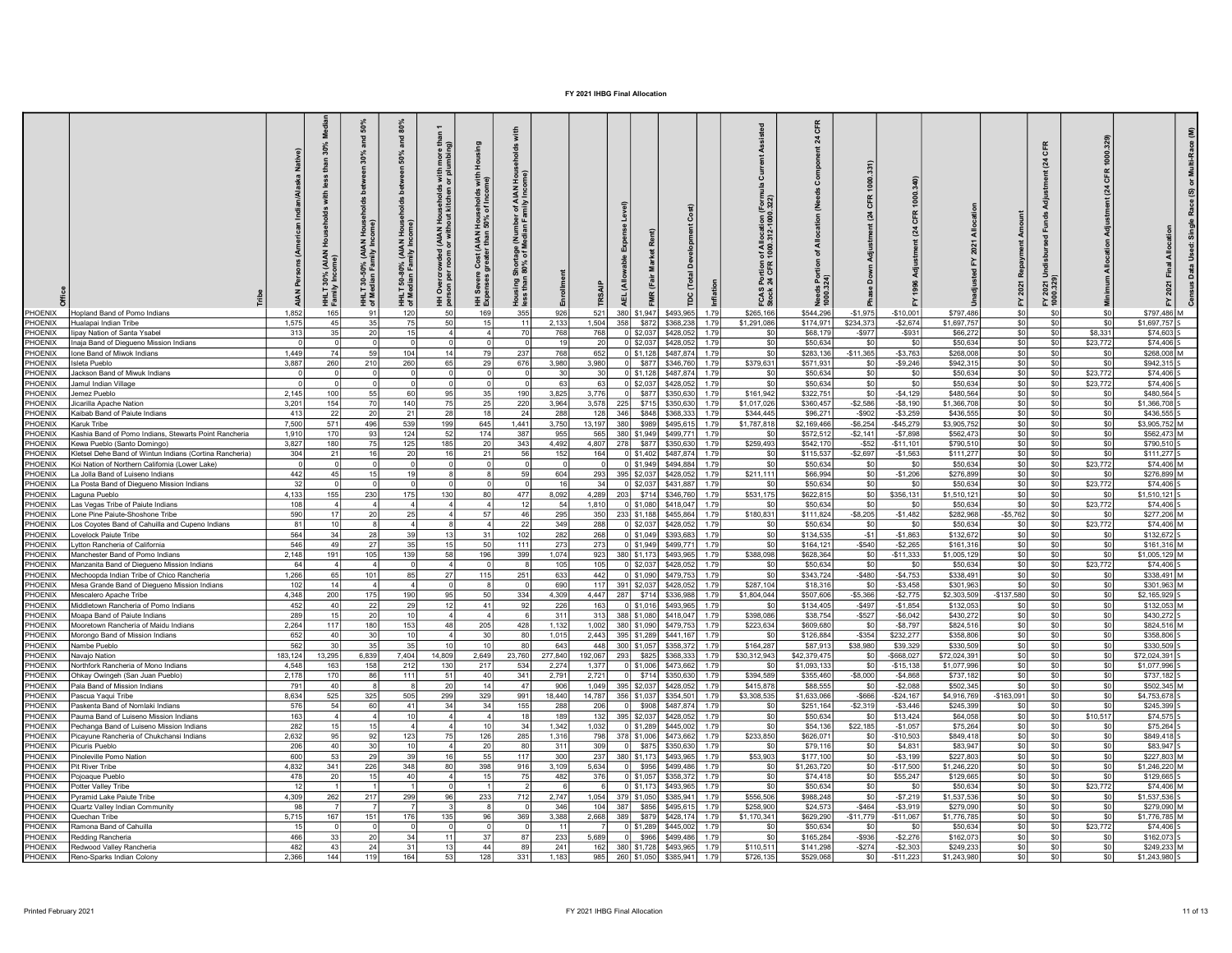|                          | PHOENIX   Hopland Band of Pomo Indians                  | 1.852        | 30%<br>£<br><b>AIAN</b><br>30%<br>노T<br>Eamil<br>165 | S <sub>0</sub><br>ξ<br>(AIAN<br>క్ల<br>모들<br>여<br>예 | 80%<br>$\frac{1}{6}$<br>50%<br><b>b</b> et<br>50-80% (AIAN Hous<br>Jian Family Income)<br><b>HHLT</b><br>of Med<br>121 | more<br>(AIAN Households with<br>or without kitchen or plu<br>Overcrowded<br>son ner room<br>. 포 효 | Ĭ<br>l Households<br>150% of Incom<br>Cost (AIAN I<br>greater than<br>Severe<br>contracts<br>王 短<br>169 | of AIAN Hou<br>unily Income)<br>Shortage (Nur<br>180% of Media<br>ិច<br>សា<br>355 | 926          | 521                | 380 \$1,947        | \$493.965                                          | 툴<br>1.79     | of Allocation (Forn<br>1000.312-1000.322)<br>FCAS Portion<br>Stock 24 CFR<br>\$265,166 | য়<br>ds Po<br>1.324)<br>\$544,296 | $\overline{a}$<br>$-$1.975$ | $-$10,001$              | \$797.486                | CFR<br>(24)<br>FY 2021 Ur<br>1000.329)<br>\$0<br>\$0 |                                  | \$797.486 M                   | Σ |
|--------------------------|---------------------------------------------------------|--------------|------------------------------------------------------|-----------------------------------------------------|------------------------------------------------------------------------------------------------------------------------|----------------------------------------------------------------------------------------------------|---------------------------------------------------------------------------------------------------------|-----------------------------------------------------------------------------------|--------------|--------------------|--------------------|----------------------------------------------------|---------------|----------------------------------------------------------------------------------------|------------------------------------|-----------------------------|-------------------------|--------------------------|------------------------------------------------------|----------------------------------|-------------------------------|---|
| PHOENIX                  | Hualapai Indian Tribe                                   | 1,575        | 45                                                   | 35                                                  |                                                                                                                        | 50                                                                                                 | 15                                                                                                      | $\cdot$ 1                                                                         | 2,133        | 1,504              | 358                | \$872<br>\$368,238                                 | 1.79          | \$1,291,086                                                                            | \$174,971                          | \$234,373                   | $-$2.674$               | \$1,697,757              | SO                                                   | \$0<br>\$0                       | \$1,697,757                   |   |
| PHOENIX                  | linav Nation of Santa Ysabel                            | 313          | 35                                                   | 20 <sub>l</sub>                                     |                                                                                                                        |                                                                                                    |                                                                                                         | 7(                                                                                | 768          | 768                |                    | 0 \$2.037<br>\$428,052                             | 1.79          | \$0                                                                                    | \$68,179                           | $-$ \$977                   | $-$ \$931               | \$66,272                 | sol                                                  | SO<br>\$8.331                    | \$74,603 S                    |   |
| PHOENIX                  | Inaja Band of Diegueno Mission Indians                  |              |                                                      |                                                     |                                                                                                                        |                                                                                                    |                                                                                                         |                                                                                   | 19           | 20                 |                    | $0$ \$2,037<br>\$428,052                           | 179           | \$0                                                                                    | \$50,634                           | SO                          | \$0                     | \$50,634                 | so                                                   | \$23,772<br>\$0                  | \$74,406 S                    |   |
| PHOFNIX                  | Ione Band of Miwok Indians                              | 1.449        | 74                                                   | 59                                                  | 104                                                                                                                    | 14                                                                                                 | 79                                                                                                      | 237                                                                               | 768          | 652                |                    | $0$ \$1,128<br>\$487.874                           | 1.79          | \$0                                                                                    | \$283,136                          | $-$11,365$                  | $-$3,763$               | \$268,008                | SO                                                   | \$0<br>- \$0                     | \$268,008 M                   |   |
| PHOENIX                  | Isleta Pueblo                                           | 3.887        | 260                                                  | 210                                                 | 260                                                                                                                    | 65                                                                                                 | 29                                                                                                      | 676                                                                               | 3,980        | 3,980              |                    | \$877<br>\$346,760                                 | 1.79          | \$379,631                                                                              | \$571,931                          | SO I                        | $-$9,246$               | \$942.315                | $ $ so                                               | \$0<br>\$0                       | $$942.315$ S                  |   |
| <b>PHOENIX</b>           | Jackson Band of Miwuk Indians                           |              |                                                      |                                                     |                                                                                                                        |                                                                                                    |                                                                                                         |                                                                                   | 30           | 30                 |                    | $0$ \$1.128<br>\$487,874                           | 1.79          | \$0                                                                                    | \$50,634                           | \$0                         | \$0                     | \$50.634                 | $ $ so                                               | \$23,772<br>\$0                  | \$74,406 S                    |   |
| PHOENIX                  | Jamul Indian Village                                    |              |                                                      |                                                     |                                                                                                                        |                                                                                                    |                                                                                                         |                                                                                   | 63           | 63                 |                    | ol \$2,037<br>\$428,052                            | 179           | sol                                                                                    | \$50,634                           | \$0                         | \$0                     | \$50,634                 | so                                                   | \$23,772<br>\$0                  | \$74,406                      |   |
| PHOENIX                  | Jemez Pueblo                                            | 2,145        | 100                                                  | 55                                                  |                                                                                                                        | 95                                                                                                 | 35                                                                                                      | 190                                                                               | 3,825        | 3.776              | 0 I                | \$877<br>\$350,630                                 | 1 7 9 I       | \$161,942                                                                              | \$322,751                          | \$0                         | $-$4.129$               | \$480,564                | SO                                                   | \$0<br>- \$0                     | \$480,564                     |   |
| PHOFNIX                  | Jicarilla Apache Nation                                 | 3,20         | 154                                                  |                                                     | 140<br>70                                                                                                              | 75                                                                                                 | 25                                                                                                      | 220                                                                               | 3,964        | 3,578              | 225                | \$715<br>\$350.63                                  | 1.79          | \$1,017,026                                                                            | \$360,457                          | $-$2,586$                   | $-$8,190$               | \$1,366,708              | SO                                                   | \$0<br>\$0                       | \$1,366,708                   |   |
| PHOENIX                  | Kaibab Band of Paiute Indians                           | 413          | 22                                                   | 20                                                  |                                                                                                                        | 28                                                                                                 | 18                                                                                                      | 24                                                                                | 288          | 128                | 346                | \$848<br>\$368,333                                 | 179           | \$344,445                                                                              | \$96,271                           | $-$902$                     | $-$3,259$               | \$436,555                | so                                                   | \$0<br>- \$0                     | \$436,555 S                   |   |
| PHOENIX<br>PHOENIX       | Karuk Tribe                                             | 7.500        | 571                                                  | 496                                                 | 539                                                                                                                    | 199                                                                                                | 645                                                                                                     | 1.441                                                                             | 3,750        | 13.197             | 380                | \$989<br>\$495,615                                 | 179           | \$1,787,818                                                                            | \$2,169,466                        | $-$6,254$                   | $-$ \$45.279            | \$3,905.752              | SO                                                   | \$0<br>-90                       | \$3,905,752 M                 |   |
| PHOENIX                  | Kashia Band of Pomo Indians, Stewarts Point Rancheria   | 1.910        | 170                                                  | 931                                                 | 124                                                                                                                    | -52                                                                                                | 174                                                                                                     | 387                                                                               | 955          | 565                |                    | 380 \$1,949<br>\$499.77                            | 1.79<br>179   | -SO                                                                                    | \$572,512                          | $-$2,141$                   | $-$7,898$               | \$562.473                | SO                                                   | \$0<br>- \$0<br>-\$0             | \$562,473 M                   |   |
| PHOFNIX                  | Kewa Pueblo (Santo Domingo)                             | 3.82         | 180<br>21                                            | 75                                                  | 125<br>16 <sup>1</sup>                                                                                                 | 185<br>16                                                                                          | 20                                                                                                      | 343<br>56                                                                         | 4,492        | 4,807              | 278                | \$877<br>\$350,630                                 | 179           | \$259,493<br>\$0                                                                       | \$542,170                          | $-$ \$52                    | $-$11.10$               | \$790.51                 | SO                                                   | \$0<br>- \$0                     | \$790,510                     |   |
| PHOFNIX                  | Kletsel Dehe Band of Wintun Indians (Cortina Rancheria) | 304          |                                                      |                                                     |                                                                                                                        |                                                                                                    | 21                                                                                                      |                                                                                   | 152          | 164<br>-ol         |                    | $0$ \$1,402<br>S487.874<br>0 \$1,949<br>\$494,884  | 179           | SO                                                                                     | \$115,537                          | $-$2,697$                   | $-$1,563$<br>\$0        | \$111,277<br>\$50,634    | SO                                                   | \$0                              | \$111,277 S<br>\$74,406 M     |   |
| PHOENIX                  | Koi Nation of Northern California (Lower Lake)          | 442          | 45                                                   | 151                                                 |                                                                                                                        |                                                                                                    |                                                                                                         | 50                                                                                | 604          |                    | 395 \$2,037        | \$428,052                                          | 1.79          | \$211,111                                                                              | \$50,634<br>\$66,994               | SO                          |                         | \$276,899                | SO<br>SO                                             | \$23,772<br>\$0<br>SO I<br>- \$0 | \$276,899 M                   |   |
| PHOFNIX                  | La Jolla Band of Luiseno Indians                        | 32           |                                                      |                                                     |                                                                                                                        |                                                                                                    |                                                                                                         |                                                                                   | 16           | 293                |                    |                                                    | 1.79          | SO.                                                                                    |                                    | SO I                        | $-$1,206$<br>\$0        |                          |                                                      |                                  |                               |   |
| PHOENIX                  | La Posta Band of Diegueno Mission Indians               | 4.133        | 155                                                  | 230                                                 | 175                                                                                                                    | 130                                                                                                |                                                                                                         | 477                                                                               |              | 34<br>4.289        |                    | $0$ \$2,037<br>\$431,887<br>203 \$714<br>\$346,760 | 1.79          |                                                                                        | \$50,634                           | \$0                         |                         | \$50,634<br>\$1,510.121  | SO                                                   | \$0<br>\$23,772<br>- \$0         | $$74,406$ S<br>\$1,510,121 S  |   |
| PHOENIX                  | Laguna Pueblo<br>Las Vegas Tribe of Paiute Indians      | 108          |                                                      |                                                     |                                                                                                                        | $\Delta$                                                                                           | 80<br>$\Delta$                                                                                          | $\overline{1}$                                                                    | 8,092<br>54  | 1.810              |                    | 0 \$1,080<br>\$418,047                             | 1.79          | \$531,175<br>S0                                                                        | \$622,815<br>\$50,634              | \$0<br>\$0                  | \$356,131<br>-SC        | \$50,634                 | SO<br>SO                                             | \$0<br>\$0<br>\$23,772           | \$74,406 S                    |   |
| <b>PHOENIX</b>           | Lone Pine Paiute-Shoshone Tribe                         | 590          | 17                                                   | 20                                                  |                                                                                                                        | $\Delta$                                                                                           | 57                                                                                                      | 46                                                                                | 295          | 350                |                    | 233 \$1,188<br>\$455.864                           | 1.79          | \$180.831                                                                              | \$111,824                          | $-$ \$8,205                 | $-$1,482$               | \$282.968                | $-$5,762$                                            | \$0<br>- \$0                     | \$277,206 M                   |   |
| PHOFNIX                  | Los Coyotes Band of Cahuilla and Cupeno Indians         | 81           | 10 <sup>1</sup>                                      |                                                     |                                                                                                                        |                                                                                                    | $\mathbf{A}$                                                                                            | 22                                                                                | 349          | 288                |                    | $0$ \$2,037<br>\$428,052                           | 1.79          | SO I                                                                                   | \$50,634                           | SO I                        | \$0                     | \$50,634                 | SO I                                                 | \$0<br>\$23,772                  | \$74,406 M                    |   |
| PHOFNIX                  | Lovelock Paiute Tribe                                   | 564          | 34                                                   | 28                                                  | 30                                                                                                                     | 13                                                                                                 | 31                                                                                                      | 102                                                                               | 282          | 268                |                    | $0$ \$1,049<br>\$393,683                           | 1.79          | SO                                                                                     | \$134,535                          | $-$ \$1                     | $-$1,863$               | \$132,672                | SO                                                   | \$0<br>- \$0                     | $$132,672$ S                  |   |
| PHOENIX                  | Lytton Rancheria of California                          | 546          | 49                                                   | 27                                                  | 35                                                                                                                     | 15                                                                                                 | 50                                                                                                      | 11'                                                                               | 273          | 273                |                    | 0 \$1,949<br>\$499,771                             | 1.79          | \$0                                                                                    | \$164,121                          | $-$540$                     | $-$ \$2,265             | \$161,316                | SO                                                   | \$0<br>\$0                       | $$161,316$ M                  |   |
| HOENIX                   | Manchester Band of Pomo Indians                         | 2,148        | 191                                                  | 105                                                 | 139                                                                                                                    | 58                                                                                                 | 196                                                                                                     | 399                                                                               | 1,074        | 923                | 380 \$1,173        | \$493,965                                          | 1.79          | \$388,098                                                                              | \$628,364                          | \$0                         | $-$11,333$              | \$1,005,129              | sol                                                  | \$0<br>\$0                       | \$1,005,129 M                 |   |
| HOENIX                   | Manzanita Band of Diegueno Mission Indians              | 64           |                                                      |                                                     |                                                                                                                        | $\Delta$                                                                                           | $\Omega$                                                                                                |                                                                                   | 105          | 105                |                    | $0$ \$2,037<br>\$428,052                           | 1.79          | sol                                                                                    | \$50,634                           | \$0                         | \$0                     | \$50,634                 | SO                                                   | SO<br>\$23,772                   | $$74,406$ S                   |   |
| HOENIX                   | Mechoopda Indian Tribe of Chico Rancheria               | 1,266        | 65                                                   | 101                                                 | 85                                                                                                                     | 27                                                                                                 | 115                                                                                                     | 251                                                                               | 633          | 442                |                    | 0 \$1,090<br>\$479,753                             | 1.79          | SO.                                                                                    | \$343,724                          | $-$480$                     | $-$4,753$               | \$338,491                | so l                                                 | \$0<br>- \$0                     | \$338,491 M                   |   |
| PHOFNIX                  | Mesa Grande Band of Diegueno Mission Indians            | 102          | 1 <sub>A</sub>                                       |                                                     |                                                                                                                        |                                                                                                    |                                                                                                         |                                                                                   | 690          | 117                | 391 \$2,037        | \$428,052                                          | 1.79          | \$287,104                                                                              | \$18,316                           | \$0                         | $-$ \$3,458             | \$301,963                | SO                                                   | \$0<br>- \$0                     | \$301,963 M                   |   |
| HOENIX                   | Mescalero Apache Tribe                                  | 4,348        | 200                                                  | 175                                                 | 190                                                                                                                    | 95l                                                                                                | 50                                                                                                      | 334                                                                               | 4,309        | 4,447              |                    | 287 \$714<br>\$336,988                             | 1.79          | \$1,804,044                                                                            | \$507,606                          | $-$5,366$                   | $-$2,775$               | \$2,303,509              | $-$137,580$                                          | \$0<br>-sol                      | \$2,165,929 S                 |   |
| <b>HOENIX</b>            | Middletown Rancheria of Pomo Indians                    | 452          | 40 <sup>1</sup>                                      | 22                                                  | 29                                                                                                                     | 12                                                                                                 | 41                                                                                                      | 92                                                                                | 226          | 163                |                    | $0$ \$1,016<br>\$493,965                           | 1.79          | \$0                                                                                    | \$134,405                          | $-$497$                     | $-$1,854$               | \$132,053                | sol                                                  | \$0<br>\$0                       | \$132,053 M                   |   |
| <b>HOENIX</b>            | Moapa Band of Paiute Indians                            | 289          | 15                                                   | 20                                                  | 10                                                                                                                     | $\Delta$                                                                                           | $\Delta$                                                                                                |                                                                                   | 311          | 313                |                    | 388 \$1,080<br>\$418,047                           | 1.79          | \$398,086                                                                              | \$38,754                           | $-$527$                     | $-$6,042$               | \$430,272                | sol                                                  | \$0<br>\$0                       | \$430,272 S                   |   |
| HOENIX                   | Mooretown Rancheria of Maidu Indians                    | 2,264        | 117                                                  | 180                                                 | 153                                                                                                                    | 48                                                                                                 | 205                                                                                                     | 428                                                                               | 1,132        | 1,002              |                    | 380 \$1,090<br>\$479,753                           | 1.79          | \$223,634                                                                              | \$609,680                          | SO I                        | $-$8,797$               | \$824,516                | so l                                                 | \$0<br>\$0                       | \$824,516 M                   |   |
| <b>HOENIX</b>            | Morongo Band of Mission Indians                         | 652          | 40                                                   |                                                     | 30 <sup>1</sup><br>10                                                                                                  | $\Lambda$                                                                                          | 30 <sup>1</sup>                                                                                         | 80                                                                                | 1,015        | 2,443 395 \$1,289  |                    | \$441,167                                          | 1.79          | SO                                                                                     | \$126,884                          | $-$ \$354                   | \$232,277               | \$358,806                | sol                                                  | \$0<br>\$0                       | \$358,806 S                   |   |
| <b>HOENIX</b>            | Nambe Pueblo                                            | 562          | 30                                                   | 35                                                  | 35                                                                                                                     | 10 <sup>1</sup>                                                                                    | 10 <sup>1</sup>                                                                                         | 80                                                                                | 643          |                    |                    | 448 300 \$1,057<br>\$358,372                       | 1.79          | \$164,287                                                                              | \$87,913                           | \$38,980                    | \$39,329                | \$330,509                | SO                                                   | \$0<br>\$0                       | \$330,509 S                   |   |
| <b>HOENIX</b>            | Navaio Nation                                           | 183,124      | 13,295                                               | 6,839                                               | 7,404                                                                                                                  | 14,809                                                                                             | 2,649                                                                                                   | 23,760                                                                            | 277,840      | 192,067            | 293                | \$825<br>\$368,333                                 | 1.79          | \$30,312,943                                                                           | \$42,379,475                       | \$0                         | -\$668,027              | \$72,024,391             | SO                                                   | \$0<br>\$0                       | \$72,024,391 S                |   |
| <b>HOENIX</b>            | Northfork Rancheria of Mono Indians                     | 4.548        | 163                                                  | 158                                                 | 212                                                                                                                    | 130                                                                                                | 217                                                                                                     | 534                                                                               | 2,274        | 1.377              |                    | $0$ \$1,006<br>\$473.663                           | 1.79          | \$0                                                                                    | \$1,093,133                        | \$0                         | $-$15,138$              | \$1,077,996              | sol                                                  | \$0<br>\$0                       | \$1,077,996 S                 |   |
| <b>IOFNIX</b>            | Ohkay Owingeh (San Juan Pueblo)                         | 2.178        | 170                                                  |                                                     | 86 <sup>1</sup><br>111                                                                                                 | 51 I                                                                                               | 40 <sup>1</sup>                                                                                         | 341                                                                               | 2,791        | 2.721              |                    | \$350.630                                          | 1.79          | \$394,589                                                                              | \$355,460                          | $-$8,000$                   | $-$4.868$               | \$737.182                | sol                                                  | \$0<br>\$0                       | \$737,182 5                   |   |
| <b>IOENIX</b>            | Pala Band of Mission Indians                            | 791          | 40                                                   |                                                     |                                                                                                                        | 20                                                                                                 | 14                                                                                                      | 47                                                                                | 906          | 1.049              | 395 \$2,037        | \$428,052                                          | 1.79          | \$415,878                                                                              | \$88,555                           | SO.                         | $-$2,088$               | \$502,345                | SO                                                   | \$0<br>\$0                       | \$502,345 M                   |   |
| <b>IOENIX</b>            | Pascua Yagui Tribe                                      | 8,634        | 525                                                  | 325                                                 | 505                                                                                                                    | 299                                                                                                | 329                                                                                                     | 991                                                                               | 18,440       | 14,787 356 \$1,037 |                    | \$354,501                                          | 1.79          | \$3,308,535                                                                            | \$1,633,066                        | $-$666$                     | $-$24,167$              | \$4,916,769              | $-$ \$163,091                                        | \$0<br>\$0                       | \$4,753,678 S                 |   |
| <b>IOENIX</b>            | Paskenta Band of Nomlaki Indians                        | 576          | 54                                                   | 60 <sub>1</sub>                                     |                                                                                                                        | 34                                                                                                 | 34                                                                                                      | 155                                                                               | 288          | 206                | $\Omega$           | \$908<br>\$487,874                                 | 1.79          | \$0                                                                                    | \$251,164                          | $-$2,319$                   | $-$3,446$               | \$245,399                | SO <sub>2</sub>                                      | \$0<br>\$0                       | \$245,399 S                   |   |
| <b>IOENIX</b>            | Pauma Band of Luiseno Mission Indians                   | 163          |                                                      |                                                     |                                                                                                                        |                                                                                                    |                                                                                                         |                                                                                   | 189          | 132 <sup>1</sup>   | 395 \$2,037        | \$428,052                                          | 1.79          | \$0                                                                                    | \$50,634                           | \$0                         | \$13,424                | \$64,058                 | soI                                                  | \$0<br>\$10,517                  | $$74,575$ S                   |   |
| <b>IOENIX</b>            | Pechanga Band of Luiseno Mission Indians                | 282          | 15                                                   | 15                                                  |                                                                                                                        |                                                                                                    | 10                                                                                                      | $\mathcal{R}$                                                                     | 1.342        | 1,032              |                    | $0$ \$1,289<br>\$445,002                           | 1.79          | \$0                                                                                    | \$54,136                           | \$22,185                    | $-$1,057$               | \$75,264                 | sol                                                  | \$0<br>\$0                       | \$75,264 S                    |   |
| <b>IOENIX</b>            | licayune Rancheria of Chukchansi Indians                | 2,632        | 95                                                   | 92                                                  | 123                                                                                                                    | 75                                                                                                 | 126                                                                                                     | 285                                                                               | 1,316        | 798                | 378 \$1,006        | \$473,662                                          | 1.79          | \$233,850                                                                              | \$626,071                          | \$0                         | $-$10,503$              | \$849,418                | SO                                                   | \$0<br>\$0                       | \$849,418 S                   |   |
| <b>IOENIX</b>            | Picuris Pueblo                                          | 206          | 40                                                   |                                                     | 30 <sup>1</sup>                                                                                                        |                                                                                                    | 20 <sup>1</sup>                                                                                         | 80                                                                                | 311          | 309                | - ol               | \$875<br>\$350,630                                 | 1.79          | sol                                                                                    | \$79,116                           | SO                          | \$4,831                 | \$83,947                 | SO                                                   | so  <br>\$0                      | \$83,947 S                    |   |
| <b>IOENIX</b>            | inoleville Pomo Nation                                  | 600          | 53                                                   | 29                                                  |                                                                                                                        | 16                                                                                                 | 55                                                                                                      | 117                                                                               | 300          | 237                | 380 \$1,173        | \$493,965                                          | 1.79          | \$53,903                                                                               | \$177,100                          | SO                          | $-$3,199$               | \$227,803                | SO                                                   | \$0<br>\$0                       | \$227,803 M                   |   |
| <b>HOENIX</b>            | Pit River Tribe                                         | 4.832        | 341                                                  | 226                                                 | 348                                                                                                                    | 80                                                                                                 | 398                                                                                                     | 916                                                                               | 3,109        | 5,634              | - ol               | \$956<br>\$499,486                                 | 1.79          | \$0                                                                                    | \$1,263,720                        | $ $ so                      | $-$17,500$              | \$1,246,220              | $ $ so                                               | \$0<br>\$0                       | \$1,246,220 M                 |   |
| <b>HOENIX</b>            | ojoaque Pueblo                                          | 478          | 20                                                   |                                                     |                                                                                                                        |                                                                                                    | 15                                                                                                      |                                                                                   | 482          | 376<br>-61         |                    | 0 \$1,057<br>\$358,372                             | 1 7 9<br>1.79 | sol                                                                                    | \$74,418                           | SO                          | \$55,247<br>\$0         | \$129.665                | SO <sub>2</sub>                                      | soI<br>\$0                       | \$129,665 S                   |   |
| <b>IOENIX</b>            | Potter Vallev Tribe                                     |              | 262                                                  | 217                                                 | 299                                                                                                                    | 96                                                                                                 |                                                                                                         | 712                                                                               |              |                    |                    | $0$ \$1,173<br>\$493,965                           | 1.79          | \$0                                                                                    | \$50,634                           | SO                          |                         | \$50,634                 | SO <sub>1</sub><br> SO                               | SO<br>\$23,772<br>\$0            | \$74,406 M                    |   |
| <b>HOENIX</b><br>PHOFNIX | Vramid Lake Paiute Tribe                                | 4,309        |                                                      |                                                     |                                                                                                                        |                                                                                                    | 233                                                                                                     |                                                                                   | 2,747<br>346 | 1,054<br>104       | 379 \$1,050<br>387 | \$385,941<br>\$495.61                              | 1.79          | \$556,506                                                                              | \$988,248                          | SO <sub>2</sub><br>$-$464$  | $-$7,219$               | \$1,537,536              | so                                                   | \$0<br>sol                       | \$1,537,536 S                 |   |
| PHOFNIX                  | Quartz Valley Indian Community                          | 5.715        | 167                                                  | 151                                                 |                                                                                                                        | 135                                                                                                | 96 <sub>1</sub>                                                                                         | 369                                                                               | 3.388        | 2.668              | 389                | \$856<br>\$879                                     | 1.79          | \$258,900<br>\$1,170,341                                                               | \$24,573<br>\$629,290              | $-$ \$11.779                | $-$3,919$<br>$-$11.067$ | \$279,090<br>\$1,776,785 | SO                                                   | sol<br>\$0                       | \$279,090 M<br>$$1.776.785$ M |   |
| <b>HOENIX</b>            | Quechan Tribe                                           |              |                                                      |                                                     |                                                                                                                        |                                                                                                    | o١                                                                                                      |                                                                                   |              |                    |                    | \$428,174<br>0 \$1.289<br>\$445,002                | 179           | sol                                                                                    | \$50,634                           | so l                        | \$0                     | \$50,634                 | sol                                                  | so l<br>\$23.772                 | \$74,406 S                    |   |
|                          | Ramona Band of Cahuilla                                 |              | 33                                                   | 20                                                  |                                                                                                                        |                                                                                                    | 37                                                                                                      |                                                                                   |              |                    | - 0                |                                                    | 1.79          | \$0                                                                                    |                                    |                             |                         |                          |                                                      | \$0                              |                               |   |
| HOENIX                   | Redding Rancheria                                       | 466          |                                                      |                                                     |                                                                                                                        |                                                                                                    |                                                                                                         |                                                                                   | 233          | 5,689              |                    | \$966<br>\$499,486                                 |               |                                                                                        | \$165,284                          | $-$936$                     | $-$2,276$               | \$162,073                | SO <sub>1</sub>                                      | \$0                              | \$162,073 S                   |   |
| PHOFNIX                  | Redwood Valley Rancheria<br>Reno-Sparks Indian Colony   | 482<br>2.366 | 43<br>144                                            | 24<br>119                                           | 164                                                                                                                    | 53                                                                                                 | 44<br>128                                                                                               | 33 <sup>1</sup>                                                                   | 241<br>1.183 | 162<br>985         | 380 \$1,728        | \$493,965<br>260 \$1,050<br>\$385,941              | 1.79<br>179   | \$110,511<br>\$726.135                                                                 | \$141,298<br>\$529.068             | $-$274$<br>so l             | $-$2,303$<br>$-$11.223$ | \$249,23<br>\$1,243,980  | so<br>soI                                            | sol<br>\$0<br>sol<br>\$0         | \$249,233 M<br>\$1.243.980 S  |   |
| PHOENIX                  |                                                         |              |                                                      |                                                     |                                                                                                                        |                                                                                                    |                                                                                                         |                                                                                   |              |                    |                    |                                                    |               |                                                                                        |                                    |                             |                         |                          |                                                      |                                  |                               |   |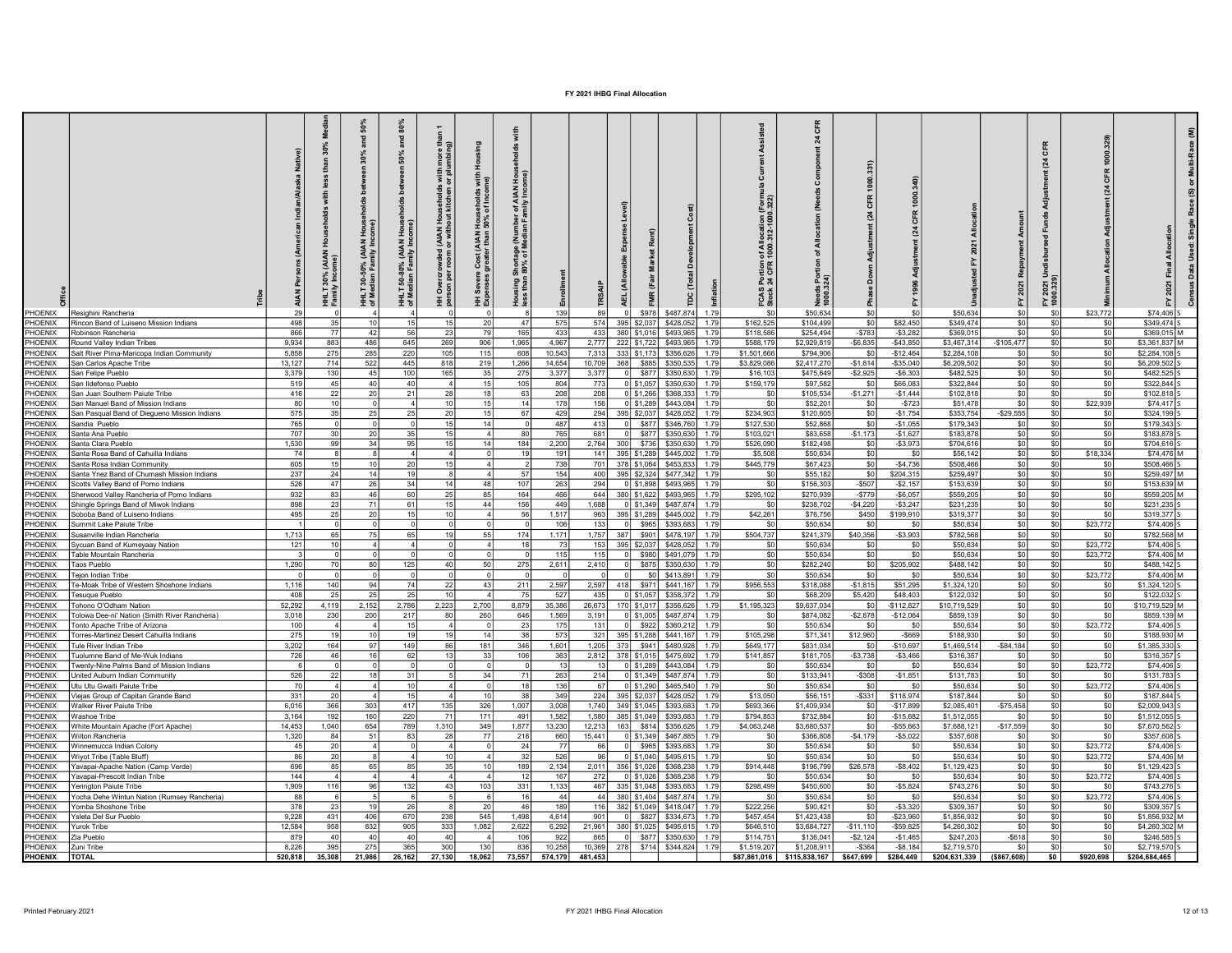| PHOENIX<br>Resighini Rancheria                                                      |                | <b>AIAN</b><br>30%<br>Ë, |                 | and<br>ౚ<br>THET<br>THET | 80%<br>and<br>50%<br>50-80% (AIAN Hous<br>tian Family Income<br>HHLT<br>of Med | than<br>more<br>(AIAN Households with<br>or without kitchen or plu<br>rcrowded<br>per room o<br>Over<br>퓦 | 훞<br>with<br>me)<br>l Households<br>150% of Incon<br>Cost (AIAN<br>greater than<br>Severe<br>oness<br>9 č | 로 홀<br>of AIAN<br>milv Inco<br><b>Cage</b> (N<br>of Mec<br>ិ គ្នា<br>ត្រូវ<br>Hous<br>Less | 139             | 89              |           | \$978<br>\$487,874                |           | 1.79                | 1 of Allocation (<br>t 1000.312-1000<br>Portion<br>24 CFR<br>FCAS I<br>Stock : | য়<br><b>Needs</b><br>1000.3<br>\$50,634 | 24<br>\$0              |                           | \$50,634                 | CFR<br>$\overline{a}$<br>2021<br>7 호<br>\$0 | \$23,772<br>\$0            |              | \$74,406 S                 |  |
|-------------------------------------------------------------------------------------|----------------|--------------------------|-----------------|--------------------------|--------------------------------------------------------------------------------|-----------------------------------------------------------------------------------------------------------|-----------------------------------------------------------------------------------------------------------|--------------------------------------------------------------------------------------------|-----------------|-----------------|-----------|-----------------------------------|-----------|---------------------|--------------------------------------------------------------------------------|------------------------------------------|------------------------|---------------------------|--------------------------|---------------------------------------------|----------------------------|--------------|----------------------------|--|
| PHOENIX<br>Rincon Band of Luiseno Mission Indians                                   | 498            |                          | 35              |                          |                                                                                |                                                                                                           | 20                                                                                                        | 47                                                                                         | 575             | 574             |           | 395 \$2,037<br>\$428,052          |           | 1.79                | \$162,525                                                                      | \$104,499                                | SO                     | \$82,450                  | \$349,474                | \$0                                         | \$0                        | -\$0         | \$349,474 S                |  |
| PHOENIX<br>Robinson Rancheria                                                       | 866            |                          | 77              | 42                       |                                                                                | 23                                                                                                        | 79                                                                                                        | 165                                                                                        | 433             | 433             |           | 380 \$1,016<br>\$493,965          |           | 1.79                | \$118,586                                                                      | \$254,494                                | $-$783$                | $-$3,282$                 | \$369,015                | \$0                                         | \$0                        | \$0          | \$369,015 M                |  |
| PHOENIX<br>Round Valley Indian Tribes                                               | 9.934          |                          | 883             | 486                      | 645                                                                            | 269                                                                                                       | 906                                                                                                       | 1.965                                                                                      | 4.967           | 2.777           |           | 222 \$1,722<br>\$493.965          |           | 1.79                | \$588,179                                                                      | \$2,929,819                              | $-$6.835$              | $-$ \$43.850              | \$3,467,314              | $-$105.477$                                 | \$0                        | \$0          | \$3.361.837 M              |  |
| PHOENIX<br>Salt River Pima-Maricona Indian Community                                | 5.858          |                          | 275             | 285                      | 220                                                                            | 105                                                                                                       | 115                                                                                                       | 608                                                                                        | 10.543          | 7.313           |           | 333 \$1.173                       | \$356,626 | \$1,501,666<br>1.79 |                                                                                | \$794,906                                | so l                   | $-$12.464$                | \$2,284.108              | \$0<br>\$0                                  | \$0                        | \$0          | \$2,284,108                |  |
| PHOENIX<br>San Carlos Apache Tribe<br>PHOENIX<br>San Felipe Pueblo                  | 13.12<br>3,379 |                          | 714<br>130      | 522<br>45                | 445<br>10 <sub>1</sub>                                                         | 818<br>165                                                                                                | 219<br>35                                                                                                 | 1,266<br>275                                                                               | 14,654<br>3,377 | 10,709<br>3.377 | 368       | \$885<br>\$350,535<br>\$877       | \$350,630 | 1.79<br>1.79        | \$3,829,086<br>\$16,103                                                        | \$2,417,270<br>\$475,649                 | $-$1.814$<br>$-$2,925$ | $-$ \$35,040<br>$-$6,303$ | \$6,209,502<br>\$482,525 | SO <sub>2</sub>                             | \$0<br>\$0                 | \$0<br>\$0   | \$6,209,502<br>\$482,525   |  |
| PHOENIX<br>San Ildefonso Pueblo                                                     | 519            |                          | 45              | 40 <sub>1</sub>          |                                                                                |                                                                                                           | 15                                                                                                        | 105                                                                                        | 804             | 773             |           | ol \$1.057<br>\$350,630           |           | 1.79                | \$159,179                                                                      | \$97,582                                 | sol                    | \$66,083                  | \$322,844                | sol                                         | \$0                        | \$0          | \$322.844                  |  |
| PHOENIX<br>San Juan Southern Paiute Tribe                                           | 416            |                          | 22              | 20                       |                                                                                | 28                                                                                                        | 18                                                                                                        | 63                                                                                         | 208             | 208             |           | 0 \$1.266                         | \$368,333 | 1.79                | \$0                                                                            | \$105,534                                | $-$1,271$              | $-$1.444$                 | \$102,818                | s <sub>0</sub>                              | \$0                        | \$0          | \$102,818                  |  |
| PHOENIX<br>San Manuel Band of Mission Indians                                       |                | -80                      |                 |                          |                                                                                | 10                                                                                                        | 15                                                                                                        | 14                                                                                         | 178             | 156             |           | 0 \$1,289<br>\$443.084            |           | 1.79                | S <sub>0</sub>                                                                 | \$52,201                                 | \$0                    | $-$723$                   | \$51.478                 | sol                                         | \$22.939<br>\$0            |              | \$74.417                   |  |
| PHOENIX<br>San Pasqual Band of Diegueno Mission Indians                             | 575            |                          | 35              | 25 <sub>1</sub>          |                                                                                | 20                                                                                                        | 15                                                                                                        | 67                                                                                         | 429             | 294             |           | 395 \$2,037                       | \$428,052 | 179                 | \$234,903                                                                      | \$120,605                                | \$0                    | $-$1,754$                 | \$353,754                | $-$29,555$                                  | \$0                        | - \$0        | \$324,199 \$               |  |
| PHOENIX<br>Sandia Pueblo                                                            | 765            |                          |                 |                          |                                                                                | 15                                                                                                        | 14                                                                                                        |                                                                                            | 487             | 413             | 0I        | \$877<br>\$346,760                |           | 1.79                | \$127,530                                                                      | \$52,868                                 | \$0                    | $-$1.055$                 | \$179,343                | sol                                         | \$0                        | \$0          | \$179,343 5                |  |
| PHOENIX<br>Santa Ana Pueblo                                                         | 707            |                          | 30              | 20 <sub>l</sub>          |                                                                                | 15                                                                                                        |                                                                                                           | -80                                                                                        | 765             | 681             | $\Omega$  | \$877<br>\$350,630                |           | 1.79                | \$103,021                                                                      | \$83.658                                 | $-$1.173$              | $-$1.62$                  | \$183,878                | $ $ so                                      | \$0                        | \$0          | \$183,878                  |  |
| PHOENIX<br>Santa Clara Pueblo                                                       | 1.530          |                          | 99              | 34 I                     |                                                                                | 15                                                                                                        | 14 I                                                                                                      | 184                                                                                        | 2,200           | 2,764           | - 300 l   | \$736<br>\$350,630                |           | 1.79                | \$526,090                                                                      | \$182,498                                | \$0                    | $-$3,973$                 | \$704.616                | $ $ so                                      | \$0                        | - \$0        | \$704.616                  |  |
| PHOENIX<br>Santa Rosa Band of Cahuilla Indians                                      |                | 74                       |                 |                          |                                                                                | $\Delta$                                                                                                  |                                                                                                           | 1 <sup>1</sup>                                                                             | 191             |                 |           | 141 395 \$1,289<br>\$445,002      |           | 179                 | \$5,508                                                                        | \$50,634                                 | \$0                    | - \$0                     | \$56,142                 | SO                                          | \$18,334<br>\$0            |              | \$74.476 M                 |  |
| PHOENIX<br>Santa Rosa Indian Community                                              | 605            |                          | 15              | 10 <sup>1</sup>          |                                                                                | 15                                                                                                        |                                                                                                           |                                                                                            | 738             | 701             |           | 378 \$1,064<br>\$453,833          |           | 179                 | \$445,779                                                                      | \$67,423                                 | \$0                    | $-$4.736$                 | \$508,466                | sol                                         | \$0                        | - \$0        | \$508468                   |  |
| PHOFNIX<br>Santa Ynez Band of Chumash Mission Indians                               | 237            |                          | 24              | 14 <sup>1</sup>          |                                                                                |                                                                                                           | 4                                                                                                         | -57                                                                                        | 154             |                 |           | 400 395 \$2,324<br>\$477,342      |           | 1.79                | \$0                                                                            | \$55,182                                 | \$0                    | \$204,315                 | \$259,497                | so                                          | \$0                        | \$0          | \$259.497 M                |  |
| PHOFNIX<br>Scotts Valley Band of Pomo Indians                                       | 526            |                          | 47              | 26                       |                                                                                | 14                                                                                                        | 48                                                                                                        | 107                                                                                        | 263             | 294             |           | $0$ \$1,898<br>\$493,965          |           | 1.79                | SO                                                                             | \$156,303                                | $-$507$                | $-$2,157$                 | \$153,639                | SO                                          | \$0                        | - \$0        | \$153,639 M                |  |
| PHOFNIX<br>Sherwood Valley Rancheria of Pomo Indians                                | 932            |                          | 83              | 46                       | -60                                                                            | 25                                                                                                        | 85                                                                                                        | 164                                                                                        | 466             | 644             |           | 380 \$1,622<br>\$493,965          |           | 1.79                | \$295,102                                                                      | \$270,939                                | $-$779$                | $-$6,057$                 | \$559,205                | SO                                          | \$0                        | - \$0        | \$559,205 M                |  |
| PHOENIX<br>Shingle Springs Band of Miwok Indians                                    | 898            |                          | 23 <sub>1</sub> | 71                       | 61                                                                             | 15                                                                                                        | 44                                                                                                        | 156                                                                                        | 449             | 1.688           |           | 0 \$1.349<br>\$487.874            |           | 1.79                | - \$0                                                                          | \$238,702                                | $-$4,220$              | $-$ \$3,247               | \$231.235                | so l                                        | SO I                       | - \$0        | \$231,235 5                |  |
| PHOENIX<br>Soboba Band of Luiseno Indians                                           | 495            |                          | <b>25</b>       | 20                       |                                                                                | 10                                                                                                        | Δ                                                                                                         | 56                                                                                         | 1.517           | 963             |           | 395 \$1,289<br>\$445,002          |           | 1.79                | \$42,261                                                                       | \$76,756                                 | \$450                  | \$199,910                 | \$319,377                | SO                                          | SO I                       | - \$0        | \$319,377 5                |  |
| PHOENIX<br>Summit Lake Paiute Tribe                                                 |                |                          |                 |                          |                                                                                |                                                                                                           |                                                                                                           |                                                                                            | 106             | 133             | ol        | \$965<br>\$393,683                |           | 1.79                | \$0                                                                            | \$50,634                                 | SO.                    | \$0                       | \$50,634                 | SO                                          | \$23,772<br>\$0            |              | \$74,406 S                 |  |
| PHOFNIX<br>Susanville Indian Rancheria                                              | 1.713          |                          | 65              | 75                       | -65                                                                            | 19                                                                                                        | 55                                                                                                        | 174                                                                                        | 1.171           | 1,757           | 387       | \$901<br>\$478.19                 |           | 1.79                | \$504,737                                                                      | \$241,379                                | \$40,356               | $-$ \$3,903               | \$782,568                | SO                                          | \$0                        | -\$0         | \$782.568 M                |  |
| PHOFNIX<br>Sycuan Band of Kumeyaay Nation                                           | 121            |                          | 10              |                          |                                                                                |                                                                                                           | $\Delta$                                                                                                  | 1s                                                                                         | - 73            |                 |           | 153 395 \$2,037<br>\$428,052      |           | 1.79                | \$0                                                                            | \$50,634                                 | \$0                    | \$0                       | \$50,634                 | SO                                          | \$23,772<br>\$0            |              | \$74,406 S                 |  |
| PHOENIX<br>Table Mountain Rancheria                                                 |                |                          |                 |                          |                                                                                |                                                                                                           |                                                                                                           |                                                                                            | 115             | 115             | - ol      | \$980<br>\$491,079                |           | 1.79                | SO I                                                                           | \$50,634                                 | S <sub>0</sub>         | \$C                       | \$50,634                 | SO                                          | \$23,772<br>S <sub>0</sub> |              | \$74,406 M                 |  |
| PHOFNIX<br>Taos Pueblo                                                              | 1,290          |                          | <b>70</b>       | 80                       | 125                                                                            | 40                                                                                                        | 50                                                                                                        | 275                                                                                        | 2,611           | 2,410           | - O L     | \$875<br>\$350,630                |           | 1.79                | \$0                                                                            | \$282,240                                | SO I                   | \$205,902                 | \$488.142                | SO                                          | \$0                        | \$0          | $$488,142$ S               |  |
| PHOENIX<br>Tejon Indian Tribe                                                       |                |                          |                 |                          |                                                                                | $\Omega$                                                                                                  | $\Omega$                                                                                                  |                                                                                            |                 | - O I           | - ol      | SO.<br>\$413,891                  |           | 1.79                | \$0                                                                            | \$50,634                                 | SO.                    | - \$0                     | \$50,634                 | SO                                          | \$0<br>\$23,772            |              | \$74.406 M                 |  |
| PHOFNIX<br>Fe-Moak Tribe of Western Shoshone Indians                                | 1.116          |                          | 140             | 94                       |                                                                                | 22                                                                                                        | 43                                                                                                        | 211                                                                                        | 2.597           |                 | 2.597 418 | \$971<br>\$441.167                |           | 1.79                | \$956,553                                                                      | \$318,088                                | $-$1.815$              | \$51,295                  | \$1,324,120              | SO                                          | \$0                        | \$0          | $$1,324,120$ S             |  |
| HOENIX<br>Fesuque Pueblo                                                            | 408            |                          | 25              | 25                       |                                                                                | 10                                                                                                        | $\Delta$                                                                                                  | 7 <sup>i</sup>                                                                             | 527             | 435             |           | $0$ \$1,057<br>\$358,372          |           | 1.79                | sol                                                                            | \$68,209                                 | \$5,420                | \$48,403                  | \$122,032                | sol                                         | \$0                        | \$0          | \$122,032 S                |  |
| HOENIX<br>Tohono O'Odham Nation                                                     | 52,292         | 4.119                    |                 | 2,152                    | 2,786                                                                          | 2,223                                                                                                     | 2,700                                                                                                     | 8,879                                                                                      | 35,386          |                 |           | 26,673 170 \$1,017                | \$356,626 | 1.79<br>\$1,195,323 |                                                                                | \$9,637,034                              | \$0                    | $-$112,827$               | \$10,719,529             | sol                                         | \$0                        | -sol<br>-\$0 | \$10,719,529 M             |  |
| HOFNIX<br>Tolowa Dee-ni' Nation (Smith River Rancheria)<br>PHOENIX                  | 3,018<br>100   |                          | 230             | 200                      | 217<br>15                                                                      | 80<br>$\Lambda$                                                                                           | 260                                                                                                       | 646<br>23                                                                                  | 1,569           | 3.191           | ol        | 0 \$1,005<br>\$487.874            |           | 1.79<br>1.79        | \$0                                                                            | \$874,082                                | $-$2,878$              | $-$12,064$                | \$859.139                | SO                                          | \$0                        |              | \$859,139 M                |  |
| Tonto Apache Tribe of Arizona<br>PHOENIX<br>Torres-Martinez Desert Cahuilla Indians | 275            |                          | 19              | 10 <sup>1</sup>          | 19                                                                             | -19 l                                                                                                     | 14                                                                                                        | 38                                                                                         | 175<br>573      | $131$<br>321    |           | \$922<br>\$360,212<br>395 \$1,288 | \$441,167 | 1.79                | SO<br>\$105,298                                                                | \$50,634<br>\$71,341                     | \$0<br>\$12,960        | - \$0<br>$-$ \$669        | \$50,634<br>\$188,930    | SO<br>sol                                   | \$0<br>\$23,772<br>\$0     | \$0          | $$74,406$ S<br>\$188,930 M |  |
| HOENIX<br>Tule River Indian Tribe                                                   | 3,202          |                          | 164             | 97                       | 149                                                                            | 86 I                                                                                                      | 181                                                                                                       | 346                                                                                        | 1,601           |                 |           | 1,205 373 \$941                   | \$480,928 | 1.79                | \$649,177                                                                      | \$831,034                                | \$0                    | $-$10,697$                | \$1,469,514              | $-$ \$84,184                                | \$0                        | -sol         | $$1,385,330$ S             |  |
| <b>HOENIX</b><br>Tuolumne Band of Me-Wuk Indians                                    | 726            |                          | 46              | 16 <sup>1</sup>          | -62                                                                            | 13 <sup>1</sup>                                                                                           | 33                                                                                                        | 106                                                                                        | 363             |                 |           | 2,812 378 \$1,015                 | \$475,692 | 1.79                | \$141,857                                                                      | \$181,705                                | $-$3,738$              | $-$3,466$                 | \$316,357                | sol                                         | \$0                        | \$0          | \$316,357 S                |  |
| <b>HOENIX</b><br>wenty-Nine Palms Band of Mission Indians                           |                |                          |                 |                          |                                                                                |                                                                                                           |                                                                                                           |                                                                                            | 13              | 13 <sup>1</sup> |           | 0 \$1.289<br>\$443,084            |           | 1.79                | \$0                                                                            | \$50,634                                 | \$0                    | \$0                       | \$50,634                 | SO                                          | \$0<br>\$23,772            |              | \$74,406 S                 |  |
| <b>HOENIX</b><br>United Auburn Indian Community                                     | 526            |                          | 22              | 18 <sup>1</sup>          | 31                                                                             |                                                                                                           | 34                                                                                                        | 7                                                                                          | 263             | 214             |           | 0 \$1,349<br>\$487,874            |           | 1.79                | \$0                                                                            | \$133,941                                | $-$308$                | $-$1,851$                 | \$131,783                | sol                                         | \$0                        | -\$0         | $$131,783$ S               |  |
| <b>HOENIX</b><br>Utu Utu Gwaiti Paiute Tribe                                        |                | 70                       |                 |                          | 10                                                                             | $\Delta$                                                                                                  | $\overline{0}$                                                                                            | 1S                                                                                         | 136             | 67              |           | $0$ \$1,290                       | \$465,540 | 1.79                | \$0                                                                            | \$50,634                                 | \$0                    | \$0                       | \$50,634                 | sol                                         | \$0<br>\$23,772            |              | \$74,406 S                 |  |
| <b>HOENIX</b><br>/ieias Group of Capitan Grande Band                                | 331            |                          | 20              |                          | 15                                                                             | $\Delta$                                                                                                  | 10                                                                                                        | 38                                                                                         | 349             | 224             |           | 395 \$2,037<br>\$428,052          |           | 1.79                | \$13,050                                                                       | \$56,151                                 | $-$ \$331              | \$118,974                 | \$187,844                | sol                                         | \$0                        | \$0          | \$187,844 S                |  |
| <b>HOENIX</b><br><b>Nalker River Paiute Tribe</b>                                   | 6.016          |                          | 366             | 303                      | 417                                                                            | 135                                                                                                       | 326                                                                                                       | 1,007                                                                                      | 3,008           | 1.740           |           | 349 \$1.045                       | \$393,683 | 1.79                | \$693,366                                                                      | \$1,409,934                              | \$0                    | $-$17,899$                | \$2,085,401              | $-$75,458$                                  | \$0                        | \$0          | \$2,009,943 S              |  |
| <b>HOFNIX</b><br>Vashoe Tribe                                                       | 3.164          |                          | 192             | 160                      | 220                                                                            | 71                                                                                                        | 171                                                                                                       | 491                                                                                        | 1.582           | 1.580           |           | 385 \$1.049<br>\$393.683          |           | 1.79                | \$794,853                                                                      | \$732,884                                | SO <sub>2</sub>        | $-$15,682$                | \$1,512,055              | sol                                         | \$0                        | \$0          | $$1,512,055$ S             |  |
| <b>IOFNIX</b><br>White Mountain Apache (Fort Apache)                                | 14.453         |                          | 1,040           | 654                      | 789                                                                            | 1,310                                                                                                     | 349                                                                                                       | 1,877                                                                                      | 13,230          | 12.213          | 163       | \$814                             | \$356,626 | 1.79<br>\$4,063,248 |                                                                                | \$3,680,537                              | \$0                    | $-$55.663$                | \$7,688,121              | $-$17,559$                                  | \$0                        | \$0          | \$7,670,562 S              |  |
| <b>HOENIX</b><br>Vilton Rancheria                                                   | 1.32           |                          | 84              | 51                       |                                                                                |                                                                                                           | 77                                                                                                        | 218                                                                                        | 660             | 15,441          |           | $0$ \$1,349<br>\$467,885          |           | 1.79                | \$0                                                                            | \$366,808                                | $-$4,179$              | $-$5,022$                 | \$357,608                | SO                                          | \$0                        | \$0          | \$357,608                  |  |
| <b>IOENIX</b><br>Vinnemucca Indian Colony                                           | 45             |                          | 20 <sup>1</sup> |                          |                                                                                |                                                                                                           |                                                                                                           |                                                                                            | 77              | 66              | $\Omega$  | \$965<br>\$393,683                |           | 1.79                | \$0                                                                            | \$50,634                                 | S <sub>0</sub>         | \$0                       | \$50,634                 | SO                                          | so  <br>\$23,772           |              | \$74,406 S                 |  |
| <b>HOENIX</b><br><b>Niyot Tribe (Table Bluff)</b>                                   |                |                          | 20 <sup>1</sup> |                          |                                                                                | 10 <sub>1</sub>                                                                                           |                                                                                                           | 32                                                                                         | 526             | 96              |           | $0$ \$1,040<br>\$495.615          |           | 1.79                | \$0                                                                            | \$50,634                                 | SO                     | \$0                       | \$50,634                 | SO                                          | \$0<br>\$23,772            |              | \$74,406 M                 |  |
| <b>HOENIX</b><br>Yavapai-Apache Nation (Camp Verde)                                 | 696            |                          | 85 <sub>1</sub> | 65                       |                                                                                | 35                                                                                                        | 10                                                                                                        | 189                                                                                        | 2.134           | 2,011           |           | 356 \$1,026                       | \$368,238 | 1.79                | \$914,448                                                                      | \$196,799                                | \$26,578               | $-$ \$8,402               | \$1,129,423              | $\overline{\text{sol}}$                     | \$0 <sub>1</sub>           | \$0          | \$1,129,423 S              |  |
| <b>HOENIX</b><br>'avapai-Prescott Indian Tribe                                      |                | 144                      |                 |                          |                                                                                |                                                                                                           |                                                                                                           |                                                                                            | 167             | 272             |           | $0$ \$1,026<br>\$368,238          |           | 179                 | \$0                                                                            | \$50,634                                 | \$0                    | \$0                       | \$50,634                 |                                             | sol<br>\$23,772            |              | \$74,406 S                 |  |
| <b>HOENIX</b><br>Yerington Paiute Tribe                                             | 1,909          |                          | 116             | 96                       | 132                                                                            | 43 <sup>1</sup>                                                                                           | 103                                                                                                       | 331                                                                                        | 1,133           | 467             |           | 335 \$1,048                       | \$393,683 | 1.79                | \$298,499                                                                      | \$450,600                                | SO                     | $-$5,824$                 | \$743,276                | SO                                          | \$0                        | \$0          | \$743,276 S                |  |
| <b>HOENIX</b><br>Yocha Dehe Wintun Nation (Rumsey Rancheria)                        |                | 88                       |                 |                          |                                                                                |                                                                                                           |                                                                                                           |                                                                                            | 44              | 44              |           | 380 \$1,404<br>\$487,874          |           | 1.79                | \$0                                                                            | \$50,634                                 | SO <sub>1</sub>        | \$0                       | \$50,634                 | SO                                          | \$0<br>\$23,772            |              | \$74,406 S                 |  |
| PHOFNIX<br>'omba Shoshone Tribe                                                     | 378            |                          |                 |                          |                                                                                |                                                                                                           |                                                                                                           |                                                                                            | 189             | 116             |           | 382 \$1,049<br>\$418.047          |           | 179                 | \$222,256                                                                      | \$90,421                                 | SO <sub>2</sub>        | $-$3,320$                 | \$309,357                | so                                          | \$0                        |              | \$309,357                  |  |
| <b>HOFNIX</b><br>'sleta Del Sur Pueblo                                              | 9,228          |                          | 431             | 406                      | 670                                                                            | 238                                                                                                       | 545                                                                                                       | 1.498                                                                                      | 4.614           | 901             | nl        | \$827<br>\$334,673                |           | 1.79                | \$457.454                                                                      | \$1,423,438                              | sol                    | $-$23,960$                | \$1,856,932              | sol                                         | sol                        | \$0          | $$1.856.932$ M             |  |
| <b>HOENIX</b><br><b><i>Lurok</i></b> Tribe                                          | 12.584         |                          | 958             | 832                      | 905                                                                            | 333                                                                                                       | 1.082                                                                                                     | 2.622                                                                                      | 6.292           | 21.961          |           | 380 \$1,025<br>\$495.61           |           | 179                 | \$646.510                                                                      | \$3.684.727                              | $-$11.110$             | $-$ \$59.825              | \$4,260,302              | sol                                         | so l                       | \$0          | \$4.260.302 M              |  |
| <b>HOENIX</b><br>Zia Pueblo                                                         | 879            |                          | 40              |                          |                                                                                |                                                                                                           |                                                                                                           | 106                                                                                        | 922             | 865             |           | \$877                             | \$350,630 | 1.79                | \$114,751                                                                      | \$136,041                                | $-$2,124$              | $-$1,465$                 | \$247,203                | $-$ \$618                                   | soI                        | \$0          | \$246,585 S                |  |
| PHOFNIX<br>uni Tribe                                                                | 8,226          |                          | 395             | 275                      |                                                                                | 300                                                                                                       |                                                                                                           | 836                                                                                        | 10,258          | 10.369          | 278       | \$714 \$344,824                   |           | \$1,519,207<br>1.79 |                                                                                | \$1,208,911                              | $-$ \$364              | $-$8,184$                 | \$2,719,570              | sol                                         | \$0                        |              | \$2.719.570                |  |
| <b>PHOENIX</b><br><b>TOTAL</b>                                                      | 520.818        | 35.308                   |                 | 21,986                   | 26,162                                                                         | 27,130                                                                                                    | 18,062                                                                                                    | 73,557                                                                                     | 574.179         | 481.453         |           |                                   |           | \$87,861,016        |                                                                                | \$115,838,167                            | \$647,699              | \$284,449                 | \$204,631,339            | (\$867,608)                                 | \$0<br>\$920,698           |              | \$204.684.465              |  |